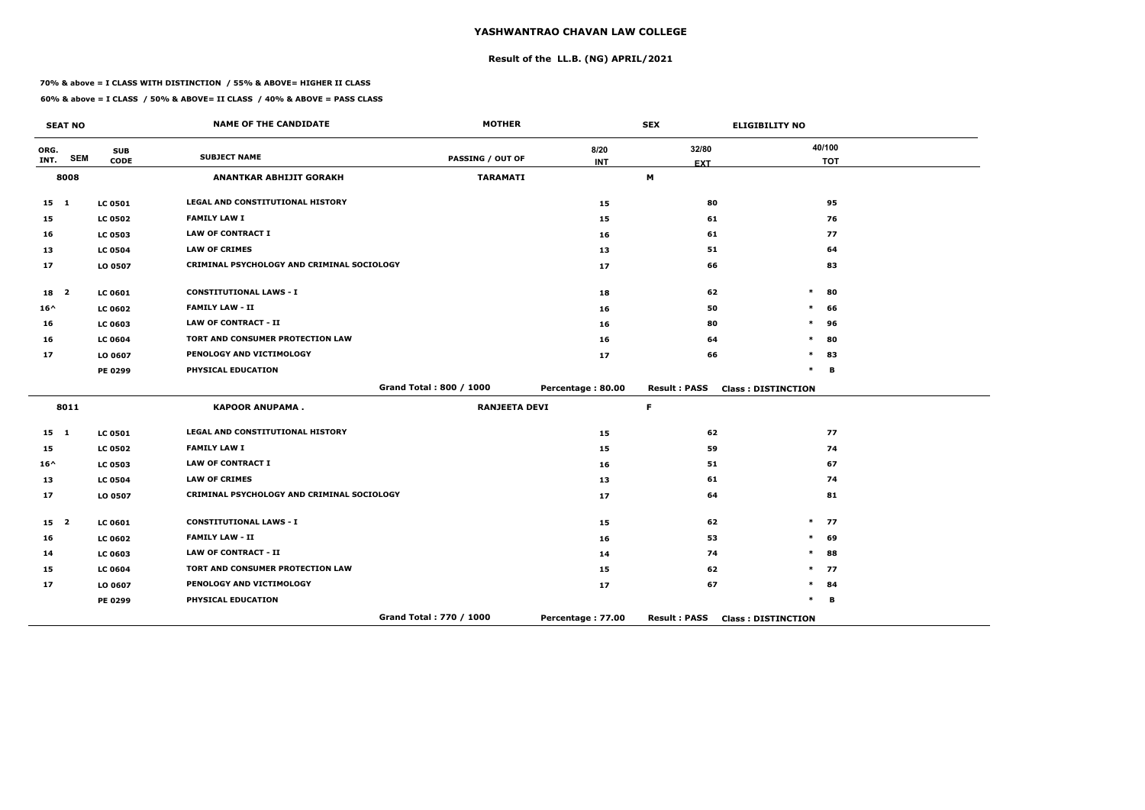# **Result of the LL.B. (NG) APRIL/2021**

#### **70% & above = I CLASS WITH DISTINCTION / 55% & ABOVE= HIGHER II CLASS**

|                 | <b>SEAT NO</b> |                | <b>NAME OF THE CANDIDATE</b>               | <b>MOTHER</b>           |                   | <b>SEX</b>          | <b>ELIGIBILITY NO</b>     |
|-----------------|----------------|----------------|--------------------------------------------|-------------------------|-------------------|---------------------|---------------------------|
| ORG.            | <b>SEM</b>     | <b>SUB</b>     | <b>SUBJECT NAME</b>                        | <b>PASSING / OUT OF</b> | 8/20              | 32/80               | 40/100                    |
| INT.            |                | <b>CODE</b>    |                                            |                         | <b>INT</b>        | <b>EXT</b>          | <b>TOT</b>                |
|                 | 8008           |                | <b>ANANTKAR ABHIJIT GORAKH</b>             | <b>TARAMATI</b>         |                   | М                   |                           |
| $15 \quad 1$    |                | <b>LC 0501</b> | <b>LEGAL AND CONSTITUTIONAL HISTORY</b>    |                         | 15                | 80                  | 95                        |
| 15              |                | <b>LC 0502</b> | <b>FAMILY LAW I</b>                        |                         | 15                | 61                  | 76                        |
| 16              |                | <b>LC 0503</b> | <b>LAW OF CONTRACT I</b>                   |                         | 16                | 61                  | 77                        |
| 13              |                | <b>LC 0504</b> | <b>LAW OF CRIMES</b>                       |                         | 13                | 51                  | 64                        |
| 17              |                | LO 0507        | CRIMINAL PSYCHOLOGY AND CRIMINAL SOCIOLOGY |                         | 17                | 66                  | 83                        |
| 18 2            |                | LC 0601        | <b>CONSTITUTIONAL LAWS - I</b>             |                         | 18                | 62                  | $\ast$<br>80              |
| $16^{\wedge}$   |                | <b>LC 0602</b> | <b>FAMILY LAW - II</b>                     |                         | 16                | 50                  | *<br>66                   |
| 16              |                | <b>LC 0603</b> | <b>LAW OF CONTRACT - II</b>                |                         | 16                | 80                  | $\ast$<br>96              |
| 16              |                | <b>LC 0604</b> | TORT AND CONSUMER PROTECTION LAW           |                         | 16                | 64                  | $\ast$<br>80              |
| 17              |                | LO 0607        | PENOLOGY AND VICTIMOLOGY                   |                         | 17                | 66                  | 83<br>*                   |
|                 |                | PE 0299        | PHYSICAL EDUCATION                         |                         |                   |                     | $\ast$<br>B               |
|                 |                |                |                                            | Grand Total: 800 / 1000 | Percentage: 80.00 | <b>Result: PASS</b> | <b>Class: DISTINCTION</b> |
|                 | 8011           |                | <b>KAPOOR ANUPAMA.</b>                     | <b>RANJEETA DEVI</b>    |                   | F.                  |                           |
| $15 \quad 1$    |                | <b>LC 0501</b> | LEGAL AND CONSTITUTIONAL HISTORY           |                         | 15                | 62                  | 77                        |
| 15              |                | <b>LC 0502</b> | <b>FAMILY LAW I</b>                        |                         | 15                | 59                  | 74                        |
| $16^{\wedge}$   |                | <b>LC 0503</b> | <b>LAW OF CONTRACT I</b>                   |                         | 16                | 51                  | 67                        |
| 13              |                | <b>LC 0504</b> | <b>LAW OF CRIMES</b>                       |                         | 13                | 61                  | 74                        |
| 17              |                | LO 0507        | CRIMINAL PSYCHOLOGY AND CRIMINAL SOCIOLOGY |                         | 17                | 64                  | 81                        |
| 15 <sub>2</sub> |                | LC 0601        | <b>CONSTITUTIONAL LAWS - I</b>             |                         | 15                | 62                  | $\ast$<br>77              |
| 16              |                | <b>LC 0602</b> | <b>FAMILY LAW - II</b>                     |                         | 16                | 53                  | $\ast$<br>69              |
| 14              |                | LC 0603        | <b>LAW OF CONTRACT - II</b>                |                         | 14                | 74                  | $\ast$<br>88              |
| 15              |                | <b>LC 0604</b> | <b>TORT AND CONSUMER PROTECTION LAW</b>    |                         | 15                | 62                  | $\ast$<br>77              |
| 17              |                | LO 0607        | PENOLOGY AND VICTIMOLOGY                   |                         | 17                | 67                  | *<br>84                   |
|                 |                | PE 0299        | PHYSICAL EDUCATION                         |                         |                   |                     | *<br>B                    |
|                 |                |                |                                            | Grand Total: 770 / 1000 | Percentage: 77.00 | <b>Result: PASS</b> | <b>Class: DISTINCTION</b> |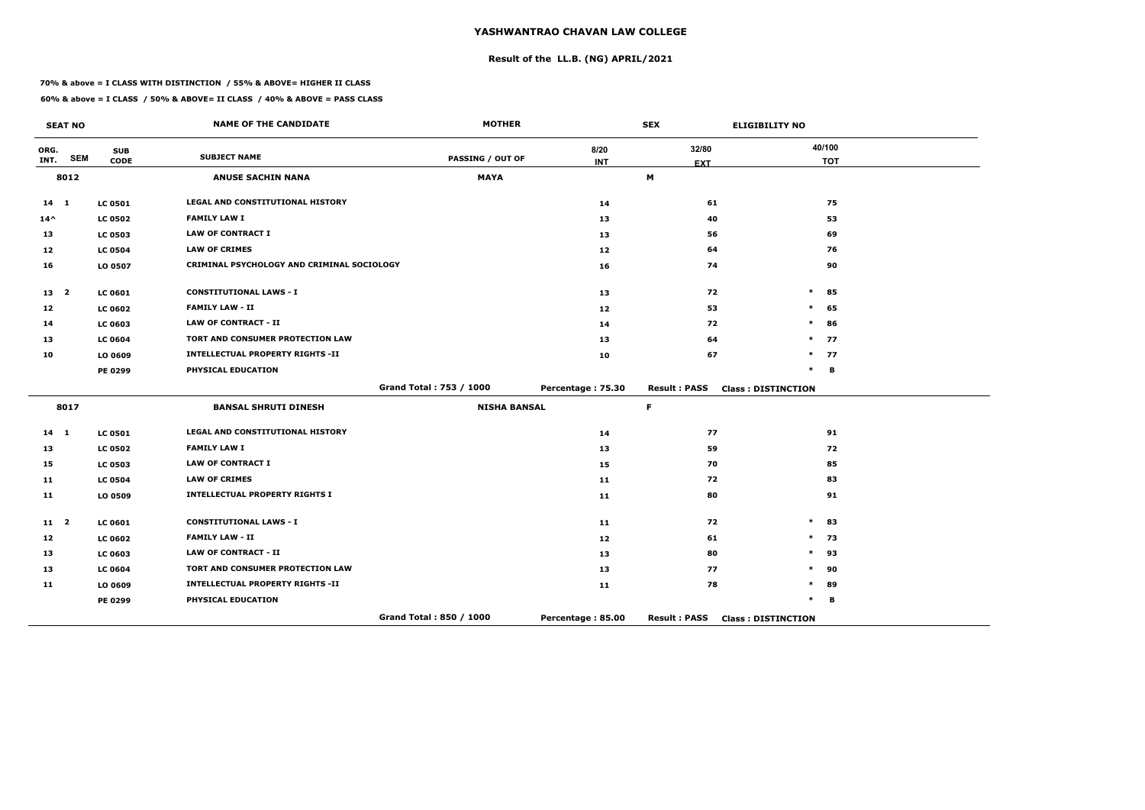# **Result of the LL.B. (NG) APRIL/2021**

#### **70% & above = I CLASS WITH DISTINCTION / 55% & ABOVE= HIGHER II CLASS**

**60% & above = I CLASS / 50% & ABOVE= II CLASS / 40% & ABOVE = PASS CLASS**

|                 | <b>SEAT NO</b> |                           | <b>NAME OF THE CANDIDATE</b>               | <b>MOTHER</b>           |                    | <b>SEX</b>          | <b>ELIGIBILITY NO</b>     |
|-----------------|----------------|---------------------------|--------------------------------------------|-------------------------|--------------------|---------------------|---------------------------|
| ORG.<br>INT.    | <b>SEM</b>     | <b>SUB</b><br><b>CODE</b> | <b>SUBJECT NAME</b>                        | <b>PASSING / OUT OF</b> | 8/20<br><b>INT</b> | 32/80<br><b>EXT</b> | 40/100<br><b>TOT</b>      |
|                 | 8012           |                           | <b>ANUSE SACHIN NANA</b>                   | <b>MAYA</b>             |                    | M                   |                           |
| $14 \quad 1$    |                | <b>LC 0501</b>            | LEGAL AND CONSTITUTIONAL HISTORY           |                         | 14                 | 61                  | 75                        |
| $14^{\wedge}$   |                | <b>LC 0502</b>            | <b>FAMILY LAW I</b>                        |                         | 13                 | 40                  | 53                        |
| 13              |                | <b>LC 0503</b>            | <b>LAW OF CONTRACT I</b>                   |                         | 13                 | 56                  | 69                        |
| 12              |                | <b>LC 0504</b>            | <b>LAW OF CRIMES</b>                       |                         | 12                 | 64                  | 76                        |
| 16              |                | LO 0507                   | CRIMINAL PSYCHOLOGY AND CRIMINAL SOCIOLOGY |                         | 16                 | 74                  | 90                        |
| 13 <sub>2</sub> |                | <b>LC 0601</b>            | <b>CONSTITUTIONAL LAWS - I</b>             |                         | 13                 | 72                  | $\ast$<br>85              |
| 12              |                | <b>LC 0602</b>            | <b>FAMILY LAW - II</b>                     |                         | 12 <sub>1</sub>    | 53                  | $\ast$<br>65              |
| 14              |                | LC 0603                   | <b>LAW OF CONTRACT - II</b>                |                         | 14                 | 72                  | $\ast$<br>86              |
| 13              |                | <b>LC 0604</b>            | TORT AND CONSUMER PROTECTION LAW           |                         | 13                 | 64                  | $\ast$<br>77              |
| 10              |                | LO 0609                   | <b>INTELLECTUAL PROPERTY RIGHTS -II</b>    |                         | 10                 | 67                  | 77<br>$\ast$              |
|                 |                | <b>PE 0299</b>            | PHYSICAL EDUCATION                         |                         |                    |                     | $\ast$<br>B               |
|                 |                |                           |                                            | Grand Total: 753 / 1000 | Percentage: 75.30  | <b>Result: PASS</b> | <b>Class: DISTINCTION</b> |
|                 | 8017           |                           | <b>BANSAL SHRUTI DINESH</b>                | <b>NISHA BANSAL</b>     |                    | F.                  |                           |
| $14 \quad 1$    |                | <b>LC 0501</b>            | <b>LEGAL AND CONSTITUTIONAL HISTORY</b>    |                         | 14                 | 77                  | 91                        |
| 13              |                | <b>LC 0502</b>            | <b>FAMILY LAW I</b>                        |                         | 13                 | 59                  | 72                        |
| 15              |                | <b>LC 0503</b>            | <b>LAW OF CONTRACT I</b>                   |                         | 15                 | 70                  | 85                        |
| 11              |                | <b>LC 0504</b>            | <b>LAW OF CRIMES</b>                       |                         | 11                 | 72                  | 83                        |
| 11              |                | LO 0509                   | <b>INTELLECTUAL PROPERTY RIGHTS I</b>      |                         | 11                 | 80                  | 91                        |
| $11 \quad 2$    |                | <b>LC 0601</b>            | <b>CONSTITUTIONAL LAWS - I</b>             |                         | 11                 | 72                  | $\ast$<br>83              |
| 12              |                | <b>LC 0602</b>            | <b>FAMILY LAW - II</b>                     |                         | 12                 | 61                  | $\ast$<br>73              |
| 13              |                | <b>LC 0603</b>            | <b>LAW OF CONTRACT - II</b>                |                         | 13                 | 80                  | $\ast$<br>93              |
| 13              |                | <b>LC 0604</b>            | TORT AND CONSUMER PROTECTION LAW           |                         | 13                 | 77                  | 90<br>$\ast$              |
| 11              |                | LO 0609                   | <b>INTELLECTUAL PROPERTY RIGHTS -II</b>    |                         | 11                 | 78                  | 89<br>$\ast$              |
|                 |                | <b>PE 0299</b>            | PHYSICAL EDUCATION                         |                         |                    |                     | *<br>B                    |
|                 |                |                           |                                            | Grand Total: 850 / 1000 | Percentage: 85.00  | <b>Result: PASS</b> | <b>Class: DISTINCTION</b> |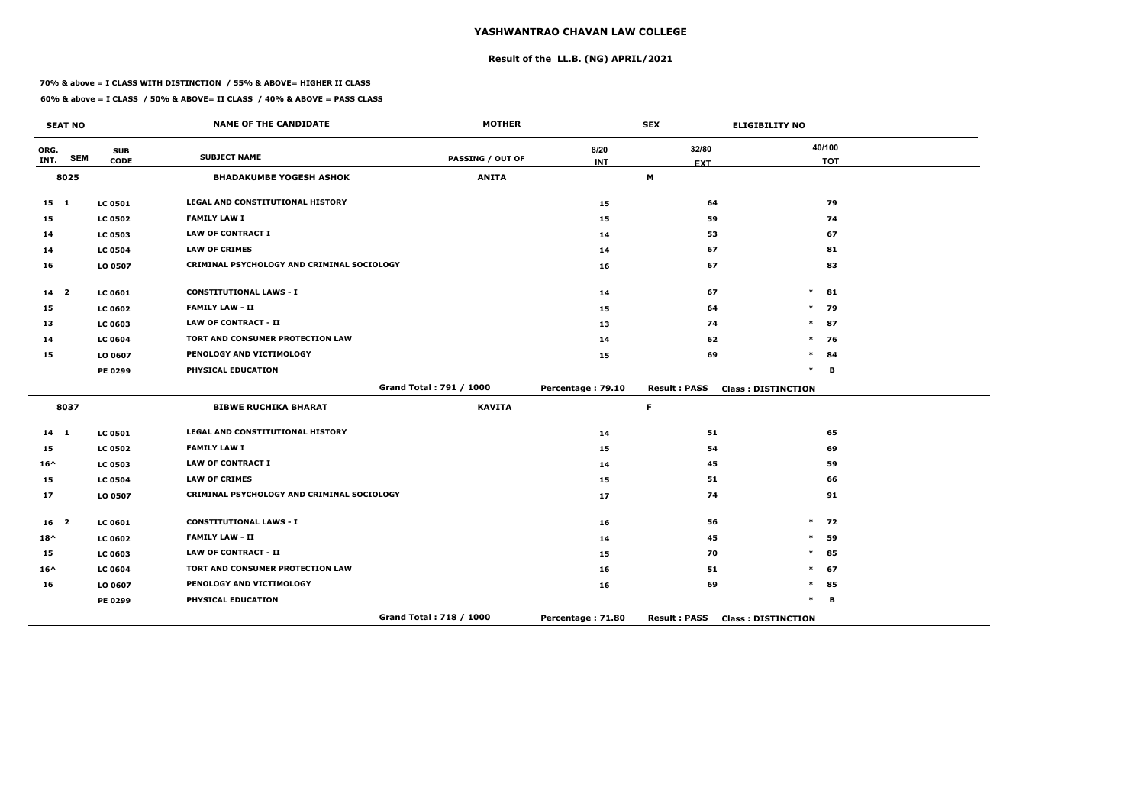# **Result of the LL.B. (NG) APRIL/2021**

#### **70% & above = I CLASS WITH DISTINCTION / 55% & ABOVE= HIGHER II CLASS**

**60% & above = I CLASS / 50% & ABOVE= II CLASS / 40% & ABOVE = PASS CLASS**

|                 | <b>SEAT NO</b> |                | <b>NAME OF THE CANDIDATE</b>               | <b>MOTHER</b>           |                   | <b>SEX</b>          | <b>ELIGIBILITY NO</b>     |
|-----------------|----------------|----------------|--------------------------------------------|-------------------------|-------------------|---------------------|---------------------------|
| ORG.            | <b>SEM</b>     | <b>SUB</b>     | <b>SUBJECT NAME</b>                        | <b>PASSING / OUT OF</b> | 8/20              | 32/80               | 40/100                    |
| INT.            |                | <b>CODE</b>    |                                            |                         | <b>INT</b>        | <b>EXT</b>          | <b>TOT</b>                |
|                 | 8025           |                | <b>BHADAKUMBE YOGESH ASHOK</b>             | <b>ANITA</b>            |                   | M                   |                           |
| 15 1            |                | <b>LC 0501</b> | LEGAL AND CONSTITUTIONAL HISTORY           |                         | 15                | 64                  | 79                        |
| 15              |                | <b>LC 0502</b> | <b>FAMILY LAW I</b>                        |                         | 15                | 59                  | 74                        |
| 14              |                | <b>LC 0503</b> | <b>LAW OF CONTRACT I</b>                   |                         | 14                | 53                  | 67                        |
| 14              |                | <b>LC 0504</b> | <b>LAW OF CRIMES</b>                       |                         | 14                | 67                  | 81                        |
| 16              |                | LO 0507        | CRIMINAL PSYCHOLOGY AND CRIMINAL SOCIOLOGY |                         | 16                | 67                  | 83                        |
| 14 <sub>2</sub> |                | LC 0601        | <b>CONSTITUTIONAL LAWS - I</b>             |                         | 14                | 67                  | 81<br>$\ast$              |
| 15              |                | <b>LC 0602</b> | <b>FAMILY LAW - II</b>                     |                         | 15                | 64                  | 79<br>$\ast$              |
| 13              |                | <b>LC 0603</b> | <b>LAW OF CONTRACT - II</b>                |                         | 13                | 74                  | $\ast$<br>87              |
| 14              |                | <b>LC 0604</b> | TORT AND CONSUMER PROTECTION LAW           |                         | 14                | 62                  | 76<br>$\ast$              |
| 15              |                | LO 0607        | PENOLOGY AND VICTIMOLOGY                   |                         | 15                | 69                  | $\ast$<br>84              |
|                 |                | <b>PE 0299</b> | PHYSICAL EDUCATION                         |                         |                   |                     | $\ast$<br>B               |
|                 |                |                |                                            | Grand Total: 791 / 1000 | Percentage: 79.10 | <b>Result: PASS</b> | <b>Class: DISTINCTION</b> |
|                 | 8037           |                | <b>BIBWE RUCHIKA BHARAT</b>                | <b>KAVITA</b>           |                   | F.                  |                           |
| $14 \quad 1$    |                | <b>LC 0501</b> | <b>LEGAL AND CONSTITUTIONAL HISTORY</b>    |                         | 14                | 51                  | 65                        |
| 15              |                | <b>LC 0502</b> | <b>FAMILY LAW I</b>                        |                         | 15                | 54                  | 69                        |
| $16^{\wedge}$   |                | <b>LC 0503</b> | <b>LAW OF CONTRACT I</b>                   |                         | 14                | 45                  | 59                        |
| 15              |                | <b>LC 0504</b> | <b>LAW OF CRIMES</b>                       |                         | 15                | 51                  | 66                        |
| 17              |                | LO 0507        | CRIMINAL PSYCHOLOGY AND CRIMINAL SOCIOLOGY |                         | 17                | 74                  | 91                        |
| 16 <sub>2</sub> |                | LC 0601        | <b>CONSTITUTIONAL LAWS - I</b>             |                         | 16                | 56                  | $\ast$<br>72              |
| $18^{\wedge}$   |                | <b>LC 0602</b> | <b>FAMILY LAW - II</b>                     |                         | 14                | 45                  | 59<br>$\ast$              |
| 15              |                | LC 0603        | <b>LAW OF CONTRACT - II</b>                |                         | 15                | 70                  | $\ast$<br>85              |
| $16^{\wedge}$   |                | <b>LC 0604</b> | TORT AND CONSUMER PROTECTION LAW           |                         | 16                | 51                  | $\ast$<br>67              |
| 16              |                | LO 0607        | PENOLOGY AND VICTIMOLOGY                   |                         | 16                | 69                  | $\ast$<br>85              |
|                 |                | <b>PE 0299</b> | PHYSICAL EDUCATION                         |                         |                   |                     | $\ast$<br>В               |
|                 |                |                |                                            | Grand Total: 718 / 1000 | Percentage: 71.80 | <b>Result: PASS</b> | <b>Class: DISTINCTION</b> |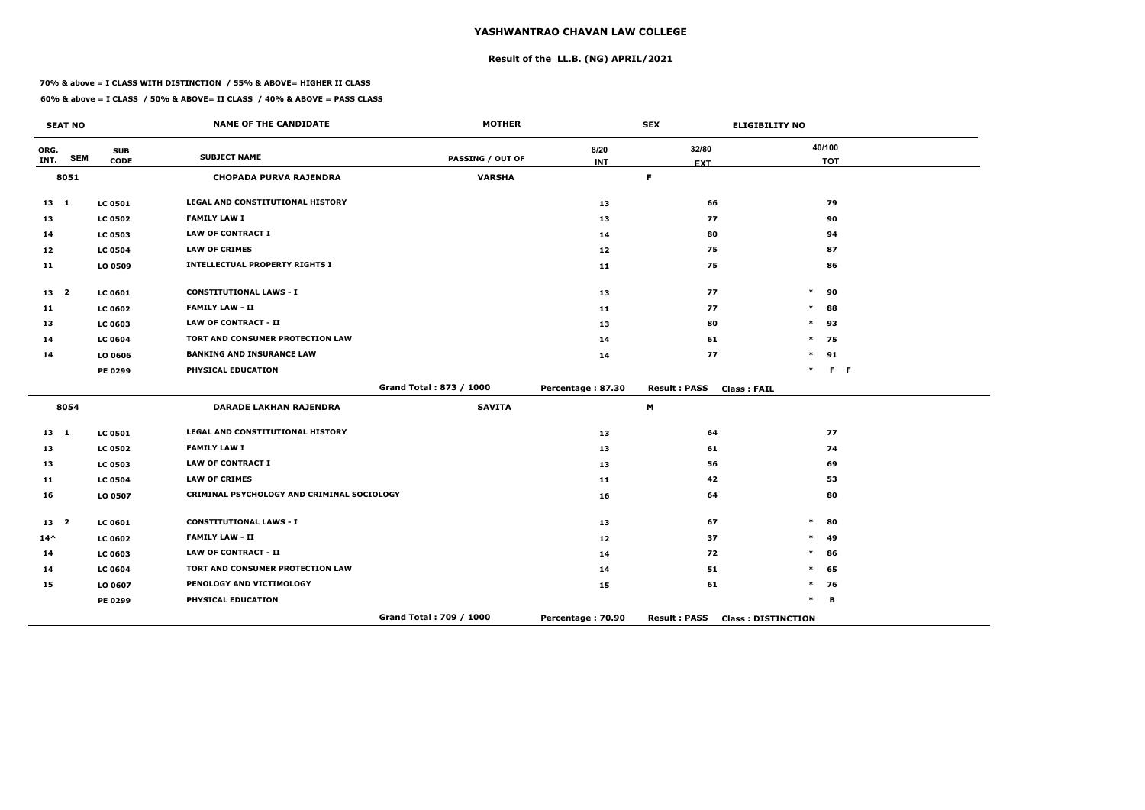# **Result of the LL.B. (NG) APRIL/2021**

#### **70% & above = I CLASS WITH DISTINCTION / 55% & ABOVE= HIGHER II CLASS**

**60% & above = I CLASS / 50% & ABOVE= II CLASS / 40% & ABOVE = PASS CLASS**

|                 | <b>SEAT NO</b> |                | <b>NAME OF THE CANDIDATE</b>               | <b>MOTHER</b>           |                   | <b>SEX</b>                                | <b>ELIGIBILITY NO</b>     |                |
|-----------------|----------------|----------------|--------------------------------------------|-------------------------|-------------------|-------------------------------------------|---------------------------|----------------|
| ORG.            | <b>SEM</b>     | <b>SUB</b>     | <b>SUBJECT NAME</b>                        | <b>PASSING / OUT OF</b> | 8/20              | 32/80                                     | 40/100                    |                |
| INT.            |                | <b>CODE</b>    |                                            |                         | <b>INT</b>        | <b>EXT</b>                                | <b>TOT</b>                |                |
|                 | 8051           |                | <b>CHOPADA PURVA RAJENDRA</b>              | <b>VARSHA</b>           |                   | F.                                        |                           |                |
| $13 \quad 1$    |                | <b>LC 0501</b> | LEGAL AND CONSTITUTIONAL HISTORY           |                         | 13                | 66                                        | 79                        |                |
| 13              |                | <b>LC 0502</b> | <b>FAMILY LAW I</b>                        |                         | 13                | 77                                        | 90                        |                |
| 14              |                | <b>LC 0503</b> | <b>LAW OF CONTRACT I</b>                   |                         | 14                | 80                                        | 94                        |                |
| 12              |                | <b>LC 0504</b> | <b>LAW OF CRIMES</b>                       |                         | 12 <sub>1</sub>   | 75                                        | 87                        |                |
| 11              |                | LO 0509        | <b>INTELLECTUAL PROPERTY RIGHTS I</b>      |                         | 11                | 75                                        | 86                        |                |
| 13 <sub>2</sub> |                | <b>LC 0601</b> | <b>CONSTITUTIONAL LAWS - I</b>             |                         | 13                | 77                                        | 90<br>$\ast$              |                |
| 11              |                | <b>LC 0602</b> | <b>FAMILY LAW - II</b>                     |                         | 11                | 77                                        | $\ast$<br>88              |                |
| 13              |                | <b>LC 0603</b> | <b>LAW OF CONTRACT - II</b>                |                         | 13                | 80                                        | $\ast$<br>93              |                |
| 14              |                | <b>LC 0604</b> | TORT AND CONSUMER PROTECTION LAW           |                         | 14                | 61                                        | $\ast$<br>75              |                |
| 14              |                | LO 0606        | <b>BANKING AND INSURANCE LAW</b>           |                         | 14                | 77                                        | 91<br>$\ast$              |                |
|                 |                | <b>PE 0299</b> | PHYSICAL EDUCATION                         |                         |                   |                                           | $\ast$                    | F <sub>F</sub> |
|                 |                |                |                                            | Grand Total: 873 / 1000 | Percentage: 87.30 | <b>Result: PASS</b><br><b>Class: FAIL</b> |                           |                |
|                 | 8054           |                | <b>DARADE LAKHAN RAJENDRA</b>              | <b>SAVITA</b>           |                   | $\mathsf{M}$                              |                           |                |
| $13 \quad 1$    |                | <b>LC 0501</b> | LEGAL AND CONSTITUTIONAL HISTORY           |                         | 13                | 64                                        | 77                        |                |
| 13              |                | <b>LC 0502</b> | <b>FAMILY LAW I</b>                        |                         | 13                | 61                                        | 74                        |                |
| 13              |                | <b>LC 0503</b> | <b>LAW OF CONTRACT I</b>                   |                         | 13                | 56                                        | 69                        |                |
| 11              |                | <b>LC 0504</b> | <b>LAW OF CRIMES</b>                       |                         | 11                | 42                                        | 53                        |                |
| 16              |                | LO 0507        | CRIMINAL PSYCHOLOGY AND CRIMINAL SOCIOLOGY |                         | 16                | 64                                        | 80                        |                |
| 13 2            |                | <b>LC 0601</b> | <b>CONSTITUTIONAL LAWS - I</b>             |                         | 13                | 67                                        | $\ast$<br>80              |                |
| $14^{\wedge}$   |                | <b>LC 0602</b> | <b>FAMILY LAW - II</b>                     |                         | 12                | 37                                        | 49<br>$\ast$              |                |
| 14              |                | <b>LC 0603</b> | <b>LAW OF CONTRACT - II</b>                |                         | 14                | 72                                        | 86<br>$\ast$              |                |
| 14              |                | <b>LC 0604</b> | TORT AND CONSUMER PROTECTION LAW           |                         | 14                | 51                                        | $\ast$<br>65              |                |
| 15              |                | LO 0607        | PENOLOGY AND VICTIMOLOGY                   |                         | 15                | 61                                        | $\ast$<br>76              |                |
|                 |                | <b>PE 0299</b> | PHYSICAL EDUCATION                         |                         |                   |                                           | $\ast$<br>В               |                |
|                 |                |                |                                            | Grand Total: 709 / 1000 | Percentage: 70.90 | <b>Result: PASS</b>                       | <b>Class: DISTINCTION</b> |                |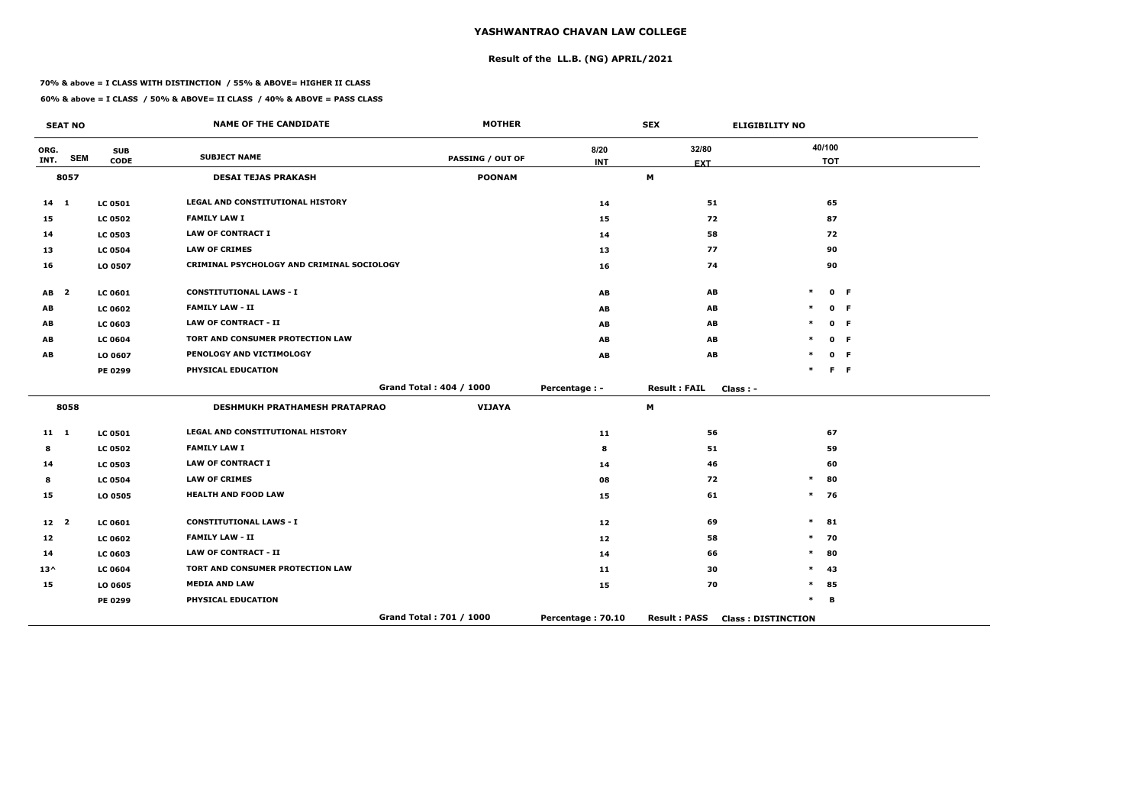# **Result of the LL.B. (NG) APRIL/2021**

#### **70% & above = I CLASS WITH DISTINCTION / 55% & ABOVE= HIGHER II CLASS**

|                 | <b>SEAT NO</b>          |                           | <b>NAME OF THE CANDIDATE</b>               | <b>MOTHER</b>           |                    | <b>SEX</b>          | <b>ELIGIBILITY NO</b>     |                      |         |
|-----------------|-------------------------|---------------------------|--------------------------------------------|-------------------------|--------------------|---------------------|---------------------------|----------------------|---------|
| ORG.<br>INT.    | <b>SEM</b>              | <b>SUB</b><br><b>CODE</b> | <b>SUBJECT NAME</b>                        | <b>PASSING / OUT OF</b> | 8/20<br><b>INT</b> | 32/80<br><b>EXT</b> |                           | 40/100<br><b>TOT</b> |         |
|                 | 8057                    |                           | <b>DESAI TEJAS PRAKASH</b>                 | <b>POONAM</b>           |                    | M                   |                           |                      |         |
| $14 \quad 1$    |                         | <b>LC 0501</b>            | LEGAL AND CONSTITUTIONAL HISTORY           |                         | 14                 | 51                  |                           | 65                   |         |
| 15              |                         | <b>LC 0502</b>            | <b>FAMILY LAW I</b>                        |                         | 15                 | 72                  |                           | 87                   |         |
| 14              |                         | <b>LC 0503</b>            | <b>LAW OF CONTRACT I</b>                   |                         | 14                 | 58                  |                           | 72                   |         |
| 13              |                         | <b>LC 0504</b>            | <b>LAW OF CRIMES</b>                       |                         | 13                 | 77                  |                           | 90                   |         |
| 16              |                         | LO 0507                   | CRIMINAL PSYCHOLOGY AND CRIMINAL SOCIOLOGY |                         | 16                 | 74                  |                           | 90                   |         |
| AB              | $\overline{\mathbf{2}}$ | LC 0601                   | <b>CONSTITUTIONAL LAWS - I</b>             |                         | AB                 | AB                  | $\ast$                    |                      | 0 F     |
| AB              |                         | <b>LC 0602</b>            | <b>FAMILY LAW - II</b>                     |                         | AB                 | AB                  | *                         |                      | 0 F     |
| AB              |                         | LC 0603                   | <b>LAW OF CONTRACT - II</b>                |                         | AB                 | AB                  | *                         |                      | 0 F     |
| AB              |                         | <b>LC 0604</b>            | TORT AND CONSUMER PROTECTION LAW           |                         | AB                 | AB                  |                           |                      | 0 F     |
| AB              |                         | LO 0607                   | PENOLOGY AND VICTIMOLOGY                   |                         | AB                 | AB                  |                           |                      | 0 F     |
|                 |                         | PE 0299                   | PHYSICAL EDUCATION                         |                         |                    |                     | $\ast$                    |                      | $F - F$ |
|                 |                         |                           |                                            | Grand Total: 404 / 1000 | Percentage : -     | <b>Result: FAIL</b> | $Class: -$                |                      |         |
|                 | 8058                    |                           | DESHMUKH PRATHAMESH PRATAPRAO              | <b>VIJAYA</b>           |                    | M                   |                           |                      |         |
| $11 \quad 1$    |                         | <b>LC 0501</b>            | <b>LEGAL AND CONSTITUTIONAL HISTORY</b>    |                         | 11                 | 56                  |                           | 67                   |         |
| 8               |                         | <b>LC 0502</b>            | <b>FAMILY LAW I</b>                        |                         | 8                  | 51                  |                           | 59                   |         |
| 14              |                         | <b>LC 0503</b>            | <b>LAW OF CONTRACT I</b>                   |                         | 14                 | 46                  |                           | 60                   |         |
| 8               |                         | <b>LC 0504</b>            | <b>LAW OF CRIMES</b>                       |                         | 08                 | 72                  | $\ast$                    | 80                   |         |
| 15              |                         | LO 0505                   | <b>HEALTH AND FOOD LAW</b>                 |                         | 15                 | 61                  | $\ast$                    | 76                   |         |
| 12 <sup>2</sup> |                         | <b>LC 0601</b>            | <b>CONSTITUTIONAL LAWS - I</b>             |                         | 12                 | 69                  | $\ast$                    | 81                   |         |
| 12              |                         | <b>LC 0602</b>            | <b>FAMILY LAW - II</b>                     |                         | 12                 | 58                  | $\ast$                    | 70                   |         |
| 14              |                         | LC 0603                   | <b>LAW OF CONTRACT - II</b>                |                         | 14                 | 66                  | $\ast$                    | 80                   |         |
| $13^{\wedge}$   |                         | <b>LC 0604</b>            | TORT AND CONSUMER PROTECTION LAW           |                         | 11                 | 30                  | $\ast$                    | 43                   |         |
| 15              |                         | LO 0605                   | <b>MEDIA AND LAW</b>                       |                         | 15                 | 70                  | $\ast$                    | 85                   |         |
|                 |                         | PE 0299                   | PHYSICAL EDUCATION                         |                         |                    |                     | $\ast$                    | B                    |         |
|                 |                         |                           |                                            | Grand Total: 701 / 1000 | Percentage: 70.10  | <b>Result: PASS</b> | <b>Class: DISTINCTION</b> |                      |         |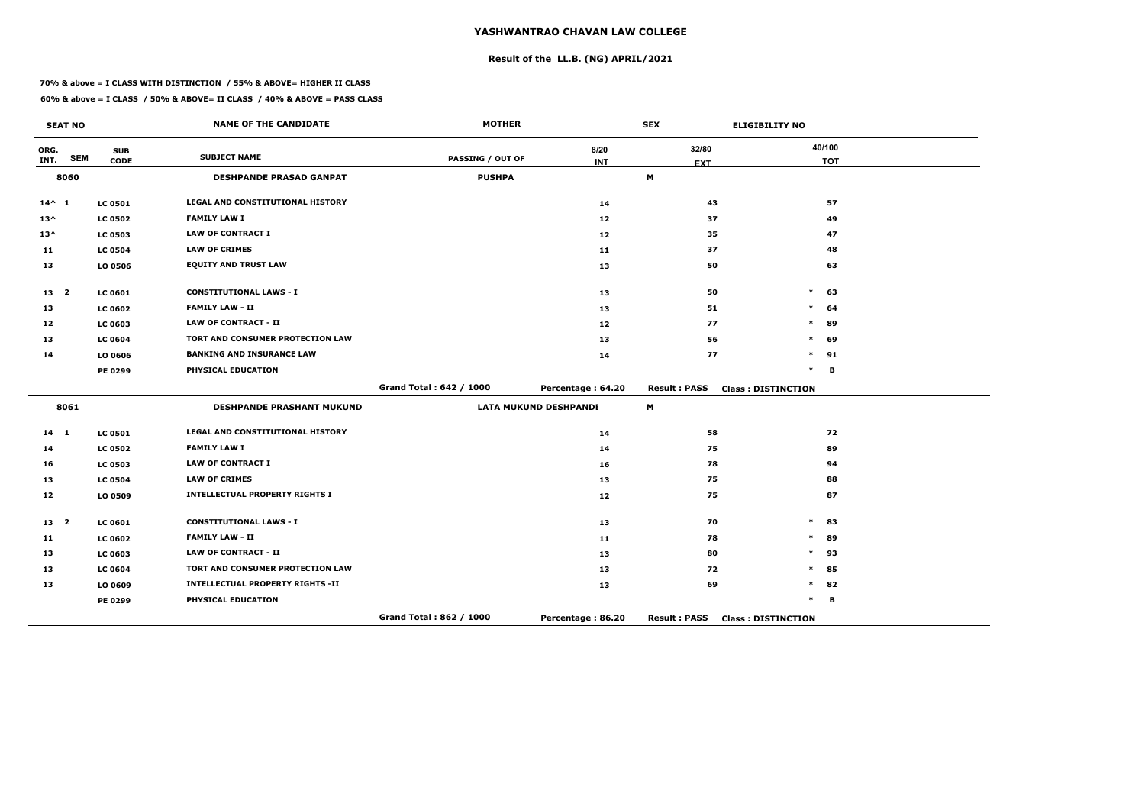# **Result of the LL.B. (NG) APRIL/2021**

#### **70% & above = I CLASS WITH DISTINCTION / 55% & ABOVE= HIGHER II CLASS**

| <b>SEAT NO</b>             |                           | <b>NAME OF THE CANDIDATE</b>            | <b>MOTHER</b>           |                              | <b>SEX</b>          | <b>ELIGIBILITY NO</b>     |
|----------------------------|---------------------------|-----------------------------------------|-------------------------|------------------------------|---------------------|---------------------------|
| ORG.<br><b>SEM</b><br>INT. | <b>SUB</b><br><b>CODE</b> | <b>SUBJECT NAME</b>                     | <b>PASSING / OUT OF</b> | 8/20                         | 32/80               | 40/100                    |
| 8060                       |                           | <b>DESHPANDE PRASAD GANPAT</b>          | <b>PUSHPA</b>           | <b>INT</b>                   | <b>EXT</b><br>М     | <b>TOT</b>                |
|                            |                           |                                         |                         |                              |                     |                           |
| $14^{\wedge}$ 1            | <b>LC 0501</b>            | <b>LEGAL AND CONSTITUTIONAL HISTORY</b> |                         | 14                           | 43                  | 57                        |
| $13^{\wedge}$              | <b>LC 0502</b>            | <b>FAMILY LAW I</b>                     |                         | 12                           | 37                  | 49                        |
| $13^{\wedge}$              | <b>LC 0503</b>            | <b>LAW OF CONTRACT I</b>                |                         | 12                           | 35                  | 47                        |
| 11                         | <b>LC 0504</b>            | <b>LAW OF CRIMES</b>                    |                         | 11                           | 37                  | 48                        |
| 13                         | LO 0506                   | <b>EQUITY AND TRUST LAW</b>             |                         | 13                           | 50                  | 63                        |
| 13 <sub>2</sub>            | <b>LC 0601</b>            | <b>CONSTITUTIONAL LAWS - I</b>          |                         | 13                           | 50                  | 63<br>$\ast$              |
| 13                         | <b>LC 0602</b>            | <b>FAMILY LAW - II</b>                  |                         | 13                           | 51                  | $\ast$<br>64              |
| 12                         | <b>LC 0603</b>            | <b>LAW OF CONTRACT - II</b>             |                         | 12                           | 77                  | $\ast$<br>89              |
| 13                         | <b>LC 0604</b>            | TORT AND CONSUMER PROTECTION LAW        |                         | 13                           | 56                  | $\ast$<br>69              |
| 14                         | LO 0606                   | <b>BANKING AND INSURANCE LAW</b>        |                         | 14                           | 77                  | 91<br>*                   |
|                            | PE 0299                   | PHYSICAL EDUCATION                      |                         |                              |                     | $\ast$<br>B               |
|                            |                           |                                         | Grand Total: 642 / 1000 | Percentage: 64.20            | <b>Result: PASS</b> | <b>Class: DISTINCTION</b> |
| 8061                       |                           | <b>DESHPANDE PRASHANT MUKUND</b>        |                         | <b>LATA MUKUND DESHPANDE</b> | M                   |                           |
| $14 \quad 1$               | <b>LC 0501</b>            | LEGAL AND CONSTITUTIONAL HISTORY        |                         | 14                           | 58                  | 72                        |
| 14                         | <b>LC 0502</b>            | <b>FAMILY LAW I</b>                     |                         | 14                           | 75                  | 89                        |
| 16                         | <b>LC 0503</b>            | <b>LAW OF CONTRACT I</b>                |                         | 16                           | 78                  | 94                        |
| 13                         | <b>LC 0504</b>            | <b>LAW OF CRIMES</b>                    |                         | 13                           | 75                  | 88                        |
| 12                         | LO 0509                   | <b>INTELLECTUAL PROPERTY RIGHTS I</b>   |                         | 12                           | 75                  | 87                        |
| 13 <sup>2</sup>            | <b>LC 0601</b>            | <b>CONSTITUTIONAL LAWS - I</b>          |                         | 13                           | 70                  | $\ast$<br>83              |
| 11                         | <b>LC 0602</b>            | <b>FAMILY LAW - II</b>                  |                         | 11                           | 78                  | $\ast$<br>89              |
| 13                         | <b>LC 0603</b>            | <b>LAW OF CONTRACT - II</b>             |                         | 13                           | 80                  | 93<br>$\ast$              |
| 13                         | <b>LC 0604</b>            | <b>TORT AND CONSUMER PROTECTION LAW</b> |                         | 13                           | 72                  | $\ast$<br>85              |
| 13                         | LO 0609                   | <b>INTELLECTUAL PROPERTY RIGHTS -II</b> |                         | 13                           | 69                  | *<br>82                   |
|                            | PE 0299                   | PHYSICAL EDUCATION                      |                         |                              |                     | $\ast$<br>В               |
|                            |                           |                                         | Grand Total: 862 / 1000 | Percentage: 86.20            | <b>Result: PASS</b> | <b>Class: DISTINCTION</b> |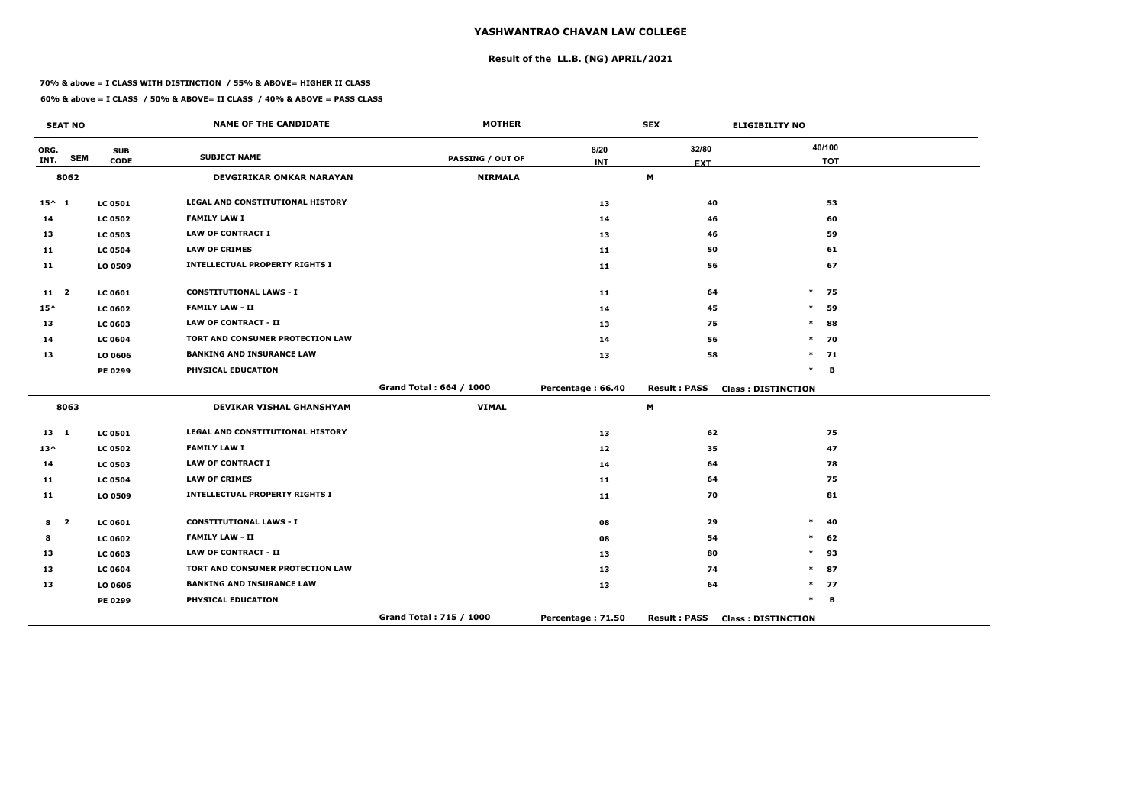# **Result of the LL.B. (NG) APRIL/2021**

#### **70% & above = I CLASS WITH DISTINCTION / 55% & ABOVE= HIGHER II CLASS**

**60% & above = I CLASS / 50% & ABOVE= II CLASS / 40% & ABOVE = PASS CLASS**

|                 | <b>SEAT NO</b>          |                | <b>NAME OF THE CANDIDATE</b>          | <b>MOTHER</b>           |                   | <b>SEX</b>          | <b>ELIGIBILITY NO</b>     |
|-----------------|-------------------------|----------------|---------------------------------------|-------------------------|-------------------|---------------------|---------------------------|
| ORG.            | <b>SEM</b>              | <b>SUB</b>     | <b>SUBJECT NAME</b>                   | <b>PASSING / OUT OF</b> | 8/20              | 32/80               | 40/100                    |
| INT.            |                         | <b>CODE</b>    |                                       |                         | <b>INT</b>        | <b>EXT</b>          | <b>TOT</b>                |
|                 | 8062                    |                | <b>DEVGIRIKAR OMKAR NARAYAN</b>       | <b>NIRMALA</b>          |                   | M                   |                           |
| $15^{\wedge}$ 1 |                         | <b>LC 0501</b> | LEGAL AND CONSTITUTIONAL HISTORY      |                         | 13                | 40                  | 53                        |
| 14              |                         | <b>LC 0502</b> | <b>FAMILY LAW I</b>                   |                         | 14                | 46                  | 60                        |
| 13              |                         | <b>LC 0503</b> | <b>LAW OF CONTRACT I</b>              |                         | 13                | 46                  | 59                        |
| 11              |                         | <b>LC 0504</b> | <b>LAW OF CRIMES</b>                  |                         | 11                | 50                  | 61                        |
| 11              |                         | LO 0509        | <b>INTELLECTUAL PROPERTY RIGHTS I</b> |                         | 11                | 56                  | 67                        |
| 11 <sub>2</sub> |                         | <b>LC 0601</b> | <b>CONSTITUTIONAL LAWS - I</b>        |                         | 11                | 64                  | $\ast$<br>75              |
| $15^{\wedge}$   |                         | <b>LC 0602</b> | <b>FAMILY LAW - II</b>                |                         | 14                | 45                  | $\ast$<br>59              |
| 13              |                         | <b>LC 0603</b> | <b>LAW OF CONTRACT - II</b>           |                         | 13                | 75                  | 88<br>$\ast$              |
| 14              |                         | <b>LC 0604</b> | TORT AND CONSUMER PROTECTION LAW      |                         | 14                | 56                  | $\ast$<br>70              |
| 13              |                         | LO 0606        | <b>BANKING AND INSURANCE LAW</b>      |                         | 13                | 58                  | $\ast$<br>71              |
|                 |                         | PE 0299        | PHYSICAL EDUCATION                    |                         |                   |                     | $\ast$<br>B               |
|                 |                         |                |                                       | Grand Total: 664 / 1000 | Percentage: 66.40 | <b>Result: PASS</b> | <b>Class: DISTINCTION</b> |
|                 | 8063                    |                | <b>DEVIKAR VISHAL GHANSHYAM</b>       | <b>VIMAL</b>            |                   | M                   |                           |
| $13 \quad 1$    |                         | <b>LC 0501</b> | LEGAL AND CONSTITUTIONAL HISTORY      |                         | 13                | 62                  | 75                        |
| $13^{\wedge}$   |                         | <b>LC 0502</b> | <b>FAMILY LAW I</b>                   |                         | 12                | 35                  | 47                        |
| 14              |                         | <b>LC 0503</b> | <b>LAW OF CONTRACT I</b>              |                         | 14                | 64                  | 78                        |
| 11              |                         | <b>LC 0504</b> | <b>LAW OF CRIMES</b>                  |                         | 11                | 64                  | 75                        |
| 11              |                         | LO 0509        | <b>INTELLECTUAL PROPERTY RIGHTS I</b> |                         | 11                | 70                  | 81                        |
| 8               | $\overline{\mathbf{2}}$ | <b>LC 0601</b> | <b>CONSTITUTIONAL LAWS - I</b>        |                         | 08                | 29                  | $\ast$<br>40              |
| 8               |                         | <b>LC 0602</b> | <b>FAMILY LAW - II</b>                |                         | 08                | 54                  | $\ast$<br>62              |
| 13              |                         | <b>LC 0603</b> | <b>LAW OF CONTRACT - II</b>           |                         | 13                | 80                  | $\ast$<br>93              |
| 13              |                         | <b>LC 0604</b> | TORT AND CONSUMER PROTECTION LAW      |                         | 13                | 74                  | $\ast$<br>87              |
| 13              |                         | LO 0606        | <b>BANKING AND INSURANCE LAW</b>      |                         | 13                | 64                  | 77<br>$\ast$              |
|                 |                         | <b>PE 0299</b> | PHYSICAL EDUCATION                    |                         |                   |                     | $\ast$<br>B               |
|                 |                         |                |                                       | Grand Total: 715 / 1000 | Percentage: 71.50 | <b>Result: PASS</b> | <b>Class: DISTINCTION</b> |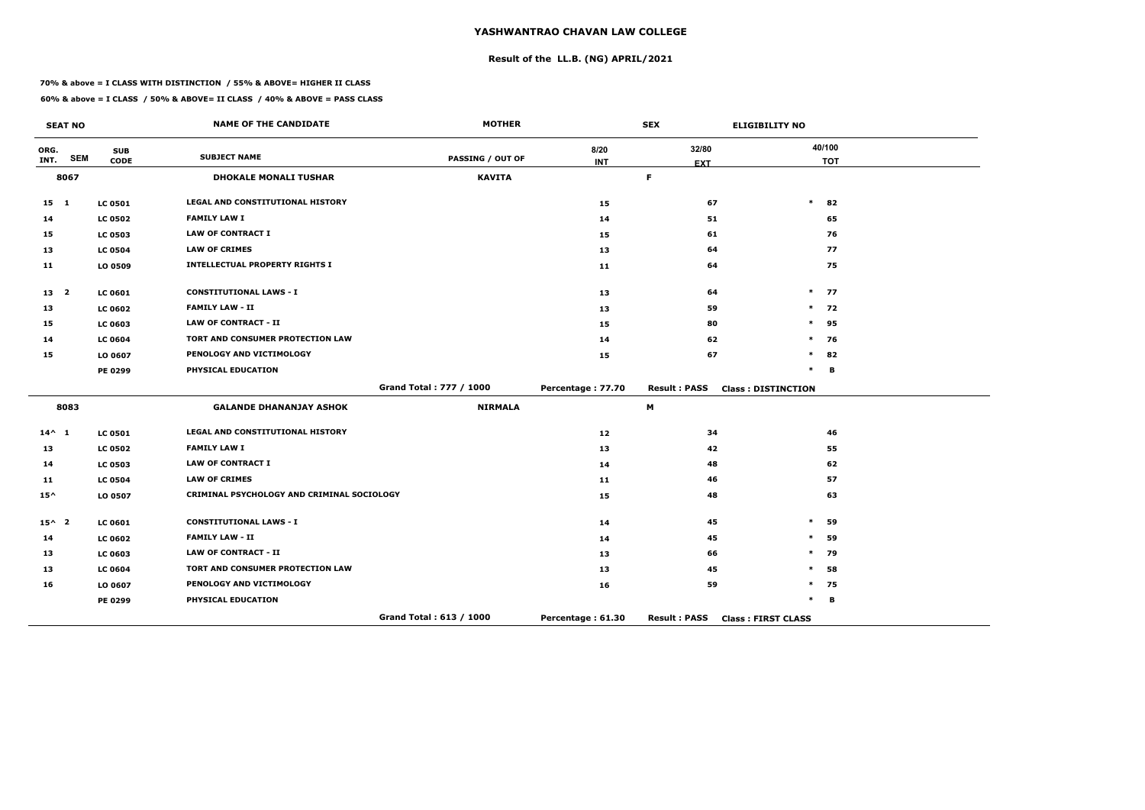# **Result of the LL.B. (NG) APRIL/2021**

#### **70% & above = I CLASS WITH DISTINCTION / 55% & ABOVE= HIGHER II CLASS**

|                 | <b>SEAT NO</b> |                | <b>NAME OF THE CANDIDATE</b>               | <b>MOTHER</b>           |                   | <b>SEX</b>          | <b>ELIGIBILITY NO</b>     |
|-----------------|----------------|----------------|--------------------------------------------|-------------------------|-------------------|---------------------|---------------------------|
| ORG.            | <b>SEM</b>     | <b>SUB</b>     | <b>SUBJECT NAME</b>                        | <b>PASSING / OUT OF</b> | 8/20              | 32/80               | 40/100                    |
| INT.            |                | <b>CODE</b>    |                                            |                         | <b>INT</b>        | <b>EXT</b>          | <b>TOT</b>                |
|                 | 8067           |                | <b>DHOKALE MONALI TUSHAR</b>               | <b>KAVITA</b>           |                   | F.                  |                           |
| $15 \quad 1$    |                | <b>LC 0501</b> | <b>LEGAL AND CONSTITUTIONAL HISTORY</b>    |                         | 15                | 67                  | $\ast$<br>82              |
| 14              |                | <b>LC 0502</b> | <b>FAMILY LAW I</b>                        |                         | 14                | 51                  | 65                        |
| 15              |                | <b>LC 0503</b> | <b>LAW OF CONTRACT I</b>                   |                         | 15                | 61                  | 76                        |
| 13              |                | <b>LC 0504</b> | <b>LAW OF CRIMES</b>                       |                         | 13                | 64                  | 77                        |
| 11              |                | LO 0509        | <b>INTELLECTUAL PROPERTY RIGHTS I</b>      |                         | 11                | 64                  | 75                        |
| 13 <sub>2</sub> |                | LC 0601        | <b>CONSTITUTIONAL LAWS - I</b>             |                         | 13                | 64                  | $\ast$<br>77              |
| 13              |                | <b>LC 0602</b> | <b>FAMILY LAW - II</b>                     |                         | 13                | 59                  | 72<br>$\ast$              |
| 15              |                | <b>LC 0603</b> | <b>LAW OF CONTRACT - II</b>                |                         | 15                | 80                  | $\ast$<br>95              |
| 14              |                | <b>LC 0604</b> | TORT AND CONSUMER PROTECTION LAW           |                         | 14                | 62                  | $\ast$<br>76              |
| 15              |                | LO 0607        | PENOLOGY AND VICTIMOLOGY                   |                         | 15                | 67                  | $\ast$<br>82              |
|                 |                | PE 0299        | PHYSICAL EDUCATION                         |                         |                   |                     | $\ast$<br>B               |
|                 |                |                |                                            | Grand Total: 777 / 1000 | Percentage: 77.70 | <b>Result: PASS</b> | <b>Class: DISTINCTION</b> |
|                 | 8083           |                | <b>GALANDE DHANANJAY ASHOK</b>             | <b>NIRMALA</b>          |                   | M                   |                           |
| $14^{\wedge}$ 1 |                | <b>LC 0501</b> | LEGAL AND CONSTITUTIONAL HISTORY           |                         | 12                | 34                  | 46                        |
| 13              |                | <b>LC 0502</b> | <b>FAMILY LAW I</b>                        |                         | 13                | 42                  | 55                        |
| 14              |                | <b>LC 0503</b> | <b>LAW OF CONTRACT I</b>                   |                         | 14                | 48                  | 62                        |
| 11              |                | <b>LC 0504</b> | <b>LAW OF CRIMES</b>                       |                         | 11                | 46                  | 57                        |
| $15^{\wedge}$   |                | LO 0507        | CRIMINAL PSYCHOLOGY AND CRIMINAL SOCIOLOGY |                         | 15                | 48                  | 63                        |
| $15^{\wedge}$ 2 |                | <b>LC 0601</b> | <b>CONSTITUTIONAL LAWS - I</b>             |                         | 14                | 45                  | $\ast$<br>59              |
| 14              |                | <b>LC 0602</b> | <b>FAMILY LAW - II</b>                     |                         | 14                | 45                  | $\ast$<br>59              |
| 13              |                | LC 0603        | <b>LAW OF CONTRACT - II</b>                |                         | 13                | 66                  | 79<br>$\ast$              |
| 13              |                | <b>LC 0604</b> | <b>TORT AND CONSUMER PROTECTION LAW</b>    |                         | 13                | 45                  | $\ast$<br>58              |
| 16              |                | LO 0607        | PENOLOGY AND VICTIMOLOGY                   |                         | 16                | 59                  | $\ast$<br>75              |
|                 |                | PE 0299        | PHYSICAL EDUCATION                         |                         |                   |                     | $\ast$<br>В               |
|                 |                |                |                                            | Grand Total: 613 / 1000 | Percentage: 61.30 | <b>Result: PASS</b> | <b>Class: FIRST CLASS</b> |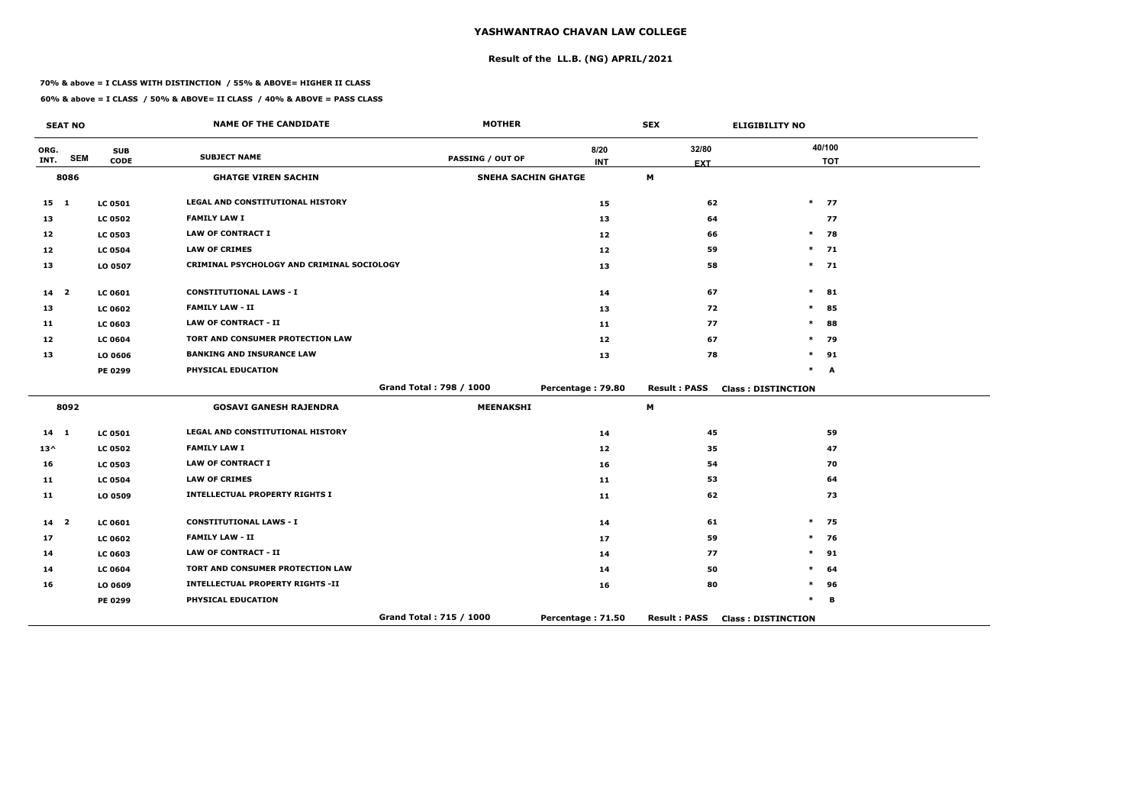# **Result of the LL.B. (NG) APRIL/2021**

#### **70% & above = I CLASS WITH DISTINCTION / 55% & ABOVE= HIGHER II CLASS**

|                 | <b>SEAT NO</b> |                           | <b>NAME OF THE CANDIDATE</b>               | <b>MOTHER</b>              |                   | <b>SEX</b>          | <b>ELIGIBILITY NO</b>     |
|-----------------|----------------|---------------------------|--------------------------------------------|----------------------------|-------------------|---------------------|---------------------------|
| ORG.<br>INT.    | <b>SEM</b>     | <b>SUB</b><br><b>CODE</b> | <b>SUBJECT NAME</b>                        | PASSING / OUT OF           | 8/20              | 32/80               | 40/100                    |
|                 | 8086           |                           | <b>GHATGE VIREN SACHIN</b>                 | <b>SNEHA SACHIN GHATGE</b> | <b>INT</b>        | <b>EXT</b><br>M     | <b>TOT</b>                |
|                 |                |                           |                                            |                            |                   |                     |                           |
| $15 \quad 1$    |                | <b>LC 0501</b>            | <b>LEGAL AND CONSTITUTIONAL HISTORY</b>    |                            | 15                | 62                  | $*$ 77                    |
| 13              |                | <b>LC 0502</b>            | <b>FAMILY LAW I</b>                        |                            | 13                | 64                  | 77                        |
| 12              |                | <b>LC 0503</b>            | <b>LAW OF CONTRACT I</b>                   |                            | 12                | 66                  | 78<br>$\ast$              |
| 12 <sub>1</sub> |                | <b>LC 0504</b>            | <b>LAW OF CRIMES</b>                       |                            | 12                | 59                  | $*$ 71                    |
| 13              |                | LO 0507                   | CRIMINAL PSYCHOLOGY AND CRIMINAL SOCIOLOGY |                            | 13                | 58                  | $*$ 71                    |
| 14 <sub>2</sub> |                | <b>LC 0601</b>            | <b>CONSTITUTIONAL LAWS - I</b>             |                            | 14                | 67                  | $\ast$<br>81              |
| 13              |                | <b>LC 0602</b>            | <b>FAMILY LAW - II</b>                     |                            | 13                | 72                  | $\ast$<br>85              |
| 11              |                | <b>LC 0603</b>            | <b>LAW OF CONTRACT - II</b>                |                            | 11                | 77                  | $\ast$<br>88              |
| 12              |                | <b>LC 0604</b>            | TORT AND CONSUMER PROTECTION LAW           |                            | 12                | 67                  | $\ast$<br>79              |
| 13              |                | LO 0606                   | <b>BANKING AND INSURANCE LAW</b>           |                            | 13                | 78                  | $\ast$<br>91              |
|                 |                | PE 0299                   | PHYSICAL EDUCATION                         |                            |                   |                     | $\ast$<br>A               |
|                 |                |                           |                                            | Grand Total: 798 / 1000    | Percentage: 79.80 | <b>Result: PASS</b> | <b>Class: DISTINCTION</b> |
|                 | 8092           |                           | <b>GOSAVI GANESH RAJENDRA</b>              | <b>MEENAKSHI</b>           |                   | M                   |                           |
| 14 1            |                | <b>LC 0501</b>            | <b>LEGAL AND CONSTITUTIONAL HISTORY</b>    |                            | 14                | 45                  | 59                        |
| $13^{\wedge}$   |                | <b>LC 0502</b>            | <b>FAMILY LAW I</b>                        |                            | 12                | 35                  | 47                        |
| 16              |                | <b>LC 0503</b>            | <b>LAW OF CONTRACT I</b>                   |                            | 16                | 54                  | 70                        |
| 11              |                | <b>LC 0504</b>            | <b>LAW OF CRIMES</b>                       |                            | 11                | 53                  | 64                        |
| 11              |                | LO 0509                   | <b>INTELLECTUAL PROPERTY RIGHTS I</b>      |                            | 11                | 62                  | 73                        |
| $14 2$          |                | LC 0601                   | <b>CONSTITUTIONAL LAWS - I</b>             |                            | 14                | 61                  | $\ast$<br>75              |
| 17              |                | <b>LC 0602</b>            | <b>FAMILY LAW - II</b>                     |                            | 17                | 59                  | 76<br>$\ast$              |
| 14              |                | <b>LC 0603</b>            | <b>LAW OF CONTRACT - II</b>                |                            | 14                | 77                  | $\ast$<br>91              |
| 14              |                | <b>LC 0604</b>            | TORT AND CONSUMER PROTECTION LAW           |                            | 14                | 50                  | $\ast$<br>64              |
| 16              |                | LO 0609                   | <b>INTELLECTUAL PROPERTY RIGHTS -II</b>    |                            | 16                | 80                  | $\ast$<br>96              |
|                 |                | PE 0299                   | PHYSICAL EDUCATION                         |                            |                   |                     | $\ast$<br>В               |
|                 |                |                           |                                            | Grand Total: 715 / 1000    | Percentage: 71.50 | <b>Result: PASS</b> | <b>Class: DISTINCTION</b> |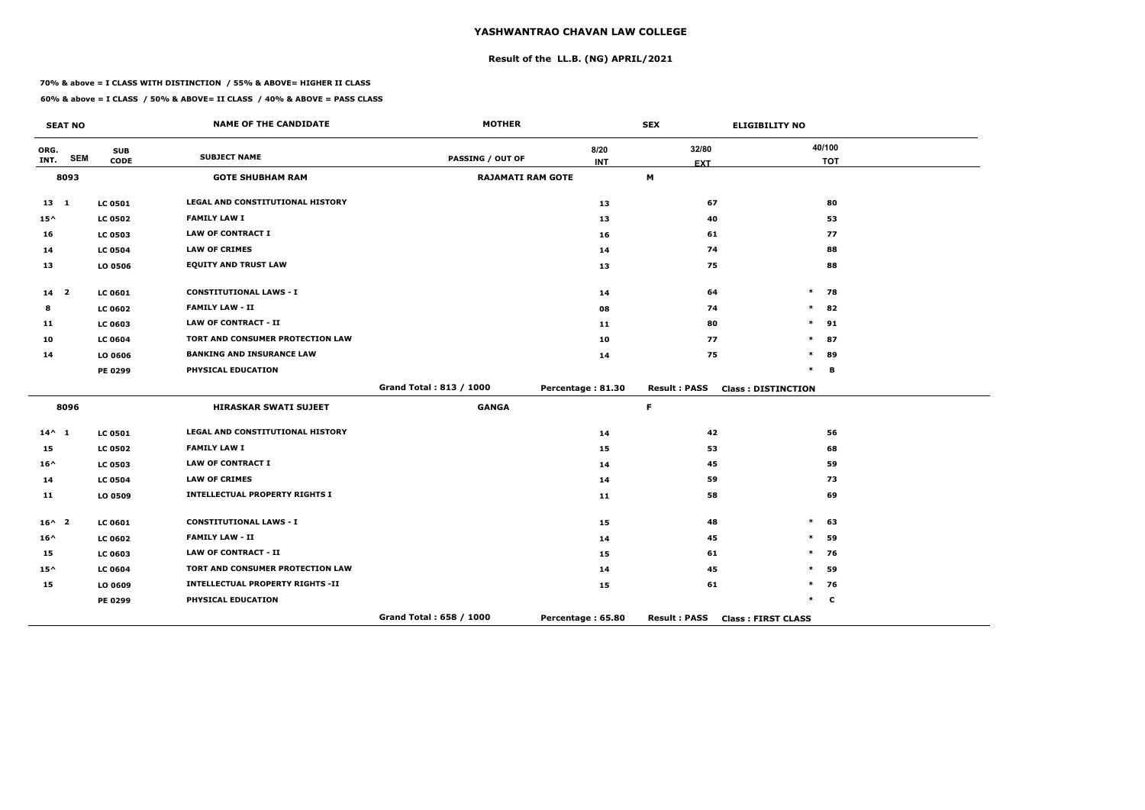# **Result of the LL.B. (NG) APRIL/2021**

#### **70% & above = I CLASS WITH DISTINCTION / 55% & ABOVE= HIGHER II CLASS**

|                 | <b>SEAT NO</b> |                | <b>NAME OF THE CANDIDATE</b>            | <b>MOTHER</b>            |                   | <b>SEX</b>          | <b>ELIGIBILITY NO</b>     |
|-----------------|----------------|----------------|-----------------------------------------|--------------------------|-------------------|---------------------|---------------------------|
| ORG.            |                | <b>SUB</b>     | <b>SUBJECT NAME</b>                     |                          | 8/20              | 32/80               | 40/100                    |
| INT.            | <b>SEM</b>     | <b>CODE</b>    |                                         | <b>PASSING / OUT OF</b>  | <b>INT</b>        | <b>EXT</b>          | <b>TOT</b>                |
|                 | 8093           |                | <b>GOTE SHUBHAM RAM</b>                 | <b>RAJAMATI RAM GOTE</b> |                   | M                   |                           |
| $13 \quad 1$    |                | <b>LC 0501</b> | LEGAL AND CONSTITUTIONAL HISTORY        |                          | 13                | 67                  | 80                        |
| $15^{\wedge}$   |                | <b>LC 0502</b> | <b>FAMILY LAW I</b>                     |                          | 13                | 40                  | 53                        |
| 16              |                | <b>LC 0503</b> | <b>LAW OF CONTRACT I</b>                |                          | 16                | 61                  | 77                        |
| 14              |                | <b>LC 0504</b> | <b>LAW OF CRIMES</b>                    |                          | 14                | 74                  | 88                        |
| 13              |                | LO 0506        | <b>EQUITY AND TRUST LAW</b>             |                          | 13                | 75                  | 88                        |
| 14 2            |                | <b>LC 0601</b> | <b>CONSTITUTIONAL LAWS - I</b>          |                          | 14                | 64                  | $\ast$<br>78              |
| 8               |                | <b>LC 0602</b> | <b>FAMILY LAW - II</b>                  |                          | 08                | 74                  | $\ast$<br>82              |
| 11              |                | <b>LC 0603</b> | <b>LAW OF CONTRACT - II</b>             |                          | 11                | 80                  | $\ast$<br>91              |
| 10              |                | <b>LC 0604</b> | TORT AND CONSUMER PROTECTION LAW        |                          | 10                | 77                  | $\ast$<br>87              |
| 14              |                | LO 0606        | <b>BANKING AND INSURANCE LAW</b>        |                          | 14                | 75                  | $\ast$<br>89              |
|                 |                | PE 0299        | PHYSICAL EDUCATION                      |                          |                   |                     | $\ast$<br>в               |
|                 |                |                |                                         | Grand Total: 813 / 1000  | Percentage: 81.30 | <b>Result: PASS</b> | <b>Class: DISTINCTION</b> |
|                 | 8096           |                | <b>HIRASKAR SWATI SUJEET</b>            | <b>GANGA</b>             |                   | F.                  |                           |
| $14^{\wedge} 1$ |                | <b>LC 0501</b> | LEGAL AND CONSTITUTIONAL HISTORY        |                          | 14                | 42                  | 56                        |
| 15              |                | <b>LC 0502</b> | <b>FAMILY LAW I</b>                     |                          | 15                | 53                  | 68                        |
| $16^{\wedge}$   |                | <b>LC 0503</b> | <b>LAW OF CONTRACT I</b>                |                          | 14                | 45                  | 59                        |
| 14              |                | <b>LC 0504</b> | <b>LAW OF CRIMES</b>                    |                          | 14                | 59                  | 73                        |
| 11              |                | LO 0509        | <b>INTELLECTUAL PROPERTY RIGHTS I</b>   |                          | 11                | 58                  | 69                        |
| $16^{\wedge}$ 2 |                | <b>LC 0601</b> | <b>CONSTITUTIONAL LAWS - I</b>          |                          | 15                | 48                  | $\ast$<br>63              |
| $16^{\wedge}$   |                | <b>LC 0602</b> | <b>FAMILY LAW - II</b>                  |                          | 14                | 45                  | 59<br>$\ast$              |
| 15              |                | <b>LC 0603</b> | <b>LAW OF CONTRACT - II</b>             |                          | 15                | 61                  | $\ast$<br>76              |
| $15^{\wedge}$   |                | <b>LC 0604</b> | TORT AND CONSUMER PROTECTION LAW        |                          | 14                | 45                  | $\ast$<br>59              |
| 15              |                | LO 0609        | <b>INTELLECTUAL PROPERTY RIGHTS -II</b> |                          | 15                | 61                  | $\ast$<br>76              |
|                 |                | <b>PE 0299</b> | PHYSICAL EDUCATION                      |                          |                   |                     | $\ast$<br>$\mathbf c$     |
|                 |                |                |                                         | Grand Total: 658 / 1000  | Percentage: 65.80 | <b>Result: PASS</b> | <b>Class: FIRST CLASS</b> |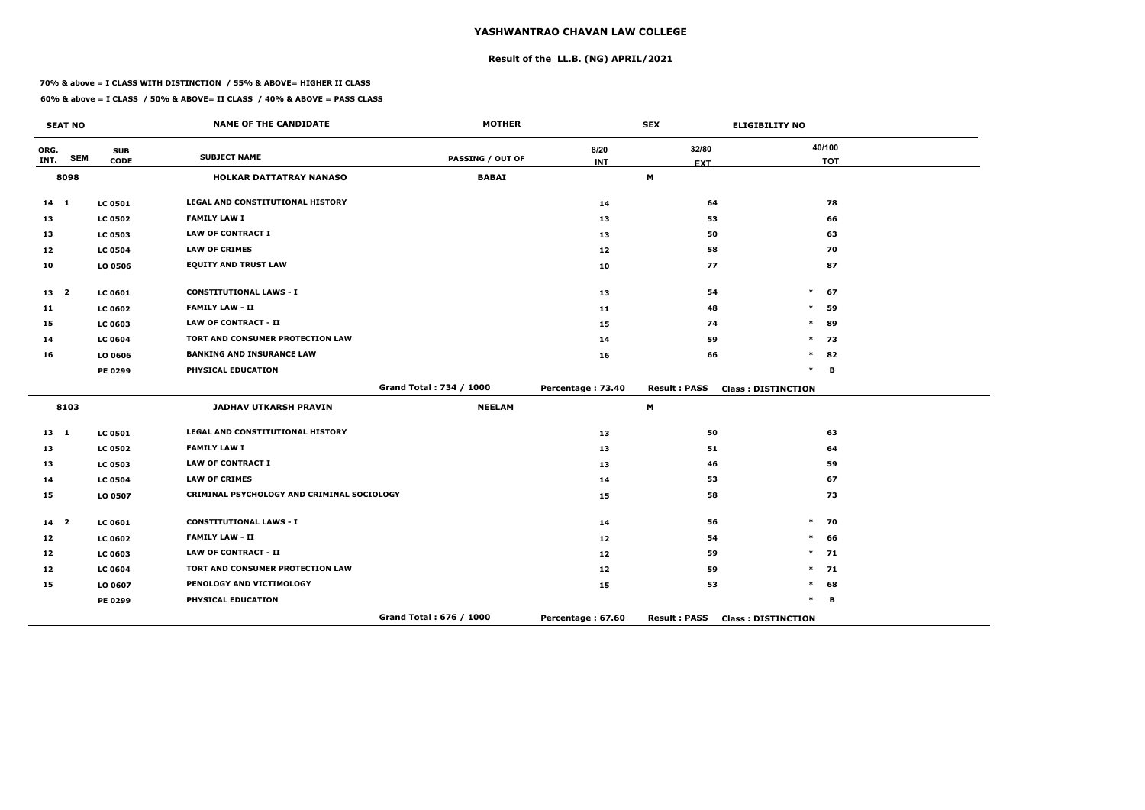# **Result of the LL.B. (NG) APRIL/2021**

#### **70% & above = I CLASS WITH DISTINCTION / 55% & ABOVE= HIGHER II CLASS**

|                 | <b>SEAT NO</b> |                | <b>NAME OF THE CANDIDATE</b>               | <b>MOTHER</b>           |                   | <b>SEX</b>          | <b>ELIGIBILITY NO</b>     |
|-----------------|----------------|----------------|--------------------------------------------|-------------------------|-------------------|---------------------|---------------------------|
| ORG.            | <b>SEM</b>     | <b>SUB</b>     | <b>SUBJECT NAME</b>                        | <b>PASSING / OUT OF</b> | 8/20              | 32/80               | 40/100                    |
| INT.            |                | <b>CODE</b>    |                                            |                         | <b>INT</b>        | <b>EXT</b>          | <b>TOT</b>                |
|                 | 8098           |                | <b>HOLKAR DATTATRAY NANASO</b>             | <b>BABAI</b>            |                   | М                   |                           |
| $14$ 1          |                | <b>LC 0501</b> | <b>LEGAL AND CONSTITUTIONAL HISTORY</b>    |                         | 14                | 64                  | 78                        |
| 13              |                | <b>LC 0502</b> | <b>FAMILY LAW I</b>                        |                         | 13                | 53                  | 66                        |
| 13              |                | <b>LC 0503</b> | <b>LAW OF CONTRACT I</b>                   |                         | 13                | 50                  | 63                        |
| 12 <sub>1</sub> |                | <b>LC 0504</b> | <b>LAW OF CRIMES</b>                       |                         | 12                | 58                  | 70                        |
| 10              |                | LO 0506        | <b>EQUITY AND TRUST LAW</b>                |                         | 10                | 77                  | 87                        |
| 13 <sub>2</sub> |                | LC 0601        | <b>CONSTITUTIONAL LAWS - I</b>             |                         | 13                | 54                  | 67<br>$\ast$              |
| 11              |                | <b>LC 0602</b> | <b>FAMILY LAW - II</b>                     |                         | 11                | 48                  | 59<br>$\ast$              |
| 15              |                | <b>LC 0603</b> | <b>LAW OF CONTRACT - II</b>                |                         | 15                | 74                  | $\ast$<br>89              |
| 14              |                | <b>LC 0604</b> | TORT AND CONSUMER PROTECTION LAW           |                         | 14                | 59                  | 73<br>*                   |
| 16              |                | LO 0606        | <b>BANKING AND INSURANCE LAW</b>           |                         | 16                | 66                  | $\ast$<br>82              |
|                 |                | PE 0299        | PHYSICAL EDUCATION                         |                         |                   |                     | $\ast$<br>B               |
|                 |                |                |                                            | Grand Total: 734 / 1000 | Percentage: 73.40 | <b>Result: PASS</b> | <b>Class: DISTINCTION</b> |
|                 | 8103           |                | <b>JADHAV UTKARSH PRAVIN</b>               | <b>NEELAM</b>           |                   | M                   |                           |
| $13 \quad 1$    |                | <b>LC 0501</b> | LEGAL AND CONSTITUTIONAL HISTORY           |                         | 13                | 50                  | 63                        |
| 13              |                | <b>LC 0502</b> | <b>FAMILY LAW I</b>                        |                         | 13                | 51                  | 64                        |
| 13              |                | <b>LC 0503</b> | <b>LAW OF CONTRACT I</b>                   |                         | 13                | 46                  | 59                        |
| 14              |                | <b>LC 0504</b> | <b>LAW OF CRIMES</b>                       |                         | 14                | 53                  | 67                        |
| 15              |                | LO 0507        | CRIMINAL PSYCHOLOGY AND CRIMINAL SOCIOLOGY |                         | 15                | 58                  | 73                        |
| 14 <sup>2</sup> |                | LC 0601        | <b>CONSTITUTIONAL LAWS - I</b>             |                         | 14                | 56                  | $\ast$<br>70              |
| 12              |                | <b>LC 0602</b> | <b>FAMILY LAW - II</b>                     |                         | 12                | 54                  | $\ast$<br>66              |
| 12              |                | <b>LC 0603</b> | <b>LAW OF CONTRACT - II</b>                |                         | 12                | 59                  | 71<br>$\ast$              |
| 12              |                | <b>LC 0604</b> | <b>TORT AND CONSUMER PROTECTION LAW</b>    |                         | 12                | 59                  | $\ast$<br>71              |
| 15              |                | LO 0607        | PENOLOGY AND VICTIMOLOGY                   |                         | 15                | 53                  | *<br>68                   |
|                 |                | PE 0299        | PHYSICAL EDUCATION                         |                         |                   |                     | $\ast$<br>В               |
|                 |                |                |                                            | Grand Total: 676 / 1000 | Percentage: 67.60 | <b>Result: PASS</b> | <b>Class: DISTINCTION</b> |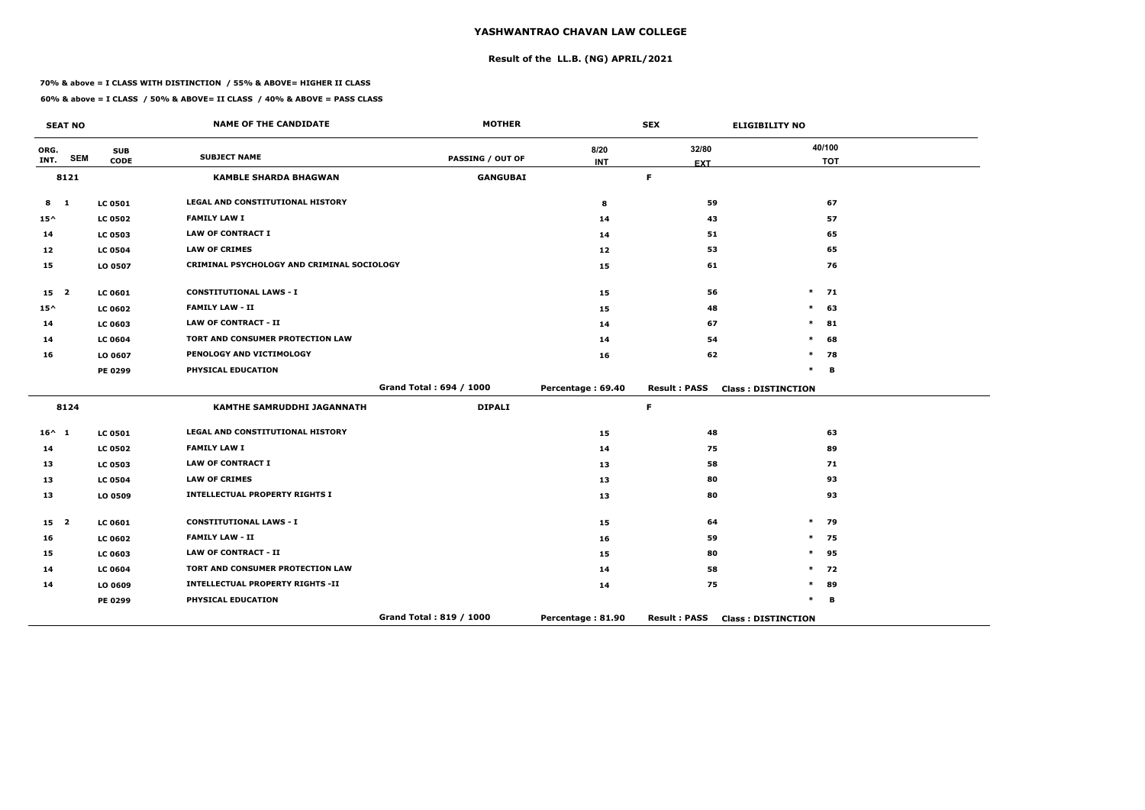# **Result of the LL.B. (NG) APRIL/2021**

#### **70% & above = I CLASS WITH DISTINCTION / 55% & ABOVE= HIGHER II CLASS**

**60% & above = I CLASS / 50% & ABOVE= II CLASS / 40% & ABOVE = PASS CLASS**

|                 | <b>SEAT NO</b> |                           | <b>NAME OF THE CANDIDATE</b>               | <b>MOTHER</b>           |                    | <b>SEX</b>          | <b>ELIGIBILITY NO</b>     |
|-----------------|----------------|---------------------------|--------------------------------------------|-------------------------|--------------------|---------------------|---------------------------|
| ORG.<br>INT.    | <b>SEM</b>     | <b>SUB</b><br><b>CODE</b> | <b>SUBJECT NAME</b>                        | <b>PASSING / OUT OF</b> | 8/20<br><b>INT</b> | 32/80<br><b>EXT</b> | 40/100<br><b>TOT</b>      |
|                 | 8121           |                           | <b>KAMBLE SHARDA BHAGWAN</b>               | <b>GANGUBAI</b>         |                    | $\mathsf F$         |                           |
| $8 \quad 1$     |                | <b>LC 0501</b>            | LEGAL AND CONSTITUTIONAL HISTORY           |                         | 8                  | 59                  | 67                        |
| $15^{\wedge}$   |                | <b>LC 0502</b>            | <b>FAMILY LAW I</b>                        |                         | 14                 | 43                  | 57                        |
| 14              |                | <b>LC 0503</b>            | <b>LAW OF CONTRACT I</b>                   |                         | 14                 | 51                  | 65                        |
| 12              |                | <b>LC 0504</b>            | <b>LAW OF CRIMES</b>                       |                         | 12                 | 53                  | 65                        |
| 15              |                | LO 0507                   | CRIMINAL PSYCHOLOGY AND CRIMINAL SOCIOLOGY |                         | 15                 | 61                  | 76                        |
| 15 <sub>2</sub> |                | <b>LC 0601</b>            | <b>CONSTITUTIONAL LAWS - I</b>             |                         | 15                 | 56                  | $\ast$<br>71              |
| $15^{\wedge}$   |                | <b>LC 0602</b>            | <b>FAMILY LAW - II</b>                     |                         | 15                 | 48                  | $\ast$<br>63              |
| 14              |                | <b>LC 0603</b>            | <b>LAW OF CONTRACT - II</b>                |                         | 14                 | 67                  | $\ast$<br>81              |
| 14              |                | <b>LC 0604</b>            | TORT AND CONSUMER PROTECTION LAW           |                         | 14                 | 54                  | $\ast$<br>68              |
| 16              |                | LO 0607                   | PENOLOGY AND VICTIMOLOGY                   |                         | 16                 | 62                  | 78<br>$\ast$              |
|                 |                | PE 0299                   | PHYSICAL EDUCATION                         |                         |                    |                     | $\ast$<br>в               |
|                 |                |                           |                                            | Grand Total: 694 / 1000 | Percentage: 69.40  | <b>Result: PASS</b> | <b>Class: DISTINCTION</b> |
|                 | 8124           |                           | <b>KAMTHE SAMRUDDHI JAGANNATH</b>          | <b>DIPALI</b>           |                    | F.                  |                           |
| $16^{\wedge}$ 1 |                | <b>LC 0501</b>            | <b>LEGAL AND CONSTITUTIONAL HISTORY</b>    |                         | 15                 | 48                  | 63                        |
| 14              |                | <b>LC 0502</b>            | <b>FAMILY LAW I</b>                        |                         | 14                 | 75                  | 89                        |
| 13              |                | <b>LC 0503</b>            | <b>LAW OF CONTRACT I</b>                   |                         | 13                 | 58                  | 71                        |
| 13              |                | <b>LC 0504</b>            | <b>LAW OF CRIMES</b>                       |                         | 13                 | 80                  | 93                        |
| 13              |                | LO 0509                   | <b>INTELLECTUAL PROPERTY RIGHTS I</b>      |                         | 13                 | 80                  | 93                        |
| 15 <sub>2</sub> |                | LC 0601                   | <b>CONSTITUTIONAL LAWS - I</b>             |                         | 15                 | 64                  | 79<br>$\ast$              |
| 16              |                | <b>LC 0602</b>            | <b>FAMILY LAW - II</b>                     |                         | 16                 | 59                  | 75<br>$\ast$              |
| 15              |                | <b>LC 0603</b>            | <b>LAW OF CONTRACT - II</b>                |                         | 15                 | 80                  | $\ast$<br>95              |
| 14              |                | <b>LC 0604</b>            | TORT AND CONSUMER PROTECTION LAW           |                         | 14                 | 58                  | $\ast$<br>72              |
| 14              |                | LO 0609                   | <b>INTELLECTUAL PROPERTY RIGHTS -II</b>    |                         | 14                 | 75                  | $\ast$<br>89              |
|                 |                | <b>PE 0299</b>            | PHYSICAL EDUCATION                         |                         |                    |                     | $\ast$<br>В               |
|                 |                |                           |                                            | Grand Total: 819 / 1000 | Percentage: 81.90  | <b>Result: PASS</b> | <b>Class: DISTINCTION</b> |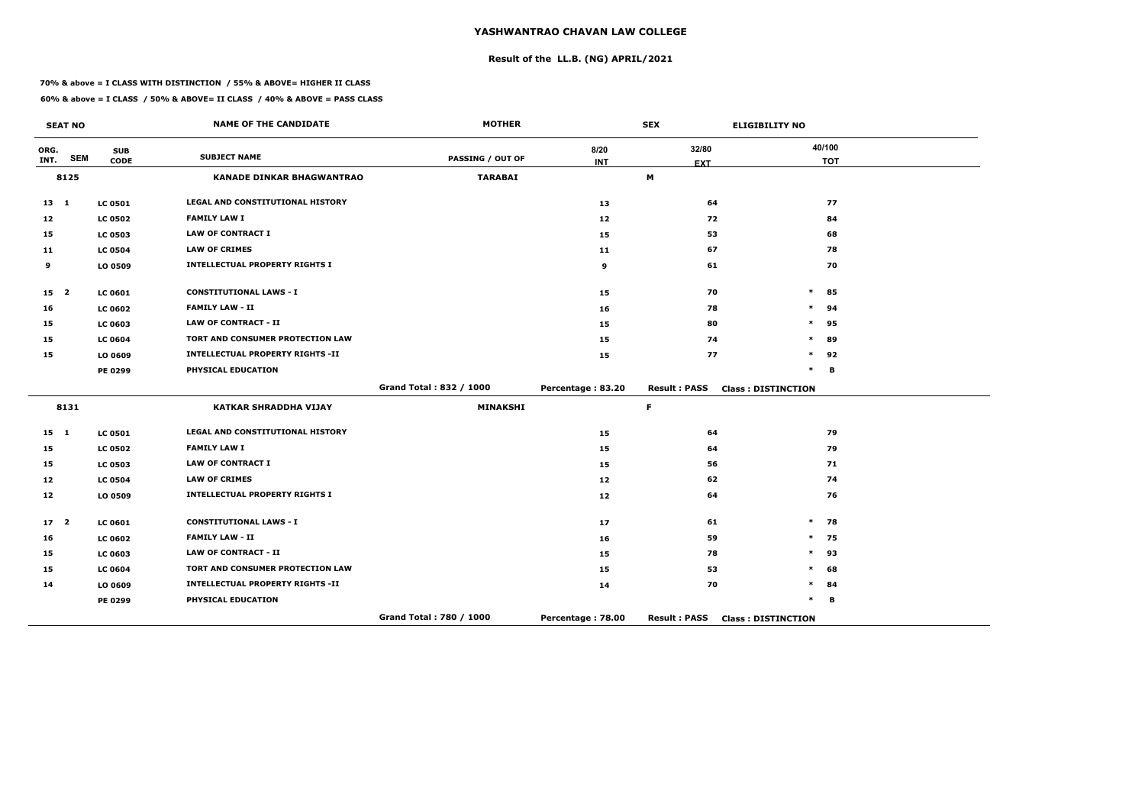# **Result of the LL.B. (NG) APRIL/2021**

#### **70% & above = I CLASS WITH DISTINCTION / 55% & ABOVE= HIGHER II CLASS**

|                 | <b>SEAT NO</b> |                           | <b>NAME OF THE CANDIDATE</b>            | <b>MOTHER</b>           |                    | <b>SEX</b>          | <b>ELIGIBILITY NO</b>     |
|-----------------|----------------|---------------------------|-----------------------------------------|-------------------------|--------------------|---------------------|---------------------------|
| ORG.<br>INT.    | <b>SEM</b>     | <b>SUB</b><br><b>CODE</b> | <b>SUBJECT NAME</b>                     | <b>PASSING / OUT OF</b> | 8/20<br><b>INT</b> | 32/80<br><b>EXT</b> | 40/100<br><b>TOT</b>      |
|                 | 8125           |                           | <b>KANADE DINKAR BHAGWANTRAO</b>        | <b>TARABAI</b>          |                    | M                   |                           |
| 13 1            |                | <b>LC 0501</b>            | LEGAL AND CONSTITUTIONAL HISTORY        |                         | 13                 | 64                  | 77                        |
| 12              |                | <b>LC 0502</b>            | <b>FAMILY LAW I</b>                     |                         | 12                 | 72                  | 84                        |
| 15              |                | <b>LC 0503</b>            | <b>LAW OF CONTRACT I</b>                |                         | 15                 | 53                  | 68                        |
| 11              |                | <b>LC 0504</b>            | <b>LAW OF CRIMES</b>                    |                         | 11                 | 67                  | 78                        |
| 9               |                | LO 0509                   | <b>INTELLECTUAL PROPERTY RIGHTS I</b>   |                         | 9                  | 61                  | 70                        |
| 15 <sub>2</sub> |                | <b>LC 0601</b>            | <b>CONSTITUTIONAL LAWS - I</b>          |                         | 15                 | 70                  | $\ast$<br>85              |
| 16              |                | <b>LC 0602</b>            | <b>FAMILY LAW - II</b>                  |                         | 16                 | 78                  | $\ast$<br>94              |
| 15              |                | LC 0603                   | <b>LAW OF CONTRACT - II</b>             |                         | 15                 | 80                  | $\ast$<br>95              |
| 15              |                | <b>LC 0604</b>            | TORT AND CONSUMER PROTECTION LAW        |                         | 15                 | 74                  | 89<br>$\ast$              |
| 15              |                | LO 0609                   | <b>INTELLECTUAL PROPERTY RIGHTS -II</b> |                         | 15                 | 77                  | $\ast$<br>92              |
|                 |                | PE 0299                   | PHYSICAL EDUCATION                      |                         |                    |                     | $\ast$<br>В               |
|                 |                |                           |                                         | Grand Total: 832 / 1000 | Percentage: 83.20  | <b>Result: PASS</b> | <b>Class: DISTINCTION</b> |
|                 | 8131           |                           | <b>KATKAR SHRADDHA VIJAY</b>            | <b>MINAKSHI</b>         |                    | $\mathsf F$         |                           |
| $15 \quad 1$    |                | <b>LC 0501</b>            | LEGAL AND CONSTITUTIONAL HISTORY        |                         | 15                 | 64                  | 79                        |
| 15              |                | <b>LC 0502</b>            | <b>FAMILY LAW I</b>                     |                         | 15                 | 64                  | 79                        |
| 15              |                | <b>LC 0503</b>            | <b>LAW OF CONTRACT I</b>                |                         | 15                 | 56                  | 71                        |
| 12              |                | <b>LC 0504</b>            | <b>LAW OF CRIMES</b>                    |                         | 12                 | 62                  | 74                        |
| 12              |                | LO 0509                   | <b>INTELLECTUAL PROPERTY RIGHTS I</b>   |                         | 12                 | 64                  | 76                        |
| $17-2$          |                | <b>LC 0601</b>            | <b>CONSTITUTIONAL LAWS - I</b>          |                         | 17                 | 61                  | $\ast$<br>78              |
| 16              |                | <b>LC 0602</b>            | <b>FAMILY LAW - II</b>                  |                         | 16                 | 59                  | $\ast$<br>75              |
| 15              |                | LC 0603                   | <b>LAW OF CONTRACT - II</b>             |                         | 15                 | 78                  | $\ast$<br>93              |
| 15              |                | <b>LC 0604</b>            | TORT AND CONSUMER PROTECTION LAW        |                         | 15                 | 53                  | $\ast$<br>68              |
| 14              |                | LO 0609                   | <b>INTELLECTUAL PROPERTY RIGHTS -II</b> |                         | 14                 | 70                  | $\ast$<br>84              |
|                 |                | PE 0299                   | PHYSICAL EDUCATION                      |                         |                    |                     | $\ast$<br>B               |
|                 |                |                           |                                         | Grand Total: 780 / 1000 | Percentage: 78.00  | <b>Result: PASS</b> | <b>Class: DISTINCTION</b> |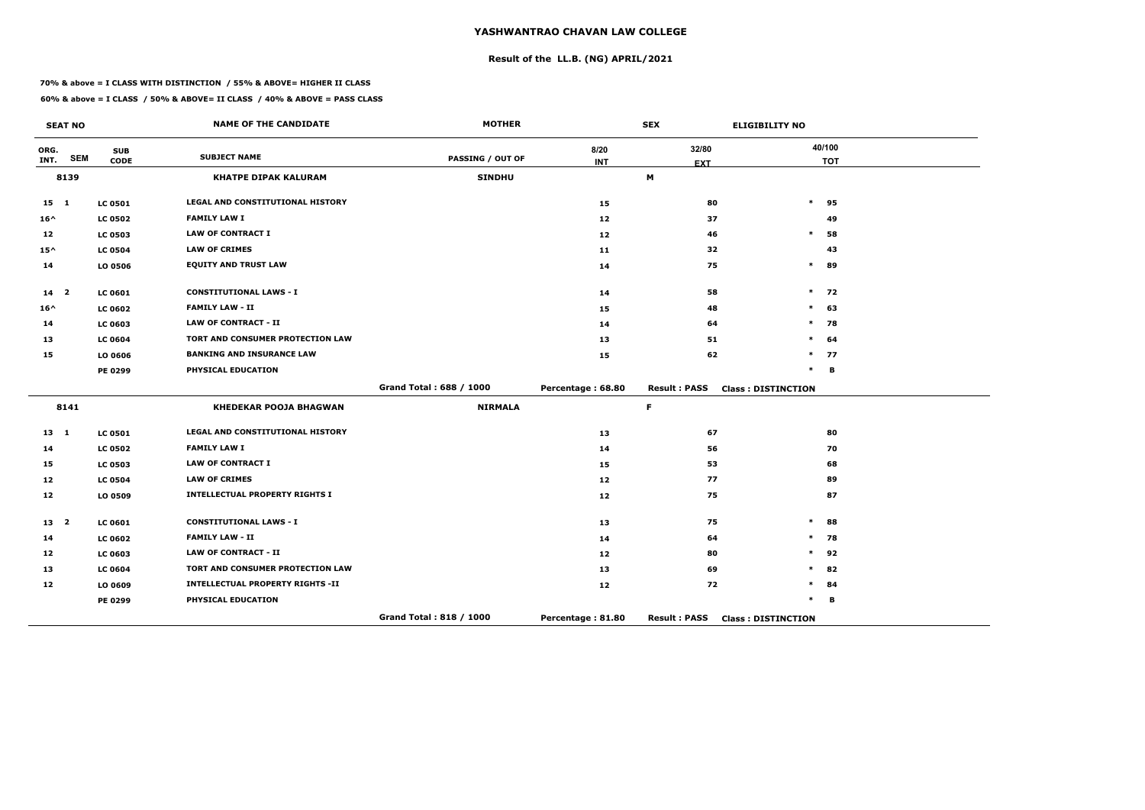# **Result of the LL.B. (NG) APRIL/2021**

#### **70% & above = I CLASS WITH DISTINCTION / 55% & ABOVE= HIGHER II CLASS**

| <b>SEAT NO</b>  |            |                           | <b>NAME OF THE CANDIDATE</b>            | <b>MOTHER</b>           |                    | <b>SEX</b>          | <b>ELIGIBILITY NO</b>     |  |
|-----------------|------------|---------------------------|-----------------------------------------|-------------------------|--------------------|---------------------|---------------------------|--|
| ORG.<br>INT.    | <b>SEM</b> | <b>SUB</b><br><b>CODE</b> | <b>SUBJECT NAME</b>                     | <b>PASSING / OUT OF</b> | 8/20<br><b>INT</b> | 32/80<br><b>EXT</b> | 40/100<br><b>TOT</b>      |  |
|                 | 8139       |                           | <b>KHATPE DIPAK KALURAM</b>             | <b>SINDHU</b>           |                    | M                   |                           |  |
| $15 \quad 1$    |            | <b>LC 0501</b>            | <b>LEGAL AND CONSTITUTIONAL HISTORY</b> |                         | 15                 | 80                  | $\ast$<br>95              |  |
| $16^{\wedge}$   |            | <b>LC 0502</b>            | <b>FAMILY LAW I</b>                     |                         | $12$               | 37                  | 49                        |  |
| 12              |            | <b>LC 0503</b>            | <b>LAW OF CONTRACT I</b>                |                         | $12$               | 46                  | $\ast$<br>58              |  |
| $15^{\wedge}$   |            | <b>LC 0504</b>            | <b>LAW OF CRIMES</b>                    |                         | 11                 | 32                  | 43                        |  |
| 14              |            | LO 0506                   | <b>EQUITY AND TRUST LAW</b>             |                         | 14                 | 75                  | $\ast$<br>89              |  |
| 14 <sub>2</sub> |            | <b>LC 0601</b>            | <b>CONSTITUTIONAL LAWS - I</b>          |                         | 14                 | 58                  | $\ast$<br>72              |  |
| $16^{\wedge}$   |            | <b>LC 0602</b>            | <b>FAMILY LAW - II</b>                  |                         | 15                 | 48                  | $\ast$<br>63              |  |
| 14              |            | <b>LC 0603</b>            | <b>LAW OF CONTRACT - II</b>             |                         | 14                 | 64                  | $\ast$<br>78              |  |
| 13              |            | <b>LC 0604</b>            | TORT AND CONSUMER PROTECTION LAW        |                         | 13                 | 51                  | $\ast$<br>64              |  |
| 15              |            | LO 0606                   | <b>BANKING AND INSURANCE LAW</b>        |                         | 15                 | 62                  | $\ast$<br>77              |  |
|                 |            | <b>PE 0299</b>            | PHYSICAL EDUCATION                      |                         |                    |                     | $\ast$<br>B               |  |
|                 |            |                           |                                         | Grand Total: 688 / 1000 | Percentage: 68.80  | <b>Result: PASS</b> | <b>Class: DISTINCTION</b> |  |
|                 | 8141       |                           | <b>KHEDEKAR POOJA BHAGWAN</b>           | <b>NIRMALA</b>          |                    | F.                  |                           |  |
| $13 \quad 1$    |            | <b>LC 0501</b>            | <b>LEGAL AND CONSTITUTIONAL HISTORY</b> |                         | 13                 | 67                  | 80                        |  |
| 14              |            | <b>LC 0502</b>            | <b>FAMILY LAW I</b>                     |                         | 14                 | 56                  | 70                        |  |
| 15              |            | <b>LC 0503</b>            | <b>LAW OF CONTRACT I</b>                |                         | 15                 | 53                  | 68                        |  |
| 12              |            | <b>LC 0504</b>            | <b>LAW OF CRIMES</b>                    |                         | 12                 | 77                  | 89                        |  |
| 12              |            | LO 0509                   | <b>INTELLECTUAL PROPERTY RIGHTS I</b>   |                         | 12                 | 75                  | 87                        |  |
| 13 <sup>2</sup> |            | LC 0601                   | <b>CONSTITUTIONAL LAWS - I</b>          |                         | 13                 | 75                  | $\ast$<br>88              |  |
| 14              |            | <b>LC 0602</b>            | <b>FAMILY LAW - II</b>                  |                         | 14                 | 64                  | 78<br>$\ast$              |  |
| 12              |            | <b>LC 0603</b>            | <b>LAW OF CONTRACT - II</b>             |                         | 12                 | 80                  | $\ast$<br>92              |  |
| 13              |            | <b>LC 0604</b>            | TORT AND CONSUMER PROTECTION LAW        |                         | 13                 | 69                  | $\ast$<br>82              |  |
| 12              |            | LO 0609                   | <b>INTELLECTUAL PROPERTY RIGHTS -II</b> |                         | 12                 | 72                  | $\ast$<br>84              |  |
|                 |            | <b>PE 0299</b>            | PHYSICAL EDUCATION                      |                         |                    |                     | $\ast$<br>B               |  |
|                 |            |                           |                                         | Grand Total: 818 / 1000 | Percentage: 81.80  | <b>Result: PASS</b> | <b>Class: DISTINCTION</b> |  |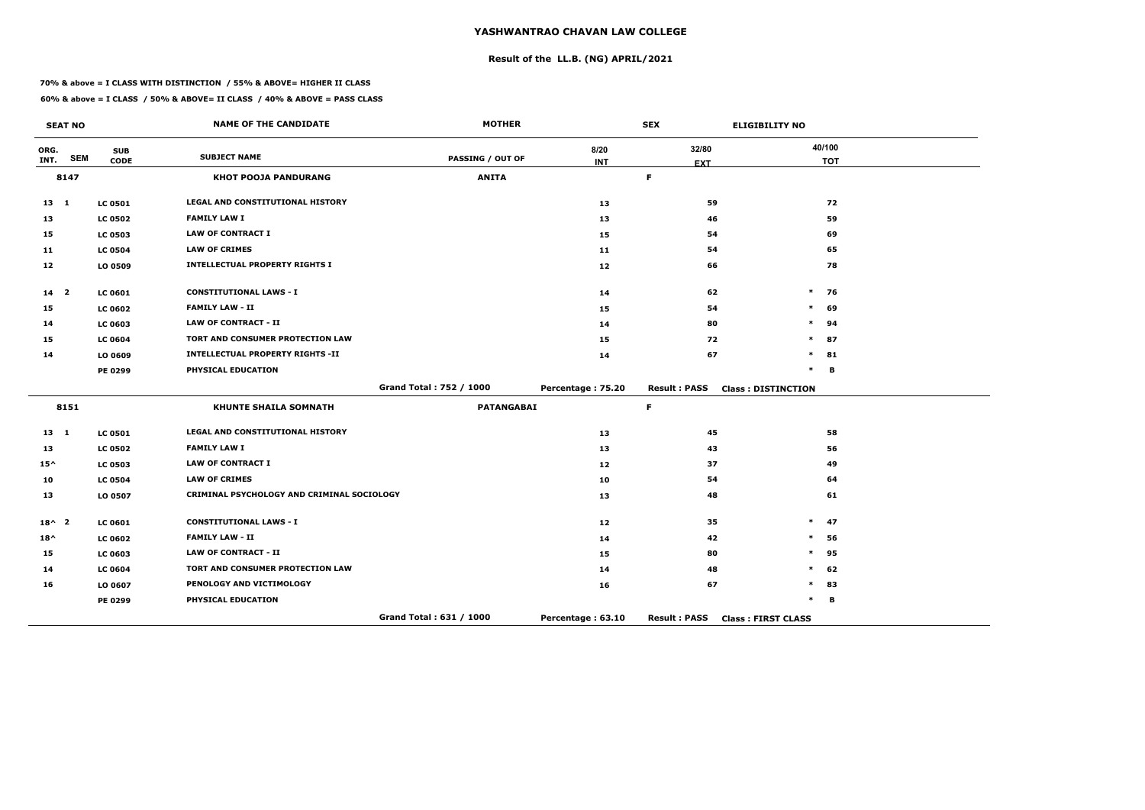# **Result of the LL.B. (NG) APRIL/2021**

#### **70% & above = I CLASS WITH DISTINCTION / 55% & ABOVE= HIGHER II CLASS**

**60% & above = I CLASS / 50% & ABOVE= II CLASS / 40% & ABOVE = PASS CLASS**

|                 | <b>SEAT NO</b> |                | <b>NAME OF THE CANDIDATE</b>               | <b>MOTHER</b>           |                   | <b>SEX</b>          | <b>ELIGIBILITY NO</b>     |
|-----------------|----------------|----------------|--------------------------------------------|-------------------------|-------------------|---------------------|---------------------------|
| ORG.            | <b>SEM</b>     | <b>SUB</b>     | <b>SUBJECT NAME</b>                        | <b>PASSING / OUT OF</b> | 8/20              | 32/80               | 40/100                    |
| INT.            |                | <b>CODE</b>    |                                            |                         | <b>INT</b>        | <b>EXT</b>          | <b>TOT</b>                |
|                 | 8147           |                | <b>KHOT POOJA PANDURANG</b>                | <b>ANITA</b>            |                   | $\mathsf F$         |                           |
| $13 \quad 1$    |                | <b>LC 0501</b> | <b>LEGAL AND CONSTITUTIONAL HISTORY</b>    |                         | 13                | 59                  | 72                        |
| 13              |                | <b>LC 0502</b> | <b>FAMILY LAW I</b>                        |                         | 13                | 46                  | 59                        |
| 15              |                | <b>LC 0503</b> | <b>LAW OF CONTRACT I</b>                   |                         | 15                | 54                  | 69                        |
| 11              |                | <b>LC 0504</b> | <b>LAW OF CRIMES</b>                       |                         | 11                | 54                  | 65                        |
| 12              |                | LO 0509        | <b>INTELLECTUAL PROPERTY RIGHTS I</b>      |                         | 12                | 66                  | 78                        |
| 14 <sub>2</sub> |                | <b>LC 0601</b> | <b>CONSTITUTIONAL LAWS - I</b>             |                         | 14                | 62                  | $\ast$<br>76              |
| 15              |                | <b>LC 0602</b> | <b>FAMILY LAW - II</b>                     |                         | 15                | 54                  | 69<br>$\ast$              |
| 14              |                | <b>LC 0603</b> | <b>LAW OF CONTRACT - II</b>                |                         | 14                | 80                  | $\ast$<br>94              |
| 15              |                | <b>LC 0604</b> | TORT AND CONSUMER PROTECTION LAW           |                         | 15                | 72                  | $\ast$<br>87              |
| 14              |                | LO 0609        | <b>INTELLECTUAL PROPERTY RIGHTS -II</b>    |                         | 14                | 67                  | $\ast$<br>81              |
|                 |                | PE 0299        | PHYSICAL EDUCATION                         |                         |                   |                     | $\ast$<br>B               |
|                 |                |                |                                            | Grand Total: 752 / 1000 | Percentage: 75.20 | <b>Result: PASS</b> | <b>Class: DISTINCTION</b> |
|                 | 8151           |                | <b>KHUNTE SHAILA SOMNATH</b>               | <b>PATANGABAI</b>       |                   | $\mathsf F$         |                           |
| $13 \quad 1$    |                | <b>LC 0501</b> | LEGAL AND CONSTITUTIONAL HISTORY           |                         | 13                | 45                  | 58                        |
| 13              |                | <b>LC 0502</b> | <b>FAMILY LAW I</b>                        |                         | 13                | 43                  | 56                        |
| $15^{\wedge}$   |                | <b>LC 0503</b> | <b>LAW OF CONTRACT I</b>                   |                         | 12                | 37                  | 49                        |
| 10              |                | <b>LC 0504</b> | <b>LAW OF CRIMES</b>                       |                         | 10                | 54                  | 64                        |
| 13              |                | LO 0507        | CRIMINAL PSYCHOLOGY AND CRIMINAL SOCIOLOGY |                         | 13                | 48                  | 61                        |
| $18^{\wedge}$ 2 |                | <b>LC 0601</b> | <b>CONSTITUTIONAL LAWS - I</b>             |                         | 12                | 35                  | $\ast$<br>47              |
| $18^{\wedge}$   |                | <b>LC 0602</b> | <b>FAMILY LAW - II</b>                     |                         | 14                | 42                  | $\ast$<br>56              |
| 15              |                | <b>LC 0603</b> | <b>LAW OF CONTRACT - II</b>                |                         | 15                | 80                  | $\ast$<br>95              |
| 14              |                | <b>LC 0604</b> | TORT AND CONSUMER PROTECTION LAW           |                         | 14                | 48                  | $\ast$<br>62              |
| 16              |                | LO 0607        | PENOLOGY AND VICTIMOLOGY                   |                         | 16                | 67                  | $\ast$<br>83              |
|                 |                | <b>PE 0299</b> | PHYSICAL EDUCATION                         |                         |                   |                     | *<br>B                    |
|                 |                |                |                                            | Grand Total: 631 / 1000 | Percentage: 63.10 | <b>Result: PASS</b> | <b>Class: FIRST CLASS</b> |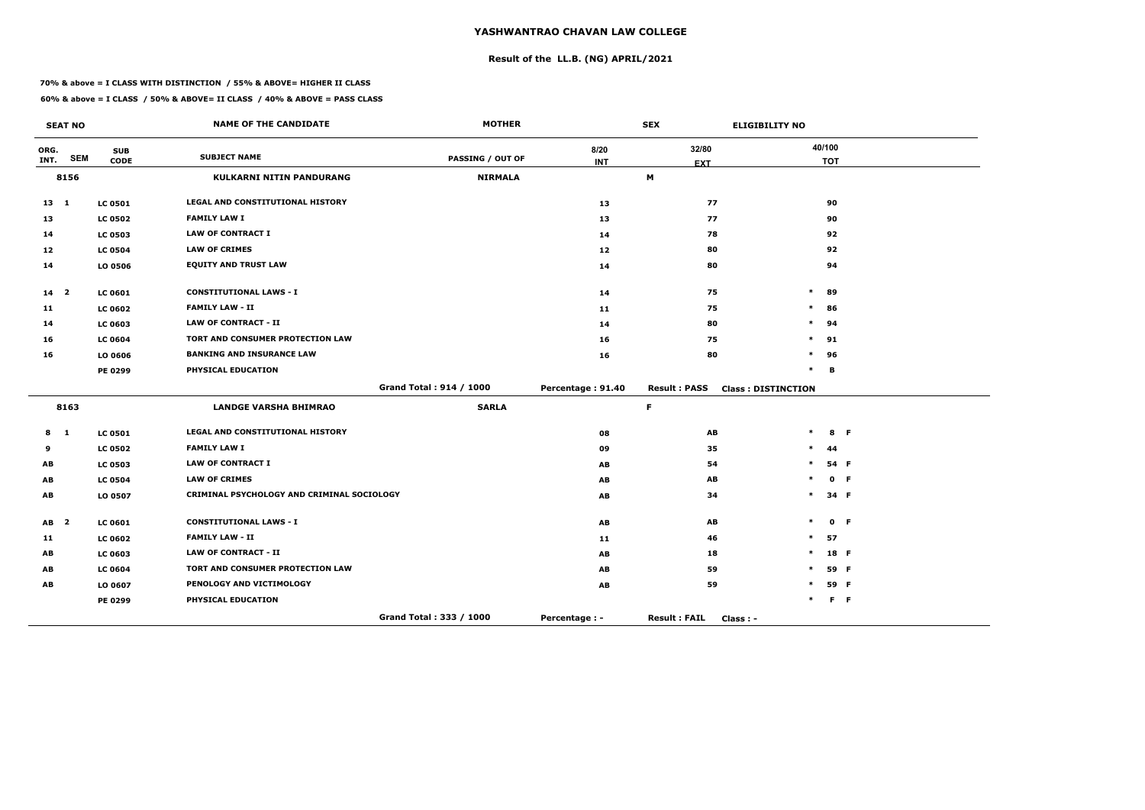# **Result of the LL.B. (NG) APRIL/2021**

#### **70% & above = I CLASS WITH DISTINCTION / 55% & ABOVE= HIGHER II CLASS**

|              | <b>SEAT NO</b> |                | <b>NAME OF THE CANDIDATE</b>               | <b>MOTHER</b>           |                   | <b>SEX</b>                       | <b>ELIGIBILITY NO</b>     |            |  |
|--------------|----------------|----------------|--------------------------------------------|-------------------------|-------------------|----------------------------------|---------------------------|------------|--|
| ORG.         |                | <b>SUB</b>     | <b>SUBJECT NAME</b>                        |                         | 8/20              | 32/80                            |                           | 40/100     |  |
| INT.         | <b>SEM</b>     | <b>CODE</b>    |                                            | <b>PASSING / OUT OF</b> | <b>INT</b>        | <b>EXT</b>                       |                           | <b>TOT</b> |  |
|              | 8156           |                | <b>KULKARNI NITIN PANDURANG</b>            | <b>NIRMALA</b>          |                   | M                                |                           |            |  |
| $13 \quad 1$ |                | <b>LC 0501</b> | LEGAL AND CONSTITUTIONAL HISTORY           |                         | 13                | 77                               |                           | 90         |  |
| 13           |                | <b>LC 0502</b> | <b>FAMILY LAW I</b>                        |                         | 13                | 77                               |                           | 90         |  |
| 14           |                | <b>LC 0503</b> | <b>LAW OF CONTRACT I</b>                   |                         | 14                | 78                               |                           | 92         |  |
| 12           |                | <b>LC 0504</b> | <b>LAW OF CRIMES</b>                       |                         | 12 <sub>1</sub>   | 80                               |                           | 92         |  |
| 14           |                | LO 0506        | <b>EQUITY AND TRUST LAW</b>                |                         | 14                | 80                               |                           | 94         |  |
| 14 2         |                | <b>LC 0601</b> | <b>CONSTITUTIONAL LAWS - I</b>             |                         | 14                | 75                               | $\ast$                    | 89         |  |
| 11           |                | <b>LC 0602</b> | <b>FAMILY LAW - II</b>                     |                         | 11                | 75                               | $\ast$                    | 86         |  |
| 14           |                | <b>LC 0603</b> | <b>LAW OF CONTRACT - II</b>                |                         | 14                | 80                               | *                         | 94         |  |
| 16           |                | <b>LC 0604</b> | TORT AND CONSUMER PROTECTION LAW           |                         | 16                | 75                               | $\ast$                    | 91         |  |
| 16           |                | LO 0606        | <b>BANKING AND INSURANCE LAW</b>           |                         | 16                | 80                               | $\ast$                    | 96         |  |
|              |                | PE 0299        | PHYSICAL EDUCATION                         |                         |                   |                                  | $\ast$                    | B          |  |
|              |                |                |                                            | Grand Total: 914 / 1000 | Percentage: 91.40 | <b>Result: PASS</b>              | <b>Class: DISTINCTION</b> |            |  |
|              | 8163           |                | <b>LANDGE VARSHA BHIMRAO</b>               | <b>SARLA</b>            |                   | $\mathsf F$                      |                           |            |  |
| 8            | $\mathbf{1}$   | <b>LC 0501</b> | <b>LEGAL AND CONSTITUTIONAL HISTORY</b>    |                         | 08                | AB                               | $\ast$                    | 8 F        |  |
| 9            |                | <b>LC 0502</b> | <b>FAMILY LAW I</b>                        |                         | 09                | 35                               |                           | 44         |  |
| AB           |                | <b>LC 0503</b> | <b>LAW OF CONTRACT I</b>                   |                         | AB                | 54                               |                           | 54 F       |  |
| AB           |                | <b>LC 0504</b> | <b>LAW OF CRIMES</b>                       |                         | AB                | AB                               |                           | 0 F        |  |
| AB           |                | LO 0507        | CRIMINAL PSYCHOLOGY AND CRIMINAL SOCIOLOGY |                         | AB                | 34                               | $\ast$                    | 34 F       |  |
| $AB$ 2       |                | <b>LC 0601</b> | <b>CONSTITUTIONAL LAWS - I</b>             |                         | AB                | AB                               | $\ast$                    | 0 F        |  |
| 11           |                | <b>LC 0602</b> | <b>FAMILY LAW - II</b>                     |                         | 11                | 46                               | $\ast$                    | 57         |  |
| AB           |                | <b>LC 0603</b> | <b>LAW OF CONTRACT - II</b>                |                         | AB                | 18                               | $\ast$                    | 18 F       |  |
| AB           |                | <b>LC 0604</b> | TORT AND CONSUMER PROTECTION LAW           |                         | AB                | 59                               | $\ast$                    | 59 F       |  |
| AB           |                | LO 0607        | PENOLOGY AND VICTIMOLOGY                   |                         | AB                | 59                               |                           | 59 F       |  |
|              |                | PE 0299        | PHYSICAL EDUCATION                         |                         |                   |                                  |                           | F F        |  |
|              |                |                |                                            | Grand Total: 333 / 1000 | Percentage : -    | <b>Result: FAIL</b><br>Class : - |                           |            |  |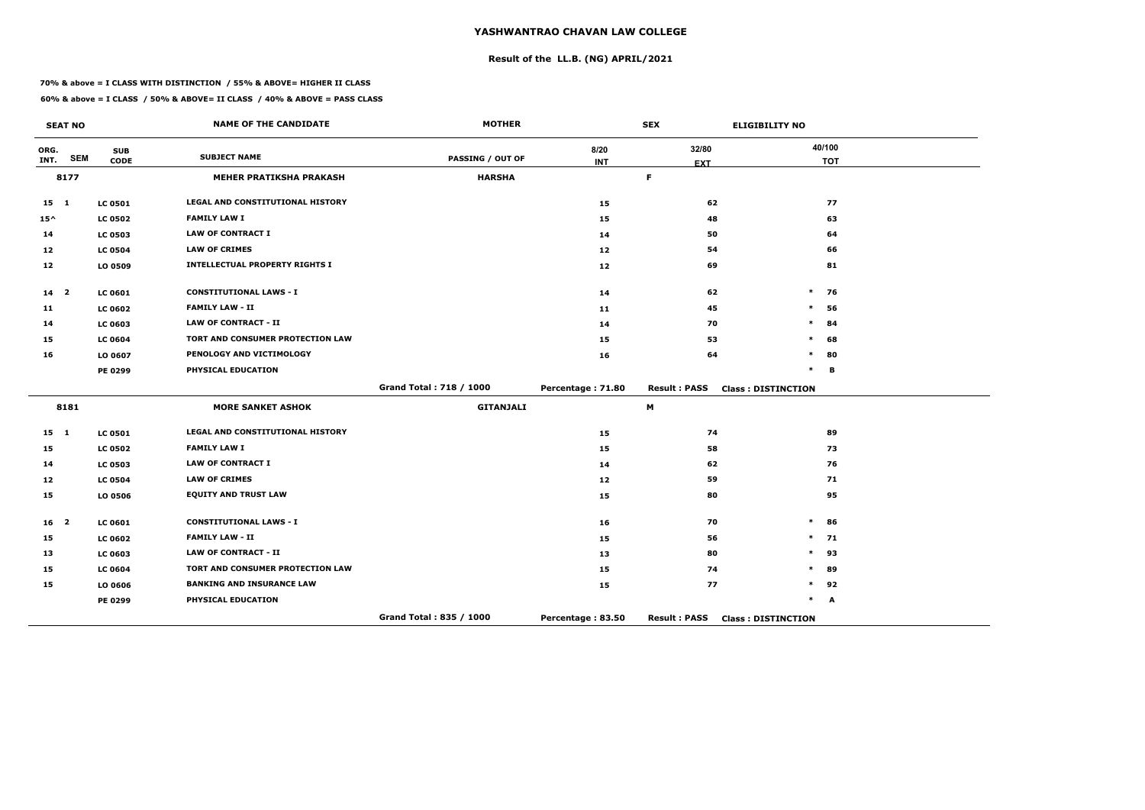# **Result of the LL.B. (NG) APRIL/2021**

#### **70% & above = I CLASS WITH DISTINCTION / 55% & ABOVE= HIGHER II CLASS**

|                 | <b>SEAT NO</b> |                           | <b>NAME OF THE CANDIDATE</b>          | <b>MOTHER</b>           |                    | <b>SEX</b>                | <b>ELIGIBILITY NO</b>     |
|-----------------|----------------|---------------------------|---------------------------------------|-------------------------|--------------------|---------------------------|---------------------------|
| ORG.<br>INT.    | <b>SEM</b>     | <b>SUB</b><br><b>CODE</b> | <b>SUBJECT NAME</b>                   | <b>PASSING / OUT OF</b> | 8/20<br><b>INT</b> | 32/80                     | 40/100<br><b>TOT</b>      |
|                 | 8177           |                           | <b>MEHER PRATIKSHA PRAKASH</b>        | <b>HARSHA</b>           |                    | <b>EXT</b><br>$\mathsf F$ |                           |
|                 |                |                           |                                       |                         |                    |                           |                           |
| 15 1            |                | <b>LC 0501</b>            | LEGAL AND CONSTITUTIONAL HISTORY      |                         | 15                 | 62                        | 77                        |
| $15^{\wedge}$   |                | <b>LC 0502</b>            | <b>FAMILY LAW I</b>                   |                         | 15                 | 48                        | 63                        |
| 14              |                | <b>LC 0503</b>            | <b>LAW OF CONTRACT I</b>              |                         | 14                 | 50                        | 64                        |
| 12              |                | <b>LC 0504</b>            | <b>LAW OF CRIMES</b>                  |                         | 12                 | 54                        | 66                        |
| 12              |                | LO 0509                   | <b>INTELLECTUAL PROPERTY RIGHTS I</b> |                         | 12                 | 69                        | 81                        |
| 14 <sub>2</sub> |                | <b>LC 0601</b>            | <b>CONSTITUTIONAL LAWS - I</b>        |                         | 14                 | 62                        | $\ast$<br>76              |
| 11              |                | <b>LC 0602</b>            | <b>FAMILY LAW - II</b>                |                         | 11                 | 45                        | $\ast$<br>56              |
| 14              |                | <b>LC 0603</b>            | <b>LAW OF CONTRACT - II</b>           |                         | 14                 | 70                        | $\ast$<br>84              |
| 15              |                | <b>LC 0604</b>            | TORT AND CONSUMER PROTECTION LAW      |                         | 15                 | 53                        | 68<br>$\ast$              |
| 16              |                | LO 0607                   | PENOLOGY AND VICTIMOLOGY              |                         | 16                 | 64                        | $\ast$<br>80              |
|                 |                | PE 0299                   | PHYSICAL EDUCATION                    |                         |                    |                           | $\ast$<br>В               |
|                 |                |                           |                                       | Grand Total: 718 / 1000 | Percentage: 71.80  | <b>Result: PASS</b>       | <b>Class: DISTINCTION</b> |
|                 | 8181           |                           | <b>MORE SANKET ASHOK</b>              | <b>GITANJALI</b>        |                    | M                         |                           |
| $15 \quad 1$    |                | <b>LC 0501</b>            | LEGAL AND CONSTITUTIONAL HISTORY      |                         | 15                 | 74                        | 89                        |
| 15              |                | <b>LC 0502</b>            | <b>FAMILY LAW I</b>                   |                         | 15                 | 58                        | 73                        |
| 14              |                | <b>LC 0503</b>            | <b>LAW OF CONTRACT I</b>              |                         | 14                 | 62                        | 76                        |
| 12              |                | <b>LC 0504</b>            | <b>LAW OF CRIMES</b>                  |                         | 12                 | 59                        | 71                        |
| 15              |                | LO 0506                   | <b>EQUITY AND TRUST LAW</b>           |                         | 15                 | 80                        | 95                        |
| 16 <sup>2</sup> |                | <b>LC 0601</b>            | <b>CONSTITUTIONAL LAWS - I</b>        |                         | 16                 | 70                        | $\ast$<br>86              |
| 15              |                | <b>LC 0602</b>            | <b>FAMILY LAW - II</b>                |                         | 15                 | 56                        | $\ast$<br>71              |
| 13              |                | LC 0603                   | <b>LAW OF CONTRACT - II</b>           |                         | 13                 | 80                        | $\ast$<br>93              |
| 15              |                | <b>LC 0604</b>            | TORT AND CONSUMER PROTECTION LAW      |                         | 15                 | 74                        | $\ast$<br>89              |
| 15              |                | LO 0606                   | <b>BANKING AND INSURANCE LAW</b>      |                         | 15                 | 77                        | $\ast$<br>92              |
|                 |                | PE 0299                   | PHYSICAL EDUCATION                    |                         |                    |                           | $\ast$<br>A               |
|                 |                |                           |                                       | Grand Total: 835 / 1000 | Percentage: 83.50  | <b>Result: PASS</b>       | <b>Class: DISTINCTION</b> |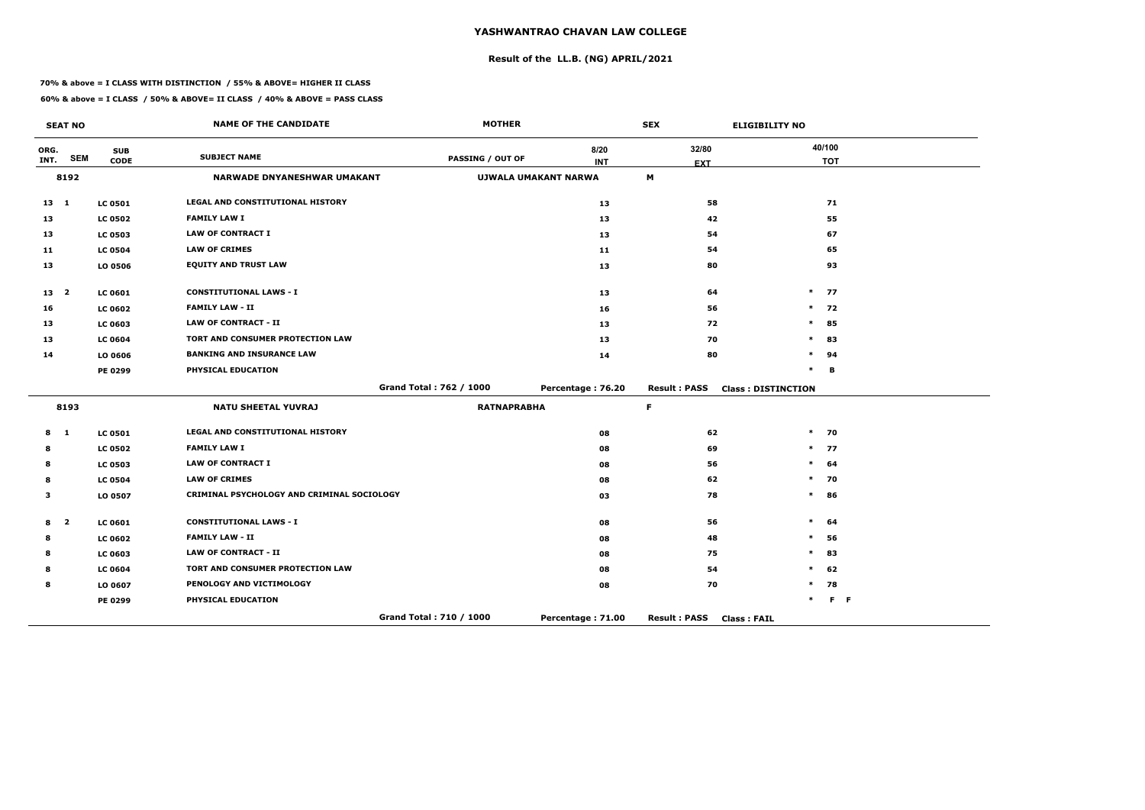**Result of the LL.B. (NG) APRIL/2021**

#### **70% & above = I CLASS WITH DISTINCTION / 55% & ABOVE= HIGHER II CLASS**

|                 | <b>SEAT NO</b>          |                           | <b>NAME OF THE CANDIDATE</b>               | <b>MOTHER</b>           |                             | <b>SEX</b>                                | <b>ELIGIBILITY NO</b>     |                      |  |
|-----------------|-------------------------|---------------------------|--------------------------------------------|-------------------------|-----------------------------|-------------------------------------------|---------------------------|----------------------|--|
| ORG.<br>INT.    | <b>SEM</b>              | <b>SUB</b><br><b>CODE</b> | <b>SUBJECT NAME</b>                        | <b>PASSING / OUT OF</b> | 8/20<br><b>INT</b>          | 32/80<br><b>EXT</b>                       |                           | 40/100<br><b>TOT</b> |  |
|                 | 8192                    |                           | <b>NARWADE DNYANESHWAR UMAKANT</b>         |                         | <b>UJWALA UMAKANT NARWA</b> | M                                         |                           |                      |  |
| $13 \quad 1$    |                         | <b>LC 0501</b>            | LEGAL AND CONSTITUTIONAL HISTORY           |                         | 13                          | 58                                        |                           | 71                   |  |
| 13              |                         | <b>LC 0502</b>            | <b>FAMILY LAW I</b>                        |                         | 13                          | 42                                        |                           | 55                   |  |
| 13              |                         | <b>LC 0503</b>            | <b>LAW OF CONTRACT I</b>                   |                         | 13                          | 54                                        |                           | 67                   |  |
| 11              |                         | <b>LC 0504</b>            | <b>LAW OF CRIMES</b>                       |                         | 11                          | 54                                        |                           | 65                   |  |
| 13              |                         | LO 0506                   | <b>EQUITY AND TRUST LAW</b>                |                         | 13                          | 80                                        |                           | 93                   |  |
| 13 <sub>2</sub> |                         | LC 0601                   | <b>CONSTITUTIONAL LAWS - I</b>             |                         | 13                          | 64                                        |                           | $*$ 77               |  |
| 16              |                         | <b>LC 0602</b>            | <b>FAMILY LAW - II</b>                     |                         | 16                          | 56                                        | $\ast$                    | 72                   |  |
| 13              |                         | <b>LC 0603</b>            | <b>LAW OF CONTRACT - II</b>                |                         | 13                          | 72                                        | $\ast$                    | 85                   |  |
| 13              |                         | <b>LC 0604</b>            | TORT AND CONSUMER PROTECTION LAW           |                         | 13                          | 70                                        | $\ast$                    | 83                   |  |
| 14              |                         | LO 0606                   | <b>BANKING AND INSURANCE LAW</b>           |                         | 14                          | 80                                        | $\ast$                    | 94                   |  |
|                 |                         | PE 0299                   | PHYSICAL EDUCATION                         |                         |                             |                                           | $\ast$                    | В                    |  |
|                 |                         |                           |                                            | Grand Total: 762 / 1000 | Percentage: 76.20           | <b>Result: PASS</b>                       | <b>Class: DISTINCTION</b> |                      |  |
|                 | 8193                    |                           | <b>NATU SHEETAL YUVRAJ</b>                 | <b>RATNAPRABHA</b>      |                             | F                                         |                           |                      |  |
| 8               | $\mathbf{1}$            | <b>LC 0501</b>            | LEGAL AND CONSTITUTIONAL HISTORY           |                         | 08                          | 62                                        | $\ast$                    | 70                   |  |
| 8               |                         | <b>LC 0502</b>            | <b>FAMILY LAW I</b>                        |                         | 08                          | 69                                        |                           | $*$ 77               |  |
| 8               |                         | <b>LC 0503</b>            | <b>LAW OF CONTRACT I</b>                   |                         | 08                          | 56                                        | $\ast$                    | 64                   |  |
| 8               |                         | <b>LC 0504</b>            | <b>LAW OF CRIMES</b>                       |                         | 08                          | 62                                        | $\ast$                    | 70                   |  |
| 3               |                         | LO 0507                   | CRIMINAL PSYCHOLOGY AND CRIMINAL SOCIOLOGY |                         | 03                          | 78                                        | $\ast$                    | 86                   |  |
| 8               | $\overline{\mathbf{2}}$ | <b>LC 0601</b>            | <b>CONSTITUTIONAL LAWS - I</b>             |                         | 08                          | 56                                        | $\ast$                    | 64                   |  |
| 8               |                         | <b>LC 0602</b>            | <b>FAMILY LAW - II</b>                     |                         | 08                          | 48                                        | $\ast$                    | 56                   |  |
| 8               |                         | <b>LC 0603</b>            | <b>LAW OF CONTRACT - II</b>                |                         | 08                          | 75                                        | $\ast$                    | 83                   |  |
| 8               |                         | <b>LC 0604</b>            | TORT AND CONSUMER PROTECTION LAW           |                         | 08                          | 54                                        | ∗                         | 62                   |  |
| 8               |                         | LO 0607                   | PENOLOGY AND VICTIMOLOGY                   |                         | 08                          | 70                                        | $\ast$                    | 78                   |  |
|                 |                         | PE 0299                   | PHYSICAL EDUCATION                         |                         |                             |                                           | $\ast$                    | $F - F$              |  |
|                 |                         |                           |                                            | Grand Total: 710 / 1000 | Percentage: 71.00           | <b>Result: PASS</b><br><b>Class: FAIL</b> |                           |                      |  |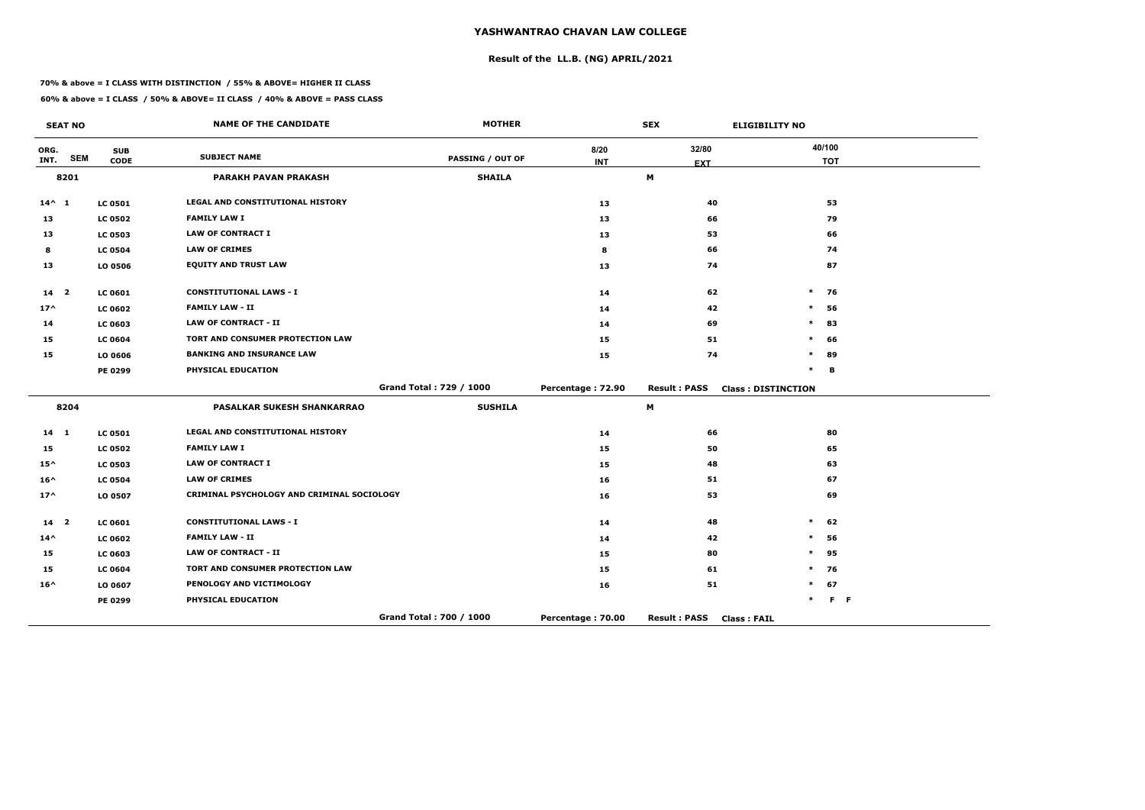# **Result of the LL.B. (NG) APRIL/2021**

#### **70% & above = I CLASS WITH DISTINCTION / 55% & ABOVE= HIGHER II CLASS**

|                 | <b>SEAT NO</b> |                           | <b>NAME OF THE CANDIDATE</b>               | <b>MOTHER</b>           |                   | <b>SEX</b>                                | <b>ELIGIBILITY NO</b>     |            |
|-----------------|----------------|---------------------------|--------------------------------------------|-------------------------|-------------------|-------------------------------------------|---------------------------|------------|
| ORG.<br>INT.    | <b>SEM</b>     | <b>SUB</b><br><b>CODE</b> | <b>SUBJECT NAME</b>                        | <b>PASSING / OUT OF</b> | 8/20              | 32/80                                     | 40/100                    | <b>TOT</b> |
|                 | 8201           |                           | <b>PARAKH PAVAN PRAKASH</b>                | <b>SHAILA</b>           | <b>INT</b>        | <b>EXT</b><br>M                           |                           |            |
|                 |                |                           |                                            |                         |                   |                                           |                           |            |
| $14^{\wedge} 1$ |                | <b>LC 0501</b>            | LEGAL AND CONSTITUTIONAL HISTORY           |                         | 13                | 40                                        |                           | 53         |
| 13              |                | <b>LC 0502</b>            | <b>FAMILY LAW I</b>                        |                         | 13                | 66                                        |                           | 79         |
| 13              |                | <b>LC 0503</b>            | <b>LAW OF CONTRACT I</b>                   |                         | 13                | 53                                        |                           | 66         |
| 8               |                | <b>LC 0504</b>            | <b>LAW OF CRIMES</b>                       |                         | 8                 | 66                                        |                           | 74         |
| 13              |                | LO 0506                   | <b>EQUITY AND TRUST LAW</b>                |                         | 13                | 74                                        |                           | 87         |
| 14 <sub>2</sub> |                | <b>LC 0601</b>            | <b>CONSTITUTIONAL LAWS - I</b>             |                         | 14                | 62                                        | $\ast$                    | 76         |
| $17^$           |                | <b>LC 0602</b>            | <b>FAMILY LAW - II</b>                     |                         | 14                | 42                                        | $\ast$                    | 56         |
| 14              |                | <b>LC 0603</b>            | <b>LAW OF CONTRACT - II</b>                |                         | 14                | 69                                        | $\ast$                    | 83         |
| 15              |                | <b>LC 0604</b>            | <b>TORT AND CONSUMER PROTECTION LAW</b>    |                         | 15                | 51                                        | $\ast$                    | 66         |
| 15              |                | LO 0606                   | <b>BANKING AND INSURANCE LAW</b>           |                         | 15                | 74                                        | $\ast$                    | 89         |
|                 |                | PE 0299                   | PHYSICAL EDUCATION                         |                         |                   |                                           | $\ast$                    | B          |
|                 |                |                           |                                            | Grand Total: 729 / 1000 | Percentage: 72.90 | <b>Result: PASS</b>                       | <b>Class: DISTINCTION</b> |            |
|                 | 8204           |                           | <b>PASALKAR SUKESH SHANKARRAO</b>          | <b>SUSHILA</b>          |                   | M                                         |                           |            |
| 14 1            |                | <b>LC 0501</b>            | LEGAL AND CONSTITUTIONAL HISTORY           |                         | 14                | 66                                        |                           | 80         |
| 15              |                | <b>LC 0502</b>            | <b>FAMILY LAW I</b>                        |                         | 15                | 50                                        |                           | 65         |
| $15^{\wedge}$   |                | <b>LC 0503</b>            | <b>LAW OF CONTRACT I</b>                   |                         | 15                | 48                                        |                           | 63         |
| $16^{\wedge}$   |                | <b>LC 0504</b>            | <b>LAW OF CRIMES</b>                       |                         | 16                | 51                                        |                           | 67         |
| $17^{\wedge}$   |                | LO 0507                   | CRIMINAL PSYCHOLOGY AND CRIMINAL SOCIOLOGY |                         | 16                | 53                                        |                           | 69         |
| 14 <sup>2</sup> |                | <b>LC 0601</b>            | <b>CONSTITUTIONAL LAWS - I</b>             |                         | 14                | 48                                        | $\ast$                    | 62         |
| $14^{\wedge}$   |                | <b>LC 0602</b>            | <b>FAMILY LAW - II</b>                     |                         | 14                | 42                                        | $\ast$                    | 56         |
| 15              |                | <b>LC 0603</b>            | <b>LAW OF CONTRACT - II</b>                |                         | 15                | 80                                        | $\ast$                    | 95         |
| 15              |                | <b>LC 0604</b>            | TORT AND CONSUMER PROTECTION LAW           |                         | 15                | 61                                        | $\ast$                    | 76         |
| $16^{\wedge}$   |                | LO 0607                   | PENOLOGY AND VICTIMOLOGY                   |                         | 16                | 51                                        | $\ast$                    | 67         |
|                 |                | PE 0299                   | PHYSICAL EDUCATION                         |                         |                   |                                           | $\ast$                    | $F - F$    |
|                 |                |                           |                                            | Grand Total: 700 / 1000 | Percentage: 70.00 | <b>Result: PASS</b><br><b>Class: FAIL</b> |                           |            |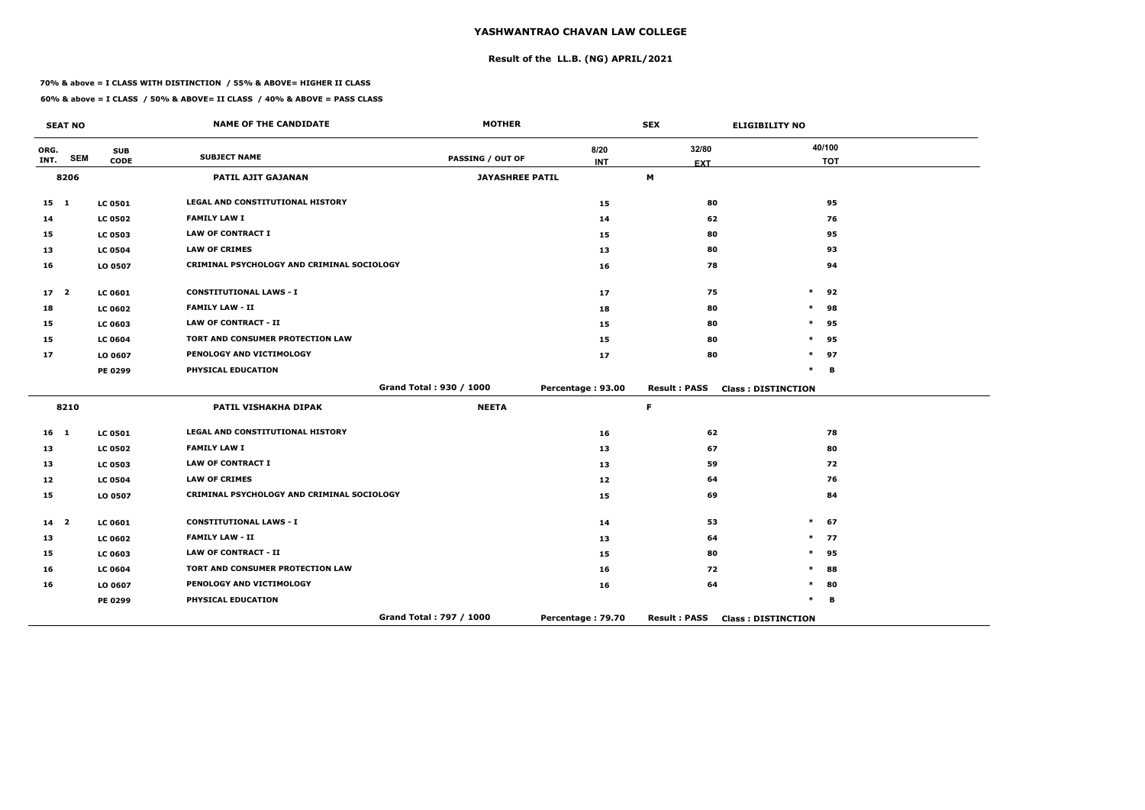# **Result of the LL.B. (NG) APRIL/2021**

#### **70% & above = I CLASS WITH DISTINCTION / 55% & ABOVE= HIGHER II CLASS**

|                 | <b>SEAT NO</b> |                           | <b>NAME OF THE CANDIDATE</b>               | <b>MOTHER</b>           |                    | <b>SEX</b>          | <b>ELIGIBILITY NO</b>     |
|-----------------|----------------|---------------------------|--------------------------------------------|-------------------------|--------------------|---------------------|---------------------------|
| ORG.<br>INT.    | <b>SEM</b>     | <b>SUB</b><br><b>CODE</b> | <b>SUBJECT NAME</b>                        | PASSING / OUT OF        | 8/20<br><b>INT</b> | 32/80               | 40/100<br><b>TOT</b>      |
|                 | 8206           |                           | <b>PATIL AJIT GAJANAN</b>                  | <b>JAYASHREE PATIL</b>  |                    | <b>EXT</b><br>M     |                           |
|                 |                |                           |                                            |                         |                    |                     |                           |
| $15 \quad 1$    |                | <b>LC 0501</b>            | <b>LEGAL AND CONSTITUTIONAL HISTORY</b>    |                         | 15                 | 80                  | 95                        |
| 14              |                | <b>LC 0502</b>            | <b>FAMILY LAW I</b>                        |                         | 14                 | 62                  | 76                        |
| 15              |                | <b>LC 0503</b>            | <b>LAW OF CONTRACT I</b>                   |                         | 15                 | 80                  | 95                        |
| 13              |                | <b>LC 0504</b>            | <b>LAW OF CRIMES</b>                       |                         | 13                 | 80                  | 93                        |
| 16              |                | LO 0507                   | CRIMINAL PSYCHOLOGY AND CRIMINAL SOCIOLOGY |                         | 16                 | 78                  | 94                        |
| 17 <sup>2</sup> |                | <b>LC 0601</b>            | <b>CONSTITUTIONAL LAWS - I</b>             |                         | 17                 | 75                  | $\ast$<br>92              |
| 18              |                | <b>LC 0602</b>            | <b>FAMILY LAW - II</b>                     |                         | 18                 | 80                  | $\ast$<br>98              |
| 15              |                | <b>LC 0603</b>            | <b>LAW OF CONTRACT - II</b>                |                         | 15                 | 80                  | $\ast$<br>95              |
| 15              |                | <b>LC 0604</b>            | TORT AND CONSUMER PROTECTION LAW           |                         | 15                 | 80                  | $\ast$<br>95              |
| 17              |                | LO 0607                   | PENOLOGY AND VICTIMOLOGY                   |                         | 17                 | 80                  | 97<br>$\ast$              |
|                 |                | PE 0299                   | PHYSICAL EDUCATION                         |                         |                    |                     | $\ast$<br>B               |
|                 |                |                           |                                            | Grand Total: 930 / 1000 | Percentage: 93.00  | <b>Result: PASS</b> | <b>Class: DISTINCTION</b> |
|                 | 8210           |                           | PATIL VISHAKHA DIPAK                       | <b>NEETA</b>            |                    | $\mathsf F$         |                           |
| $16$ 1          |                | <b>LC 0501</b>            | LEGAL AND CONSTITUTIONAL HISTORY           |                         | 16                 | 62                  | 78                        |
| 13              |                | <b>LC 0502</b>            | <b>FAMILY LAW I</b>                        |                         | 13                 | 67                  | 80                        |
| 13              |                | <b>LC 0503</b>            | <b>LAW OF CONTRACT I</b>                   |                         | 13                 | 59                  | 72                        |
| 12              |                | <b>LC 0504</b>            | <b>LAW OF CRIMES</b>                       |                         | 12                 | 64                  | 76                        |
| 15              |                | LO 0507                   | CRIMINAL PSYCHOLOGY AND CRIMINAL SOCIOLOGY |                         | 15                 | 69                  | 84                        |
| 14 <sup>2</sup> |                | <b>LC 0601</b>            | <b>CONSTITUTIONAL LAWS - I</b>             |                         | 14                 | 53                  | $\ast$<br>67              |
| 13              |                | <b>LC 0602</b>            | <b>FAMILY LAW - II</b>                     |                         | 13                 | 64                  | 77<br>$\ast$              |
| 15              |                | <b>LC 0603</b>            | <b>LAW OF CONTRACT - II</b>                |                         | 15                 | 80                  | $\ast$<br>95              |
| 16              |                | <b>LC 0604</b>            | TORT AND CONSUMER PROTECTION LAW           |                         | 16                 | 72                  | $\ast$<br>88              |
| 16              |                | LO 0607                   | PENOLOGY AND VICTIMOLOGY                   |                         | 16                 | 64                  | 80<br>$\ast$              |
|                 |                | PE 0299                   | PHYSICAL EDUCATION                         |                         |                    |                     | $\ast$<br>B               |
|                 |                |                           |                                            | Grand Total: 797 / 1000 | Percentage: 79.70  | <b>Result: PASS</b> | <b>Class: DISTINCTION</b> |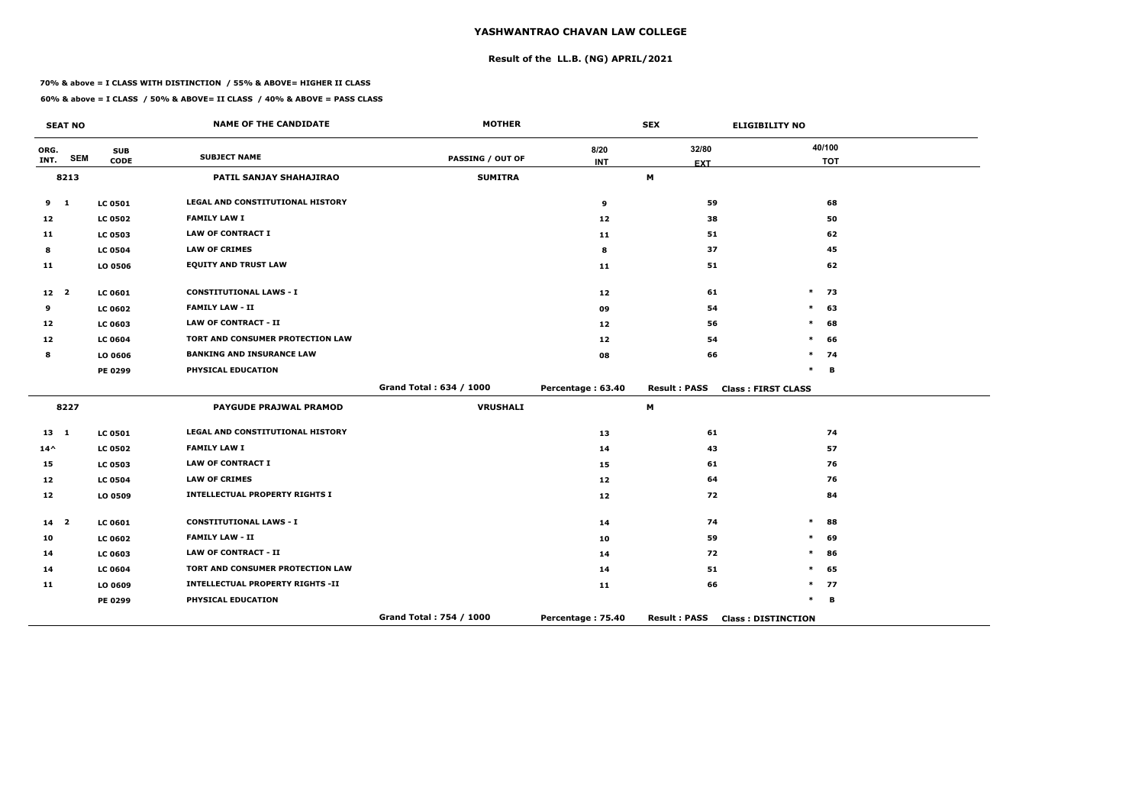# **Result of the LL.B. (NG) APRIL/2021**

#### **70% & above = I CLASS WITH DISTINCTION / 55% & ABOVE= HIGHER II CLASS**

|                 | <b>SEAT NO</b> |                           | <b>NAME OF THE CANDIDATE</b>            | <b>MOTHER</b>           |                   | <b>SEX</b>          | <b>ELIGIBILITY NO</b>     |
|-----------------|----------------|---------------------------|-----------------------------------------|-------------------------|-------------------|---------------------|---------------------------|
| ORG.<br>INT.    | <b>SEM</b>     | <b>SUB</b><br><b>CODE</b> | <b>SUBJECT NAME</b>                     | <b>PASSING / OUT OF</b> | 8/20              | 32/80               | 40/100<br><b>TOT</b>      |
|                 | 8213           |                           | PATIL SANJAY SHAHAJIRAO                 | <b>SUMITRA</b>          | <b>INT</b>        | <b>EXT</b><br>M     |                           |
|                 |                |                           |                                         |                         |                   |                     |                           |
| 9               | $\mathbf{1}$   | <b>LC 0501</b>            | LEGAL AND CONSTITUTIONAL HISTORY        |                         | 9                 | 59                  | 68                        |
| 12              |                | <b>LC 0502</b>            | <b>FAMILY LAW I</b>                     |                         | 12                | 38                  | 50                        |
| 11              |                | <b>LC 0503</b>            | <b>LAW OF CONTRACT I</b>                |                         | 11                | 51                  | 62                        |
| 8               |                | <b>LC 0504</b>            | <b>LAW OF CRIMES</b>                    |                         | 8                 | 37                  | 45                        |
| 11              |                | LO 0506                   | <b>EQUITY AND TRUST LAW</b>             |                         | 11                | 51                  | 62                        |
| 12 <sub>2</sub> |                | <b>LC 0601</b>            | <b>CONSTITUTIONAL LAWS - I</b>          |                         | 12                | 61                  | $\ast$<br>73              |
| 9               |                | <b>LC 0602</b>            | <b>FAMILY LAW - II</b>                  |                         | 09                | 54                  | $\ast$<br>63              |
| 12              |                | <b>LC 0603</b>            | <b>LAW OF CONTRACT - II</b>             |                         | 12                | 56                  | $\ast$<br>68              |
| 12              |                | <b>LC 0604</b>            | TORT AND CONSUMER PROTECTION LAW        |                         | 12                | 54                  | 66<br>$\ast$              |
| 8               |                | LO 0606                   | <b>BANKING AND INSURANCE LAW</b>        |                         | 08                | 66                  | $\ast$<br>74              |
|                 |                | PE 0299                   | PHYSICAL EDUCATION                      |                         |                   |                     | $\ast$<br>В               |
|                 |                |                           |                                         | Grand Total: 634 / 1000 | Percentage: 63.40 | <b>Result: PASS</b> | <b>Class: FIRST CLASS</b> |
|                 | 8227           |                           | PAYGUDE PRAJWAL PRAMOD                  | <b>VRUSHALI</b>         |                   | M                   |                           |
| 13 1            |                | <b>LC 0501</b>            | LEGAL AND CONSTITUTIONAL HISTORY        |                         | 13                | 61                  | 74                        |
| $14^{\wedge}$   |                | <b>LC 0502</b>            | <b>FAMILY LAW I</b>                     |                         | 14                | 43                  | 57                        |
| 15              |                | <b>LC 0503</b>            | <b>LAW OF CONTRACT I</b>                |                         | 15                | 61                  | 76                        |
| 12              |                | <b>LC 0504</b>            | <b>LAW OF CRIMES</b>                    |                         | 12                | 64                  | 76                        |
| 12              |                | LO 0509                   | <b>INTELLECTUAL PROPERTY RIGHTS I</b>   |                         | 12                | 72                  | 84                        |
| 14 <sup>2</sup> |                | <b>LC 0601</b>            | <b>CONSTITUTIONAL LAWS - I</b>          |                         | 14                | 74                  | $\ast$<br>88              |
| 10              |                | <b>LC 0602</b>            | <b>FAMILY LAW - II</b>                  |                         | 10                | 59                  | $\ast$<br>69              |
| 14              |                | <b>LC 0603</b>            | <b>LAW OF CONTRACT - II</b>             |                         | 14                | 72                  | $\ast$<br>86              |
| 14              |                | <b>LC 0604</b>            | TORT AND CONSUMER PROTECTION LAW        |                         | 14                | 51                  | $\ast$<br>65              |
| 11              |                | LO 0609                   | <b>INTELLECTUAL PROPERTY RIGHTS -II</b> |                         | 11                | 66                  | $\ast$<br>77              |
|                 |                | PE 0299                   | PHYSICAL EDUCATION                      |                         |                   |                     | $\ast$<br>B               |
|                 |                |                           |                                         | Grand Total: 754 / 1000 | Percentage: 75.40 | <b>Result: PASS</b> | <b>Class: DISTINCTION</b> |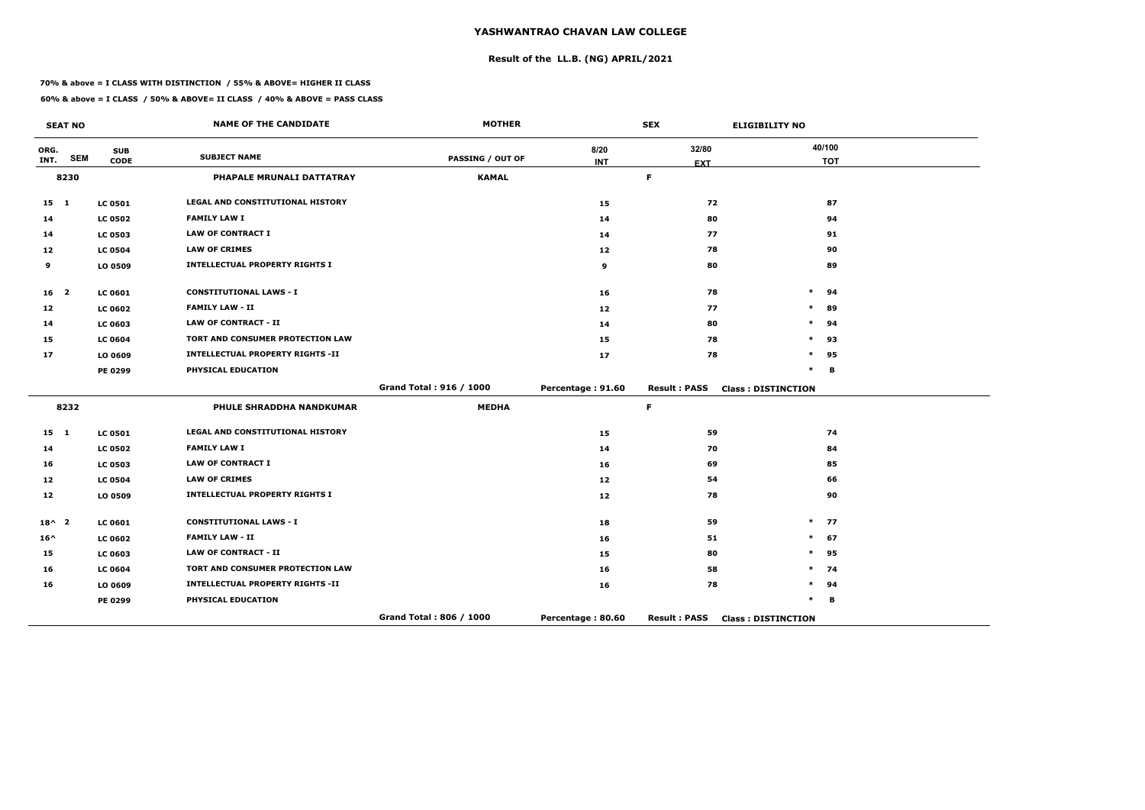# **Result of the LL.B. (NG) APRIL/2021**

#### **70% & above = I CLASS WITH DISTINCTION / 55% & ABOVE= HIGHER II CLASS**

**60% & above = I CLASS / 50% & ABOVE= II CLASS / 40% & ABOVE = PASS CLASS**

|                   | <b>SEAT NO</b> |                           | <b>NAME OF THE CANDIDATE</b>            | <b>MOTHER</b>           |                    | <b>SEX</b>          | <b>ELIGIBILITY NO</b>     |
|-------------------|----------------|---------------------------|-----------------------------------------|-------------------------|--------------------|---------------------|---------------------------|
| ORG.<br>INT.      | <b>SEM</b>     | <b>SUB</b><br><b>CODE</b> | <b>SUBJECT NAME</b>                     | <b>PASSING / OUT OF</b> | 8/20<br><b>INT</b> | 32/80<br><b>EXT</b> | 40/100<br><b>TOT</b>      |
|                   | 8230           |                           | PHAPALE MRUNALI DATTATRAY               | <b>KAMAL</b>            |                    | F.                  |                           |
| $15 \quad 1$      |                | <b>LC 0501</b>            | <b>LEGAL AND CONSTITUTIONAL HISTORY</b> |                         | 15                 | 72                  | 87                        |
| 14                |                | <b>LC 0502</b>            | <b>FAMILY LAW I</b>                     |                         | 14                 | 80                  | 94                        |
| 14                |                | <b>LC 0503</b>            | <b>LAW OF CONTRACT I</b>                |                         | 14                 | 77                  | 91                        |
| $12 \overline{ }$ |                | <b>LC 0504</b>            | <b>LAW OF CRIMES</b>                    |                         | 12                 | 78                  | 90                        |
| 9                 |                | LO 0509                   | <b>INTELLECTUAL PROPERTY RIGHTS I</b>   |                         | 9                  | 80                  | 89                        |
| 16 <sub>2</sub>   |                | <b>LC 0601</b>            | <b>CONSTITUTIONAL LAWS - I</b>          |                         | 16                 | 78                  | $\ast$<br>94              |
| 12                |                | <b>LC 0602</b>            | <b>FAMILY LAW - II</b>                  |                         | 12                 | 77                  | 89<br>$\ast$              |
| 14                |                | LC 0603                   | <b>LAW OF CONTRACT - II</b>             |                         | 14                 | 80                  | $\ast$<br>94              |
| 15                |                | <b>LC 0604</b>            | TORT AND CONSUMER PROTECTION LAW        |                         | 15                 | 78                  | 93<br>$\ast$              |
| 17                |                | LO 0609                   | <b>INTELLECTUAL PROPERTY RIGHTS -II</b> |                         | 17                 | 78                  | $\ast$<br>95              |
|                   |                | <b>PE 0299</b>            | PHYSICAL EDUCATION                      |                         |                    |                     | $\ast$<br>B               |
|                   |                |                           |                                         | Grand Total: 916 / 1000 | Percentage: 91.60  | <b>Result: PASS</b> | <b>Class: DISTINCTION</b> |
|                   | 8232           |                           | PHULE SHRADDHA NANDKUMAR                | <b>MEDHA</b>            |                    | F.                  |                           |
| $15 \quad 1$      |                | <b>LC 0501</b>            | <b>LEGAL AND CONSTITUTIONAL HISTORY</b> |                         | 15                 | 59                  | 74                        |
| 14                |                | <b>LC 0502</b>            | <b>FAMILY LAW I</b>                     |                         | 14                 | 70                  | 84                        |
| 16                |                | <b>LC 0503</b>            | <b>LAW OF CONTRACT I</b>                |                         | 16                 | 69                  | 85                        |
| 12                |                | <b>LC 0504</b>            | <b>LAW OF CRIMES</b>                    |                         | 12                 | 54                  | 66                        |
| 12                |                | LO 0509                   | <b>INTELLECTUAL PROPERTY RIGHTS I</b>   |                         | 12                 | 78                  | 90                        |
| $18^{\wedge}$ 2   |                | LC 0601                   | <b>CONSTITUTIONAL LAWS - I</b>          |                         | 18                 | 59                  | $\ast$<br>77              |
| $16^{\wedge}$     |                | <b>LC 0602</b>            | <b>FAMILY LAW - II</b>                  |                         | 16                 | 51                  | 67<br>$\ast$              |
| 15                |                | LC 0603                   | <b>LAW OF CONTRACT - II</b>             |                         | 15                 | 80                  | $\ast$<br>95              |
| 16                |                | <b>LC 0604</b>            | TORT AND CONSUMER PROTECTION LAW        |                         | 16                 | 58                  | 74<br>$\ast$              |
| 16                |                | LO 0609                   | <b>INTELLECTUAL PROPERTY RIGHTS -II</b> |                         | 16                 | 78                  | 94<br>*                   |
|                   |                | <b>PE 0299</b>            | PHYSICAL EDUCATION                      |                         |                    |                     | $\ast$<br>B               |
|                   |                |                           |                                         | Grand Total: 806 / 1000 | Percentage: 80.60  | <b>Result: PASS</b> | <b>Class: DISTINCTION</b> |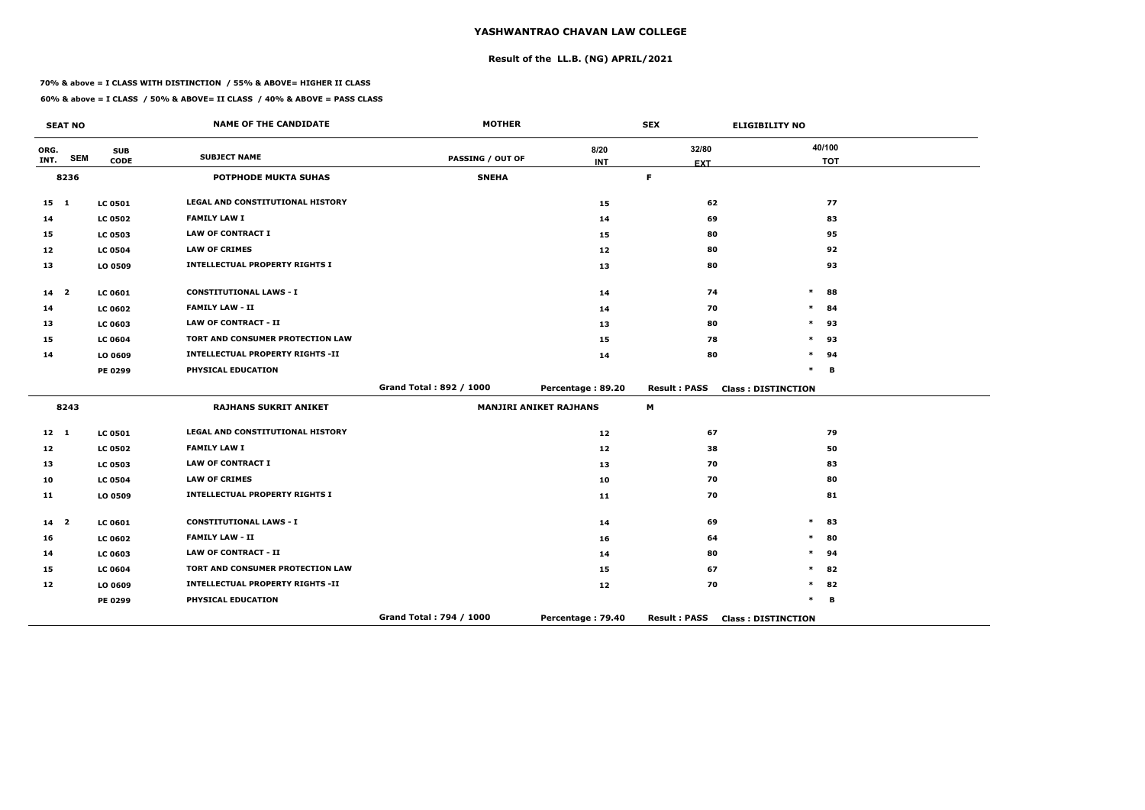# **Result of the LL.B. (NG) APRIL/2021**

#### **70% & above = I CLASS WITH DISTINCTION / 55% & ABOVE= HIGHER II CLASS**

|                 | <b>SEAT NO</b> |                           | <b>NAME OF THE CANDIDATE</b>            | <b>MOTHER</b>           |                               | <b>SEX</b>                | <b>ELIGIBILITY NO</b>     |
|-----------------|----------------|---------------------------|-----------------------------------------|-------------------------|-------------------------------|---------------------------|---------------------------|
| ORG.<br>INT.    | <b>SEM</b>     | <b>SUB</b><br><b>CODE</b> | <b>SUBJECT NAME</b>                     | <b>PASSING / OUT OF</b> | 8/20                          | 32/80                     | 40/100<br><b>TOT</b>      |
|                 | 8236           |                           | <b>POTPHODE MUKTA SUHAS</b>             | <b>SNEHA</b>            | <b>INT</b>                    | <b>EXT</b><br>$\mathsf F$ |                           |
|                 |                |                           |                                         |                         |                               |                           |                           |
| $15$ 1          |                | <b>LC 0501</b>            | LEGAL AND CONSTITUTIONAL HISTORY        |                         | 15                            | 62                        | 77                        |
| 14              |                | <b>LC 0502</b>            | <b>FAMILY LAW I</b>                     |                         | 14                            | 69                        | 83                        |
| 15              |                | <b>LC 0503</b>            | <b>LAW OF CONTRACT I</b>                |                         | 15                            | 80                        | 95                        |
| 12              |                | <b>LC 0504</b>            | <b>LAW OF CRIMES</b>                    |                         | 12                            | 80                        | 92                        |
| 13              |                | LO 0509                   | <b>INTELLECTUAL PROPERTY RIGHTS I</b>   |                         | 13                            | 80                        | 93                        |
| 14 <sub>2</sub> |                | LC 0601                   | <b>CONSTITUTIONAL LAWS - I</b>          |                         | 14                            | 74                        | $\ast$<br>88              |
| 14              |                | <b>LC 0602</b>            | <b>FAMILY LAW - II</b>                  |                         | 14                            | 70                        | $\ast$<br>84              |
| 13              |                | LC 0603                   | <b>LAW OF CONTRACT - II</b>             |                         | 13                            | 80                        | $\ast$<br>93              |
| 15              |                | <b>LC 0604</b>            | TORT AND CONSUMER PROTECTION LAW        |                         | 15                            | 78                        | 93<br>$\ast$              |
| 14              |                | LO 0609                   | <b>INTELLECTUAL PROPERTY RIGHTS -II</b> |                         | 14                            | 80                        | $\ast$<br>94              |
|                 |                | PE 0299                   | PHYSICAL EDUCATION                      |                         |                               |                           | $\ast$<br>B               |
|                 |                |                           |                                         | Grand Total: 892 / 1000 | Percentage: 89.20             | <b>Result: PASS</b>       | <b>Class: DISTINCTION</b> |
|                 | 8243           |                           | <b>RAJHANS SUKRIT ANIKET</b>            |                         | <b>MANJIRI ANIKET RAJHANS</b> | M                         |                           |
| $12 \quad 1$    |                | <b>LC 0501</b>            | <b>LEGAL AND CONSTITUTIONAL HISTORY</b> |                         | 12                            | 67                        | 79                        |
| 12              |                | <b>LC 0502</b>            | <b>FAMILY LAW I</b>                     |                         | 12                            | 38                        | 50                        |
| 13              |                | <b>LC 0503</b>            | <b>LAW OF CONTRACT I</b>                |                         | 13                            | 70                        | 83                        |
| 10              |                | <b>LC 0504</b>            | <b>LAW OF CRIMES</b>                    |                         | 10                            | 70                        | 80                        |
| 11              |                | LO 0509                   | <b>INTELLECTUAL PROPERTY RIGHTS I</b>   |                         | 11                            | 70                        | 81                        |
| 14 <sup>2</sup> |                | LC 0601                   | <b>CONSTITUTIONAL LAWS - I</b>          |                         | 14                            | 69                        | $\ast$<br>83              |
| 16              |                | <b>LC 0602</b>            | <b>FAMILY LAW - II</b>                  |                         | 16                            | 64                        | 80<br>$\ast$              |
| 14              |                | LC 0603                   | <b>LAW OF CONTRACT - II</b>             |                         | 14                            | 80                        | 94<br>$\ast$              |
| 15              |                | <b>LC 0604</b>            | TORT AND CONSUMER PROTECTION LAW        |                         | 15                            | 67                        | $\ast$<br>82              |
| 12              |                | LO 0609                   | <b>INTELLECTUAL PROPERTY RIGHTS -II</b> |                         | 12                            | 70                        | 82<br>$\ast$              |
|                 |                | PE 0299                   | PHYSICAL EDUCATION                      |                         |                               |                           | $\ast$<br>B               |
|                 |                |                           |                                         | Grand Total: 794 / 1000 | Percentage: 79.40             | <b>Result: PASS</b>       | <b>Class: DISTINCTION</b> |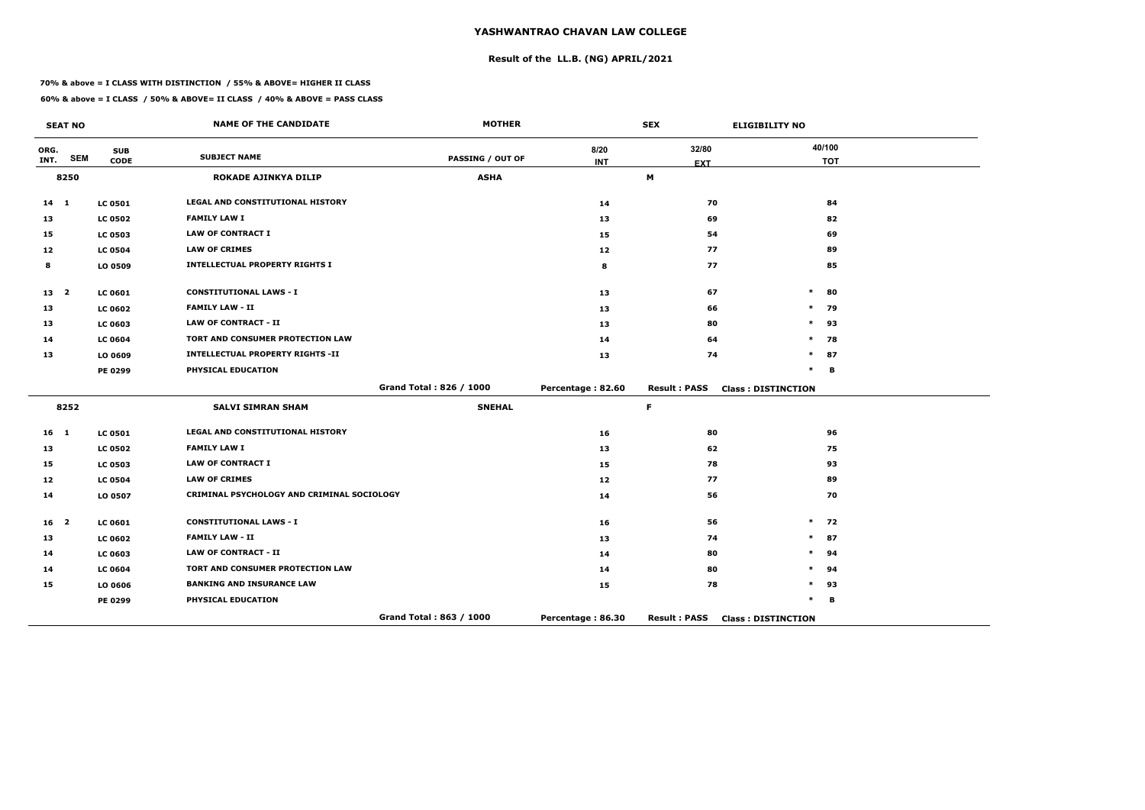# **Result of the LL.B. (NG) APRIL/2021**

#### **70% & above = I CLASS WITH DISTINCTION / 55% & ABOVE= HIGHER II CLASS**

**60% & above = I CLASS / 50% & ABOVE= II CLASS / 40% & ABOVE = PASS CLASS**

|                 | <b>SEAT NO</b> |                | <b>NAME OF THE CANDIDATE</b>               | <b>MOTHER</b>           |                   | <b>SEX</b>          | <b>ELIGIBILITY NO</b>     |
|-----------------|----------------|----------------|--------------------------------------------|-------------------------|-------------------|---------------------|---------------------------|
| ORG.            | <b>SEM</b>     | <b>SUB</b>     | <b>SUBJECT NAME</b>                        | <b>PASSING / OUT OF</b> | 8/20              | 32/80               | 40/100                    |
| INT.            |                | <b>CODE</b>    |                                            |                         | <b>INT</b>        | <b>EXT</b>          | <b>TOT</b>                |
|                 | 8250           |                | ROKADE AJINKYA DILIP                       | <b>ASHA</b>             |                   | M                   |                           |
| $14 \quad 1$    |                | <b>LC 0501</b> | LEGAL AND CONSTITUTIONAL HISTORY           |                         | 14                | 70                  | 84                        |
| 13              |                | <b>LC 0502</b> | <b>FAMILY LAW I</b>                        |                         | 13                | 69                  | 82                        |
| 15              |                | <b>LC 0503</b> | <b>LAW OF CONTRACT I</b>                   |                         | 15                | 54                  | 69                        |
| 12              |                | <b>LC 0504</b> | <b>LAW OF CRIMES</b>                       |                         | 12                | 77                  | 89                        |
| 8               |                | LO 0509        | <b>INTELLECTUAL PROPERTY RIGHTS I</b>      |                         | 8                 | 77                  | 85                        |
| 13 <sub>2</sub> |                | <b>LC 0601</b> | <b>CONSTITUTIONAL LAWS - I</b>             |                         | 13                | 67                  | 80<br>$\ast$              |
| 13              |                | <b>LC 0602</b> | <b>FAMILY LAW - II</b>                     |                         | 13                | 66                  | $\ast$<br>79              |
| 13              |                | <b>LC 0603</b> | <b>LAW OF CONTRACT - II</b>                |                         | 13                | 80                  | $\ast$<br>93              |
| 14              |                | <b>LC 0604</b> | TORT AND CONSUMER PROTECTION LAW           |                         | 14                | 64                  | 78<br>$\ast$              |
| 13              |                | LO 0609        | <b>INTELLECTUAL PROPERTY RIGHTS -II</b>    |                         | 13                | 74                  | $\ast$<br>87              |
|                 |                | PE 0299        | PHYSICAL EDUCATION                         |                         |                   |                     | $\ast$<br>B               |
|                 |                |                |                                            | Grand Total: 826 / 1000 | Percentage: 82.60 | <b>Result: PASS</b> | <b>Class: DISTINCTION</b> |
|                 | 8252           |                | <b>SALVI SIMRAN SHAM</b>                   | <b>SNEHAL</b>           |                   | $\mathsf F$         |                           |
| 16 <sub>1</sub> |                | <b>LC 0501</b> | LEGAL AND CONSTITUTIONAL HISTORY           |                         | 16                | 80                  | 96                        |
| 13              |                | <b>LC 0502</b> | <b>FAMILY LAW I</b>                        |                         | 13                | 62                  | 75                        |
| 15              |                | <b>LC 0503</b> | <b>LAW OF CONTRACT I</b>                   |                         | 15                | 78                  | 93                        |
| 12              |                | <b>LC 0504</b> | <b>LAW OF CRIMES</b>                       |                         | 12                | 77                  | 89                        |
| 14              |                | LO 0507        | CRIMINAL PSYCHOLOGY AND CRIMINAL SOCIOLOGY |                         | 14                | 56                  | 70                        |
| 16 <sup>2</sup> |                | <b>LC 0601</b> | <b>CONSTITUTIONAL LAWS - I</b>             |                         | 16                | 56                  | $\ast$<br>72              |
| 13              |                | <b>LC 0602</b> | <b>FAMILY LAW - II</b>                     |                         | 13                | 74                  | $\ast$<br>87              |
| 14              |                | LC 0603        | <b>LAW OF CONTRACT - II</b>                |                         | 14                | 80                  | 94<br>*                   |
| 14              |                | <b>LC 0604</b> | TORT AND CONSUMER PROTECTION LAW           |                         | 14                | 80                  | 94<br>$\ast$              |
| 15              |                | LO 0606        | <b>BANKING AND INSURANCE LAW</b>           |                         | 15                | 78                  | 93<br>$\ast$              |
|                 |                | <b>PE 0299</b> | PHYSICAL EDUCATION                         |                         |                   |                     | *<br>B                    |
|                 |                |                |                                            | Grand Total: 863 / 1000 | Percentage: 86.30 | <b>Result: PASS</b> | <b>Class: DISTINCTION</b> |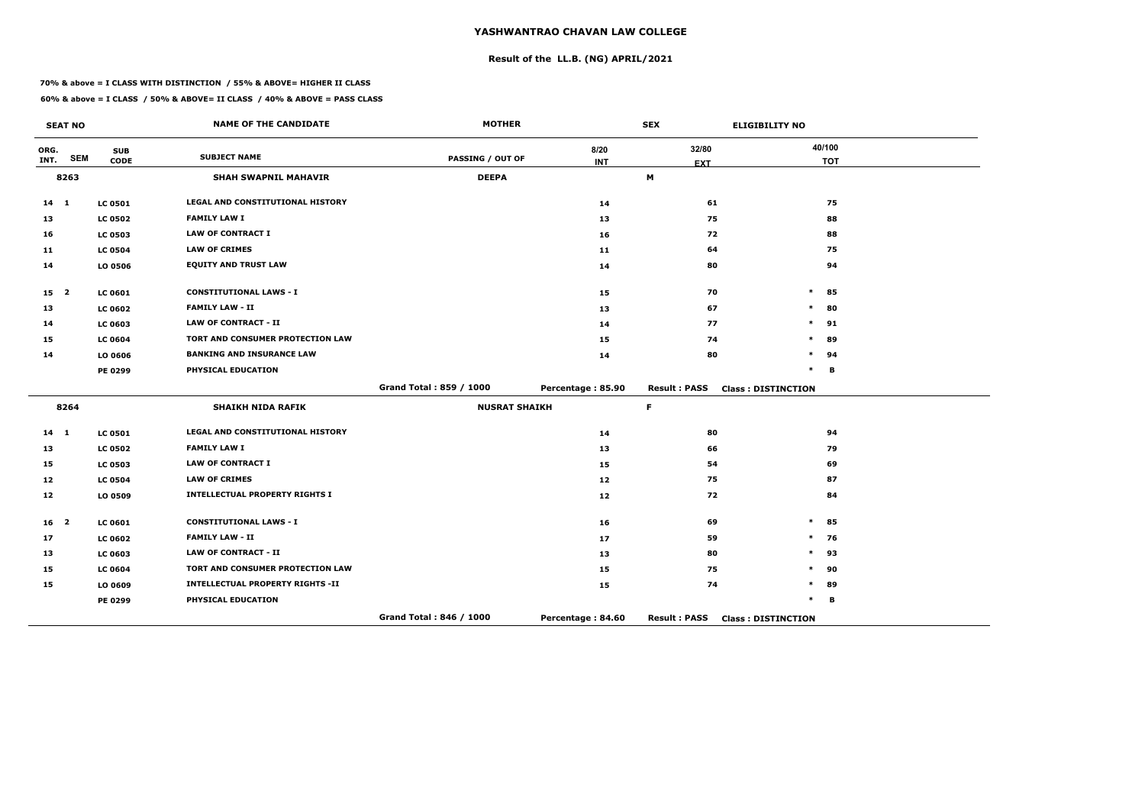# **Result of the LL.B. (NG) APRIL/2021**

#### **70% & above = I CLASS WITH DISTINCTION / 55% & ABOVE= HIGHER II CLASS**

| <b>SEAT NO</b>  |            |                | <b>NAME OF THE CANDIDATE</b>            | <b>MOTHER</b>           |                   | <b>SEX</b>          | <b>ELIGIBILITY NO</b>     |  |
|-----------------|------------|----------------|-----------------------------------------|-------------------------|-------------------|---------------------|---------------------------|--|
| ORG.            |            | <b>SUB</b>     | <b>SUBJECT NAME</b>                     |                         | 8/20              | 32/80               | 40/100                    |  |
| INT.            | <b>SEM</b> | <b>CODE</b>    |                                         | <b>PASSING / OUT OF</b> | <b>INT</b>        | <b>EXT</b>          | <b>TOT</b>                |  |
|                 | 8263       |                | <b>SHAH SWAPNIL MAHAVIR</b>             | <b>DEEPA</b>            |                   | M                   |                           |  |
| $14$ 1          |            | <b>LC 0501</b> | <b>LEGAL AND CONSTITUTIONAL HISTORY</b> |                         | 14                | 61                  | 75                        |  |
| 13              |            | <b>LC 0502</b> | <b>FAMILY LAW I</b>                     |                         | 13                | 75                  | 88                        |  |
| 16              |            | <b>LC 0503</b> | <b>LAW OF CONTRACT I</b>                |                         | 16                | 72                  | 88                        |  |
| 11              |            | <b>LC 0504</b> | <b>LAW OF CRIMES</b>                    |                         | 11                | 64                  | 75                        |  |
| 14              |            | LO 0506        | <b>EQUITY AND TRUST LAW</b>             |                         | 14                | 80                  | 94                        |  |
| 15 <sub>2</sub> |            | <b>LC 0601</b> | <b>CONSTITUTIONAL LAWS - I</b>          |                         | 15                | 70                  | $\ast$<br>85              |  |
| 13              |            | <b>LC 0602</b> | <b>FAMILY LAW - II</b>                  |                         | 13                | 67                  | 80<br>$\ast$              |  |
| 14              |            | <b>LC 0603</b> | <b>LAW OF CONTRACT - II</b>             |                         | 14                | 77                  | $\ast$<br>91              |  |
| 15              |            | <b>LC 0604</b> | TORT AND CONSUMER PROTECTION LAW        |                         | 15                | 74                  | $\ast$<br>89              |  |
| 14              |            | LO 0606        | <b>BANKING AND INSURANCE LAW</b>        |                         | 14                | 80                  | $\ast$<br>94              |  |
|                 |            | <b>PE 0299</b> | PHYSICAL EDUCATION                      |                         |                   |                     | $\ast$<br>в               |  |
|                 |            |                |                                         | Grand Total: 859 / 1000 | Percentage: 85.90 | <b>Result: PASS</b> | <b>Class: DISTINCTION</b> |  |
|                 | 8264       |                | <b>SHAIKH NIDA RAFIK</b>                | <b>NUSRAT SHAIKH</b>    |                   | F.                  |                           |  |
| 14 1            |            | <b>LC 0501</b> | LEGAL AND CONSTITUTIONAL HISTORY        |                         | 14                | 80                  | 94                        |  |
| 13              |            | <b>LC 0502</b> | <b>FAMILY LAW I</b>                     |                         | 13                | 66                  | 79                        |  |
| 15              |            | <b>LC 0503</b> | <b>LAW OF CONTRACT I</b>                |                         | 15                | 54                  | 69                        |  |
| 12              |            | <b>LC 0504</b> | <b>LAW OF CRIMES</b>                    |                         | 12                | 75                  | 87                        |  |
| 12              |            | LO 0509        | <b>INTELLECTUAL PROPERTY RIGHTS I</b>   |                         | 12                | 72                  | 84                        |  |
| 16 <sub>2</sub> |            | <b>LC 0601</b> | <b>CONSTITUTIONAL LAWS - I</b>          |                         | 16                | 69                  | $\ast$<br>85              |  |
| 17              |            | <b>LC 0602</b> | <b>FAMILY LAW - II</b>                  |                         | 17                | 59                  | $\ast$<br>76              |  |
| 13              |            | <b>LC 0603</b> | <b>LAW OF CONTRACT - II</b>             |                         | 13                | 80                  | 93<br>$\ast$              |  |
| 15              |            | <b>LC 0604</b> | TORT AND CONSUMER PROTECTION LAW        |                         | 15                | 75                  | 90<br>$\ast$              |  |
| 15              |            | LO 0609        | <b>INTELLECTUAL PROPERTY RIGHTS -II</b> |                         | 15                | 74                  | $\ast$<br>89              |  |
|                 |            | <b>PE 0299</b> | PHYSICAL EDUCATION                      |                         |                   |                     | $\ast$<br>в               |  |
|                 |            |                |                                         | Grand Total: 846 / 1000 | Percentage: 84.60 | <b>Result: PASS</b> | <b>Class: DISTINCTION</b> |  |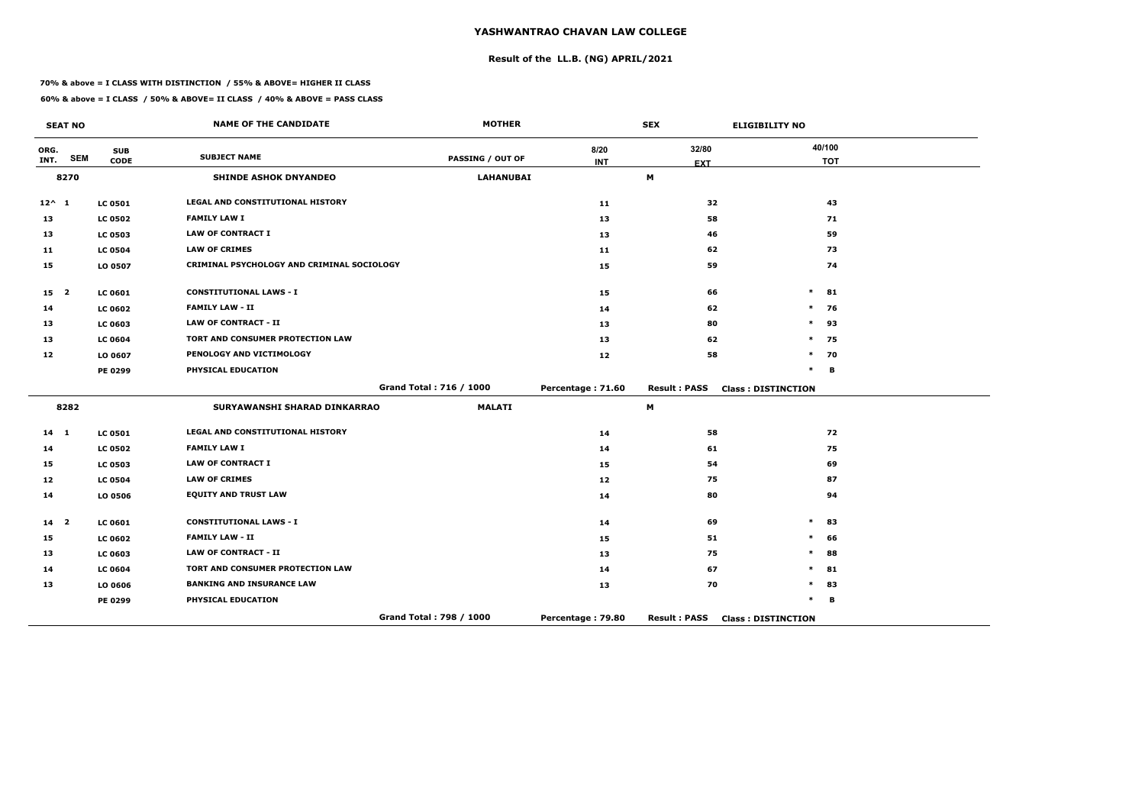# **Result of the LL.B. (NG) APRIL/2021**

#### **70% & above = I CLASS WITH DISTINCTION / 55% & ABOVE= HIGHER II CLASS**

**60% & above = I CLASS / 50% & ABOVE= II CLASS / 40% & ABOVE = PASS CLASS**

|                 | <b>SEAT NO</b>          |                | <b>NAME OF THE CANDIDATE</b>               | <b>MOTHER</b>           |                   | <b>SEX</b>          | <b>ELIGIBILITY NO</b>     |            |
|-----------------|-------------------------|----------------|--------------------------------------------|-------------------------|-------------------|---------------------|---------------------------|------------|
| ORG.            | <b>SEM</b>              | <b>SUB</b>     | <b>SUBJECT NAME</b>                        | <b>PASSING / OUT OF</b> | 8/20              | 32/80               | 40/100                    |            |
| INT.            |                         | <b>CODE</b>    |                                            |                         | <b>INT</b>        | <b>EXT</b>          |                           | <b>TOT</b> |
|                 | 8270                    |                | <b>SHINDE ASHOK DNYANDEO</b>               | <b>LAHANUBAI</b>        |                   | M                   |                           |            |
| $12^{\wedge} 1$ |                         | <b>LC 0501</b> | LEGAL AND CONSTITUTIONAL HISTORY           |                         | 11                | 32                  |                           | 43         |
| 13              |                         | <b>LC 0502</b> | <b>FAMILY LAW I</b>                        |                         | 13                | 58                  |                           | 71         |
| 13              |                         | <b>LC 0503</b> | <b>LAW OF CONTRACT I</b>                   |                         | 13                | 46                  |                           | 59         |
| 11              |                         | <b>LC 0504</b> | <b>LAW OF CRIMES</b>                       |                         | 11                | 62                  |                           | 73         |
| 15              |                         | LO 0507        | CRIMINAL PSYCHOLOGY AND CRIMINAL SOCIOLOGY |                         | 15                | 59                  |                           | 74         |
| 15 <sub>2</sub> |                         | <b>LC 0601</b> | <b>CONSTITUTIONAL LAWS - I</b>             |                         | 15                | 66                  | $\ast$                    | 81         |
| 14              |                         | <b>LC 0602</b> | <b>FAMILY LAW - II</b>                     |                         | 14                | 62                  | $\ast$                    | - 76       |
| 13              |                         | <b>LC 0603</b> | <b>LAW OF CONTRACT - II</b>                |                         | 13                | 80                  | $\ast$                    | 93         |
| 13              |                         | <b>LC 0604</b> | TORT AND CONSUMER PROTECTION LAW           |                         | 13                | 62                  | $\ast$                    | 75         |
| 12              |                         | LO 0607        | PENOLOGY AND VICTIMOLOGY                   |                         | 12                | 58                  | $\ast$                    | 70         |
|                 |                         | PE 0299        | PHYSICAL EDUCATION                         |                         |                   |                     | $\ast$                    | B          |
|                 |                         |                |                                            | Grand Total: 716 / 1000 | Percentage: 71.60 | <b>Result: PASS</b> | <b>Class: DISTINCTION</b> |            |
|                 | 8282                    |                | SURYAWANSHI SHARAD DINKARRAO               | <b>MALATI</b>           |                   | M                   |                           |            |
| 14 1            |                         | <b>LC 0501</b> | LEGAL AND CONSTITUTIONAL HISTORY           |                         | 14                | 58                  |                           | 72         |
| 14              |                         | <b>LC 0502</b> | <b>FAMILY LAW I</b>                        |                         | 14                | 61                  |                           | 75         |
| 15              |                         | <b>LC 0503</b> | <b>LAW OF CONTRACT I</b>                   |                         | 15                | 54                  |                           | 69         |
| 12              |                         | <b>LC 0504</b> | <b>LAW OF CRIMES</b>                       |                         | 12                | 75                  |                           | 87         |
| 14              |                         | LO 0506        | <b>EQUITY AND TRUST LAW</b>                |                         | 14                | 80                  |                           | 94         |
| 14              | $\overline{\mathbf{2}}$ | <b>LC 0601</b> | <b>CONSTITUTIONAL LAWS - I</b>             |                         | 14                | 69                  | $\ast$                    | 83         |
| 15              |                         | <b>LC 0602</b> | <b>FAMILY LAW - II</b>                     |                         | 15                | 51                  | $\ast$                    | 66         |
| 13              |                         | LC 0603        | <b>LAW OF CONTRACT - II</b>                |                         | 13                | 75                  | $\ast$                    | 88         |
| 14              |                         | <b>LC 0604</b> | TORT AND CONSUMER PROTECTION LAW           |                         | 14                | 67                  | $\ast$                    | 81         |
| 13              |                         | LO 0606        | <b>BANKING AND INSURANCE LAW</b>           |                         | 13                | 70                  | $\ast$                    | 83         |
|                 |                         | <b>PE 0299</b> | PHYSICAL EDUCATION                         |                         |                   |                     | *                         | B          |
|                 |                         |                |                                            | Grand Total: 798 / 1000 | Percentage: 79.80 | <b>Result: PASS</b> | <b>Class: DISTINCTION</b> |            |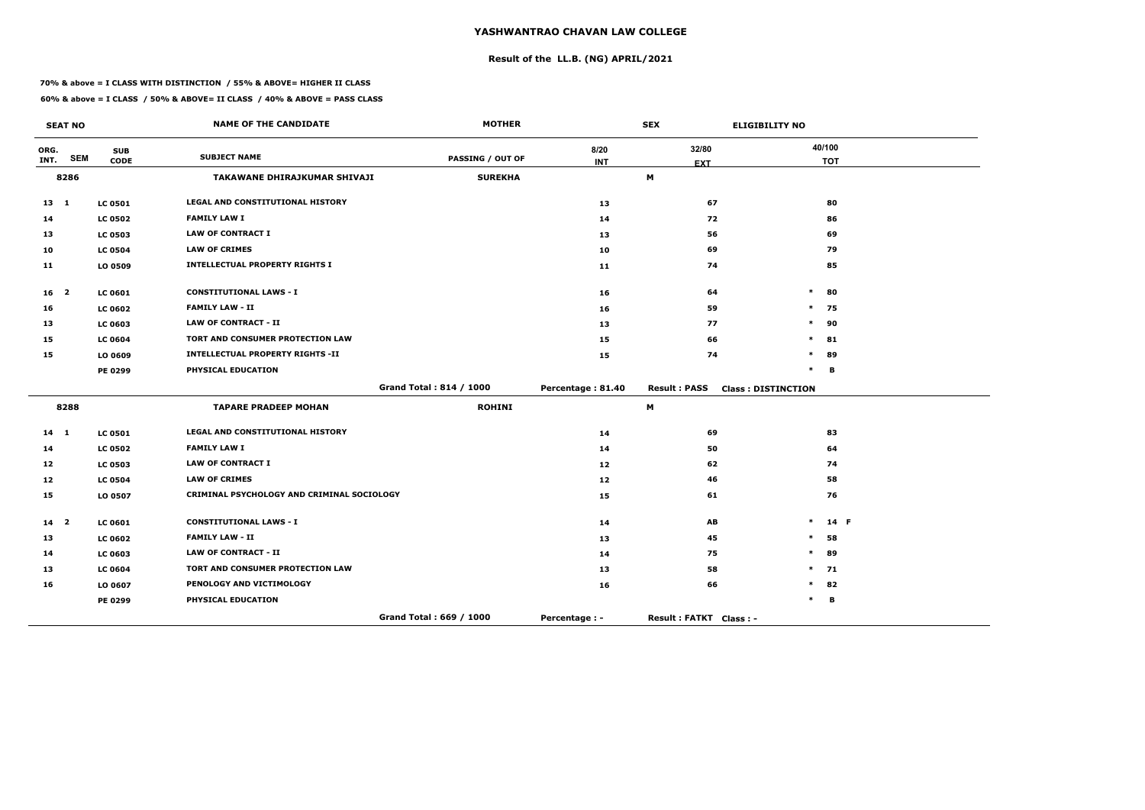# **Result of the LL.B. (NG) APRIL/2021**

#### **70% & above = I CLASS WITH DISTINCTION / 55% & ABOVE= HIGHER II CLASS**

**60% & above = I CLASS / 50% & ABOVE= II CLASS / 40% & ABOVE = PASS CLASS**

|                 | <b>SEAT NO</b>          |                | <b>NAME OF THE CANDIDATE</b>               | <b>MOTHER</b>           |                   | <b>SEX</b>             | <b>ELIGIBILITY NO</b>     |            |
|-----------------|-------------------------|----------------|--------------------------------------------|-------------------------|-------------------|------------------------|---------------------------|------------|
| ORG.            | <b>SEM</b>              | <b>SUB</b>     | <b>SUBJECT NAME</b>                        | <b>PASSING / OUT OF</b> | 8/20              | 32/80                  |                           | 40/100     |
| INT.            |                         | <b>CODE</b>    |                                            |                         | <b>INT</b>        | <b>EXT</b>             |                           | <b>TOT</b> |
|                 | 8286                    |                | <b>TAKAWANE DHIRAJKUMAR SHIVAJI</b>        | <b>SUREKHA</b>          |                   | M                      |                           |            |
| $13 \quad 1$    |                         | <b>LC 0501</b> | <b>LEGAL AND CONSTITUTIONAL HISTORY</b>    |                         | 13                | 67                     |                           | 80         |
| 14              |                         | <b>LC 0502</b> | <b>FAMILY LAW I</b>                        |                         | 14                | 72                     |                           | 86         |
| 13              |                         | <b>LC 0503</b> | <b>LAW OF CONTRACT I</b>                   |                         | 13                | 56                     |                           | 69         |
| 10              |                         | <b>LC 0504</b> | <b>LAW OF CRIMES</b>                       |                         | 10                | 69                     |                           | 79         |
| 11              |                         | LO 0509        | <b>INTELLECTUAL PROPERTY RIGHTS I</b>      |                         | 11                | 74                     |                           | 85         |
| 16 <sub>2</sub> |                         | <b>LC 0601</b> | <b>CONSTITUTIONAL LAWS - I</b>             |                         | 16                | 64                     | $\ast$                    | 80         |
| 16              |                         | <b>LC 0602</b> | <b>FAMILY LAW - II</b>                     |                         | 16                | 59                     | $\ast$                    | 75         |
| 13              |                         | LC 0603        | <b>LAW OF CONTRACT - II</b>                |                         | 13                | 77                     | $\ast$                    | 90         |
| 15              |                         | <b>LC 0604</b> | TORT AND CONSUMER PROTECTION LAW           |                         | 15                | 66                     | $\ast$                    | 81         |
| 15              |                         | LO 0609        | <b>INTELLECTUAL PROPERTY RIGHTS -II</b>    |                         | 15                | 74                     | $\ast$                    | 89         |
|                 |                         | <b>PE 0299</b> | PHYSICAL EDUCATION                         |                         |                   |                        | $\ast$                    | B          |
|                 |                         |                |                                            | Grand Total: 814 / 1000 | Percentage: 81.40 | <b>Result: PASS</b>    | <b>Class: DISTINCTION</b> |            |
|                 | 8288                    |                | <b>TAPARE PRADEEP MOHAN</b>                | <b>ROHINI</b>           |                   | M                      |                           |            |
| $14 \quad 1$    |                         | <b>LC 0501</b> | LEGAL AND CONSTITUTIONAL HISTORY           |                         | 14                | 69                     |                           | 83         |
| 14              |                         | <b>LC 0502</b> | <b>FAMILY LAW I</b>                        |                         | 14                | 50                     |                           | 64         |
| 12              |                         | <b>LC 0503</b> | <b>LAW OF CONTRACT I</b>                   |                         | 12                | 62                     |                           | 74         |
| 12              |                         | <b>LC 0504</b> | <b>LAW OF CRIMES</b>                       |                         | 12                | 46                     |                           | 58         |
| 15              |                         | LO 0507        | CRIMINAL PSYCHOLOGY AND CRIMINAL SOCIOLOGY |                         | 15                | 61                     |                           | 76         |
| 14              | $\overline{\mathbf{2}}$ | <b>LC 0601</b> | <b>CONSTITUTIONAL LAWS - I</b>             |                         | 14                | AB                     | $\ast$                    | 14 F       |
| 13              |                         | <b>LC 0602</b> | <b>FAMILY LAW - II</b>                     |                         | 13                | 45                     | *                         | 58         |
| 14              |                         | LC 0603        | <b>LAW OF CONTRACT - II</b>                |                         | 14                | 75                     | $\ast$                    | 89         |
| 13              |                         | <b>LC 0604</b> | TORT AND CONSUMER PROTECTION LAW           |                         | 13                | 58                     | $\ast$                    | 71         |
| 16              |                         | LO 0607        | PENOLOGY AND VICTIMOLOGY                   |                         | 16                | 66                     | $\ast$                    | 82         |
|                 |                         | <b>PE 0299</b> | PHYSICAL EDUCATION                         |                         |                   |                        | $\ast$                    | В          |
|                 |                         |                |                                            | Grand Total: 669 / 1000 | Percentage : -    | Result: FATKT Class: - |                           |            |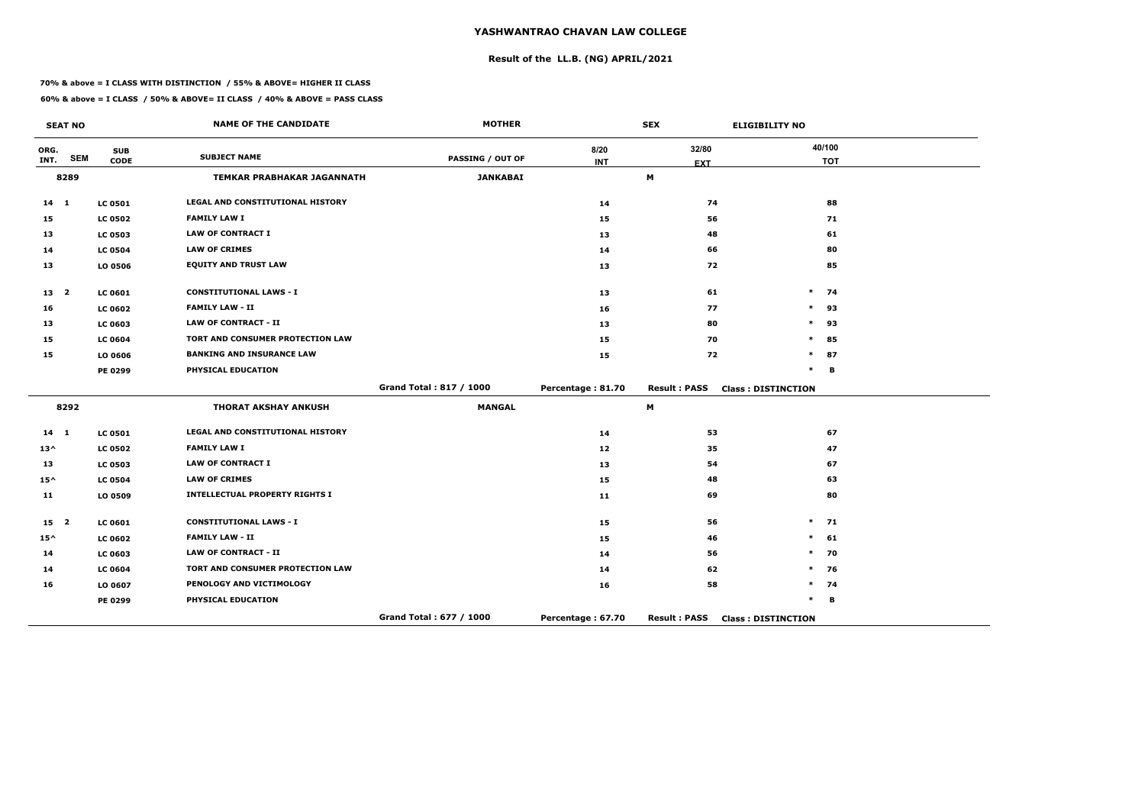# **Result of the LL.B. (NG) APRIL/2021**

#### **70% & above = I CLASS WITH DISTINCTION / 55% & ABOVE= HIGHER II CLASS**

| <b>SEAT NO</b>  |            |                | <b>NAME OF THE CANDIDATE</b>            | <b>MOTHER</b>           |                   | <b>SEX</b>          | <b>ELIGIBILITY NO</b>     |  |  |
|-----------------|------------|----------------|-----------------------------------------|-------------------------|-------------------|---------------------|---------------------------|--|--|
| ORG.            | <b>SEM</b> | <b>SUB</b>     | <b>SUBJECT NAME</b>                     | <b>PASSING / OUT OF</b> | 8/20              | 32/80               | 40/100                    |  |  |
| INT.            |            | <b>CODE</b>    |                                         |                         | <b>INT</b>        | <b>EXT</b>          | <b>TOT</b>                |  |  |
|                 | 8289       |                | <b>TEMKAR PRABHAKAR JAGANNATH</b>       | <b>JANKABAI</b>         |                   | M                   |                           |  |  |
| $14$ 1          |            | <b>LC 0501</b> | <b>LEGAL AND CONSTITUTIONAL HISTORY</b> |                         | 14                | 74                  | 88                        |  |  |
| 15              |            | <b>LC 0502</b> | <b>FAMILY LAW I</b>                     |                         | 15                | 56                  | 71                        |  |  |
| 13              |            | <b>LC 0503</b> | <b>LAW OF CONTRACT I</b>                |                         | 13                | 48                  | 61                        |  |  |
| 14              |            | <b>LC 0504</b> | <b>LAW OF CRIMES</b>                    |                         | 14                | 66                  | 80                        |  |  |
| 13              |            | <b>LO 0506</b> | <b>EQUITY AND TRUST LAW</b>             |                         | 13                | 72                  | 85                        |  |  |
| 13 <sub>2</sub> |            | <b>LC 0601</b> | <b>CONSTITUTIONAL LAWS - I</b>          |                         | 13                | 61                  | $\ast$<br>74              |  |  |
| 16              |            | <b>LC 0602</b> | <b>FAMILY LAW - II</b>                  |                         | 16                | 77                  | 93<br>$\ast$              |  |  |
| 13              |            | <b>LC 0603</b> | <b>LAW OF CONTRACT - II</b>             |                         | 13                | 80                  | $\ast$<br>93              |  |  |
| 15              |            | <b>LC 0604</b> | TORT AND CONSUMER PROTECTION LAW        |                         | 15                | 70                  | $\ast$<br>85              |  |  |
| 15              |            | LO 0606        | <b>BANKING AND INSURANCE LAW</b>        |                         | 15                | 72                  | 87<br>$\ast$              |  |  |
|                 |            | <b>PE 0299</b> | PHYSICAL EDUCATION                      |                         |                   |                     | $\ast$<br>B               |  |  |
|                 |            |                |                                         | Grand Total: 817 / 1000 | Percentage: 81.70 | <b>Result: PASS</b> | <b>Class: DISTINCTION</b> |  |  |
|                 | 8292       |                | <b>THORAT AKSHAY ANKUSH</b>             | <b>MANGAL</b>           |                   | M                   |                           |  |  |
| $14 \quad 1$    |            | <b>LC 0501</b> | <b>LEGAL AND CONSTITUTIONAL HISTORY</b> |                         | 14                | 53                  | 67                        |  |  |
| $13^{\wedge}$   |            | <b>LC 0502</b> | <b>FAMILY LAW I</b>                     |                         | $12$              | 35                  | 47                        |  |  |
| 13              |            | <b>LC 0503</b> | <b>LAW OF CONTRACT I</b>                |                         | 13                | 54                  | 67                        |  |  |
| $15^{\wedge}$   |            | <b>LC 0504</b> | <b>LAW OF CRIMES</b>                    |                         | 15                | 48                  | 63                        |  |  |
| 11              |            | LO 0509        | <b>INTELLECTUAL PROPERTY RIGHTS I</b>   |                         | 11                | 69                  | 80                        |  |  |
| 15 <sub>2</sub> |            | LC 0601        | <b>CONSTITUTIONAL LAWS - I</b>          |                         | 15                | 56                  | $\ast$<br>71              |  |  |
| $15^{\wedge}$   |            | <b>LC 0602</b> | <b>FAMILY LAW - II</b>                  |                         | 15                | 46                  | 61<br>$\ast$              |  |  |
| 14              |            | <b>LC 0603</b> | <b>LAW OF CONTRACT - II</b>             |                         | 14                | 56                  | 70<br>$\ast$              |  |  |
| 14              |            | <b>LC 0604</b> | TORT AND CONSUMER PROTECTION LAW        |                         | 14                | 62                  | $\ast$<br>76              |  |  |
| 16              |            | LO 0607        | PENOLOGY AND VICTIMOLOGY                |                         | 16                | 58                  | $\ast$<br>74              |  |  |
|                 |            | <b>PE 0299</b> | PHYSICAL EDUCATION                      |                         |                   |                     | $\ast$<br>В               |  |  |
|                 |            |                |                                         | Grand Total: 677 / 1000 | Percentage: 67.70 | <b>Result: PASS</b> | <b>Class: DISTINCTION</b> |  |  |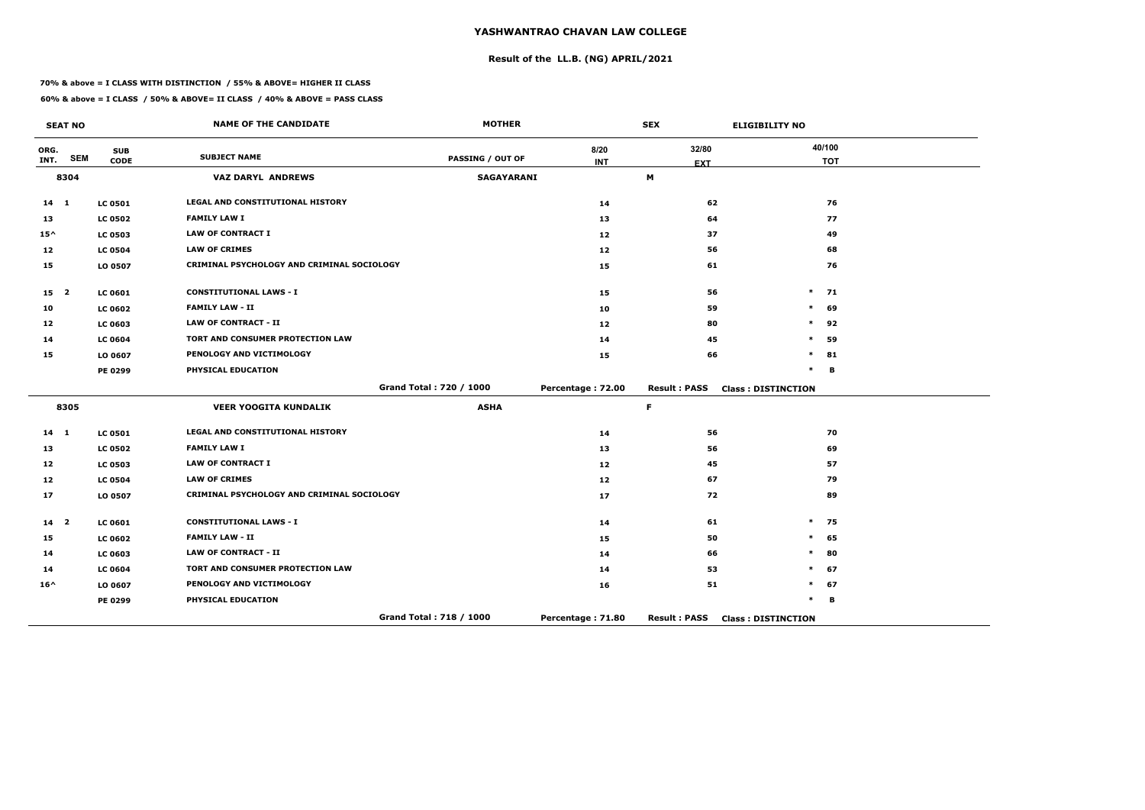# **Result of the LL.B. (NG) APRIL/2021**

#### **70% & above = I CLASS WITH DISTINCTION / 55% & ABOVE= HIGHER II CLASS**

|                 | <b>SEAT NO</b> |                           | <b>NAME OF THE CANDIDATE</b>               | <b>MOTHER</b>           |                    | <b>SEX</b>          | <b>ELIGIBILITY NO</b>     |
|-----------------|----------------|---------------------------|--------------------------------------------|-------------------------|--------------------|---------------------|---------------------------|
| ORG.<br>INT.    | <b>SEM</b>     | <b>SUB</b><br><b>CODE</b> | <b>SUBJECT NAME</b>                        | PASSING / OUT OF        | 8/20<br><b>INT</b> | 32/80<br><b>EXT</b> | 40/100<br><b>TOT</b>      |
|                 | 8304           |                           | <b>VAZ DARYL ANDREWS</b>                   | <b>SAGAYARANI</b>       |                    | M                   |                           |
| $14 \quad 1$    |                | <b>LC 0501</b>            | LEGAL AND CONSTITUTIONAL HISTORY           |                         | 14                 | 62                  | 76                        |
| 13              |                | <b>LC 0502</b>            | <b>FAMILY LAW I</b>                        |                         | 13                 | 64                  | 77                        |
| $15^{\wedge}$   |                | <b>LC 0503</b>            | <b>LAW OF CONTRACT I</b>                   |                         | 12                 | 37                  | 49                        |
| 12              |                | <b>LC 0504</b>            | <b>LAW OF CRIMES</b>                       |                         | 12                 | 56                  | 68                        |
| 15              |                | LO 0507                   | CRIMINAL PSYCHOLOGY AND CRIMINAL SOCIOLOGY |                         | 15                 | 61                  | 76                        |
| 15 <sub>2</sub> |                | <b>LC 0601</b>            | <b>CONSTITUTIONAL LAWS - I</b>             |                         | 15                 | 56                  | $\ast$<br>71              |
| 10              |                | <b>LC 0602</b>            | <b>FAMILY LAW - II</b>                     |                         | 10                 | 59                  | $\ast$<br>69              |
| 12              |                | <b>LC 0603</b>            | <b>LAW OF CONTRACT - II</b>                |                         | 12                 | 80                  | $\ast$<br>92              |
| 14              |                | <b>LC 0604</b>            | TORT AND CONSUMER PROTECTION LAW           |                         | 14                 | 45                  | 59<br>*                   |
| 15              |                | LO 0607                   | PENOLOGY AND VICTIMOLOGY                   |                         | 15                 | 66                  | $\ast$<br>81              |
|                 |                | PE 0299                   | PHYSICAL EDUCATION                         |                         |                    |                     | $\ast$<br>B               |
|                 |                |                           |                                            | Grand Total: 720 / 1000 | Percentage: 72.00  | <b>Result: PASS</b> | <b>Class: DISTINCTION</b> |
|                 | 8305           |                           | <b>VEER YOOGITA KUNDALIK</b>               | <b>ASHA</b>             |                    | F.                  |                           |
| 14 1            |                | <b>LC 0501</b>            | LEGAL AND CONSTITUTIONAL HISTORY           |                         | 14                 | 56                  | 70                        |
| 13              |                | <b>LC 0502</b>            | <b>FAMILY LAW I</b>                        |                         | 13                 | 56                  | 69                        |
| 12              |                | <b>LC 0503</b>            | <b>LAW OF CONTRACT I</b>                   |                         | 12                 | 45                  | 57                        |
| 12              |                | <b>LC 0504</b>            | <b>LAW OF CRIMES</b>                       |                         | 12                 | 67                  | 79                        |
| 17              |                | LO 0507                   | CRIMINAL PSYCHOLOGY AND CRIMINAL SOCIOLOGY |                         | 17                 | 72                  | 89                        |
| $14 2$          |                | LC 0601                   | <b>CONSTITUTIONAL LAWS - I</b>             |                         | 14                 | 61                  | $\ast$<br>75              |
| 15              |                | <b>LC 0602</b>            | <b>FAMILY LAW - II</b>                     |                         | 15                 | 50                  | $\ast$<br>65              |
| 14              |                | <b>LC 0603</b>            | <b>LAW OF CONTRACT - II</b>                |                         | 14                 | 66                  | $\ast$<br>80              |
| 14              |                | <b>LC 0604</b>            | <b>TORT AND CONSUMER PROTECTION LAW</b>    |                         | 14                 | 53                  | 67<br>$\ast$              |
| $16^{\wedge}$   |                | LO 0607                   | PENOLOGY AND VICTIMOLOGY                   |                         | 16                 | 51                  | *<br>67                   |
|                 |                | PE 0299                   | PHYSICAL EDUCATION                         |                         |                    |                     | $\ast$<br>B               |
|                 |                |                           |                                            | Grand Total: 718 / 1000 | Percentage: 71.80  | <b>Result: PASS</b> | <b>Class: DISTINCTION</b> |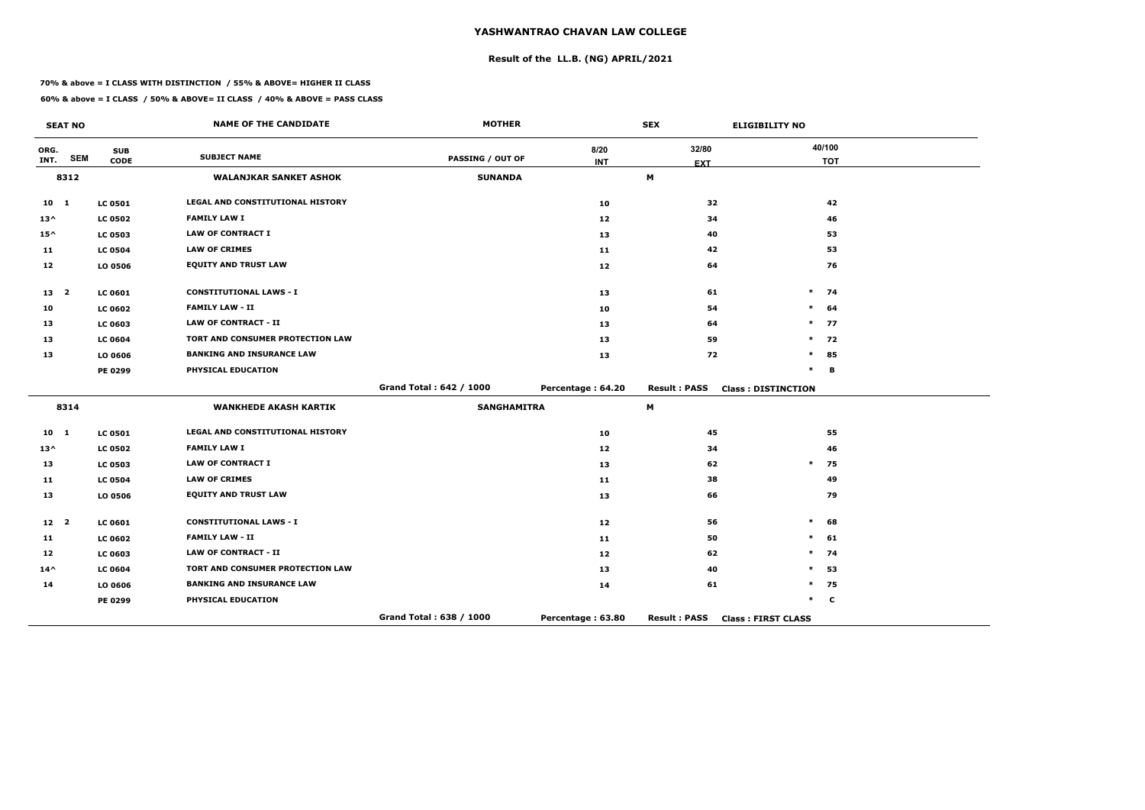# **Result of the LL.B. (NG) APRIL/2021**

#### **70% & above = I CLASS WITH DISTINCTION / 55% & ABOVE= HIGHER II CLASS**

| <b>SEAT NO</b>  |            |                | <b>NAME OF THE CANDIDATE</b>            | <b>MOTHER</b>           |                   | <b>SEX</b>          | <b>ELIGIBILITY NO</b>     |  |
|-----------------|------------|----------------|-----------------------------------------|-------------------------|-------------------|---------------------|---------------------------|--|
| ORG.            | <b>SEM</b> | <b>SUB</b>     | <b>SUBJECT NAME</b>                     | <b>PASSING / OUT OF</b> | 8/20              | 32/80               | 40/100                    |  |
| INT.            |            | <b>CODE</b>    |                                         |                         | <b>INT</b>        | <b>EXT</b>          | <b>TOT</b>                |  |
|                 | 8312       |                | <b>WALANJKAR SANKET ASHOK</b>           | <b>SUNANDA</b>          |                   | М                   |                           |  |
| 10 <sub>1</sub> |            | <b>LC 0501</b> | <b>LEGAL AND CONSTITUTIONAL HISTORY</b> |                         | 10                | 32                  | 42                        |  |
| $13^{\wedge}$   |            | <b>LC 0502</b> | <b>FAMILY LAW I</b>                     |                         | 12                | 34                  | 46                        |  |
| $15^{\wedge}$   |            | <b>LC 0503</b> | <b>LAW OF CONTRACT I</b>                |                         | 13                | 40                  | 53                        |  |
| 11              |            | <b>LC 0504</b> | <b>LAW OF CRIMES</b>                    |                         | 11                | 42                  | 53                        |  |
| 12              |            | LO 0506        | <b>EQUITY AND TRUST LAW</b>             |                         | 12                | 64                  | 76                        |  |
| 13 2            |            | <b>LC 0601</b> | <b>CONSTITUTIONAL LAWS - I</b>          |                         | 13                | 61                  | $\ast$<br>74              |  |
| 10              |            | <b>LC 0602</b> | <b>FAMILY LAW - II</b>                  |                         | 10                | 54                  | 64<br>$\ast$              |  |
| 13              |            | <b>LC 0603</b> | <b>LAW OF CONTRACT - II</b>             |                         | 13                | 64                  | $\ast$<br>77              |  |
| 13              |            | <b>LC 0604</b> | TORT AND CONSUMER PROTECTION LAW        |                         | 13                | 59                  | 72<br>$\ast$              |  |
| 13              |            | LO 0606        | <b>BANKING AND INSURANCE LAW</b>        |                         | 13                | 72                  | $\ast$<br>85              |  |
|                 |            | PE 0299        | PHYSICAL EDUCATION                      |                         |                   |                     | $\ast$<br>B               |  |
|                 |            |                |                                         | Grand Total: 642 / 1000 | Percentage: 64.20 | <b>Result: PASS</b> | <b>Class: DISTINCTION</b> |  |
|                 | 8314       |                | <b>WANKHEDE AKASH KARTIK</b>            | <b>SANGHAMITRA</b>      |                   | M                   |                           |  |
| 10 1            |            | <b>LC 0501</b> | LEGAL AND CONSTITUTIONAL HISTORY        |                         | 10                | 45                  | 55                        |  |
| $13^{\wedge}$   |            | <b>LC 0502</b> | <b>FAMILY LAW I</b>                     |                         | 12                | 34                  | 46                        |  |
| 13              |            | <b>LC 0503</b> | <b>LAW OF CONTRACT I</b>                |                         | 13                | 62                  | $\pmb{\ast}$<br>75        |  |
| 11              |            | <b>LC 0504</b> | <b>LAW OF CRIMES</b>                    |                         | 11                | 38                  | 49                        |  |
| 13              |            | LO 0506        | <b>EQUITY AND TRUST LAW</b>             |                         | 13                | 66                  | 79                        |  |
| 12 <sup>2</sup> |            | LC 0601        | <b>CONSTITUTIONAL LAWS - I</b>          |                         | 12                | 56                  | $\ast$<br>68              |  |
| 11              |            | <b>LC 0602</b> | <b>FAMILY LAW - II</b>                  |                         | 11                | 50                  | 61<br>$\ast$              |  |
| 12              |            | <b>LC 0603</b> | <b>LAW OF CONTRACT - II</b>             |                         | 12                | 62                  | 74<br>$\ast$              |  |
| $14^{\wedge}$   |            | <b>LC 0604</b> | <b>TORT AND CONSUMER PROTECTION LAW</b> |                         | 13                | 40                  | 53<br>$\ast$              |  |
| 14              |            | LO 0606        | <b>BANKING AND INSURANCE LAW</b>        |                         | 14                | 61                  | 75<br>$\ast$              |  |
|                 |            | PE 0299        | PHYSICAL EDUCATION                      |                         |                   |                     | $\ast$<br>$\mathbf c$     |  |
|                 |            |                |                                         | Grand Total: 638 / 1000 | Percentage: 63.80 | <b>Result: PASS</b> | <b>Class: FIRST CLASS</b> |  |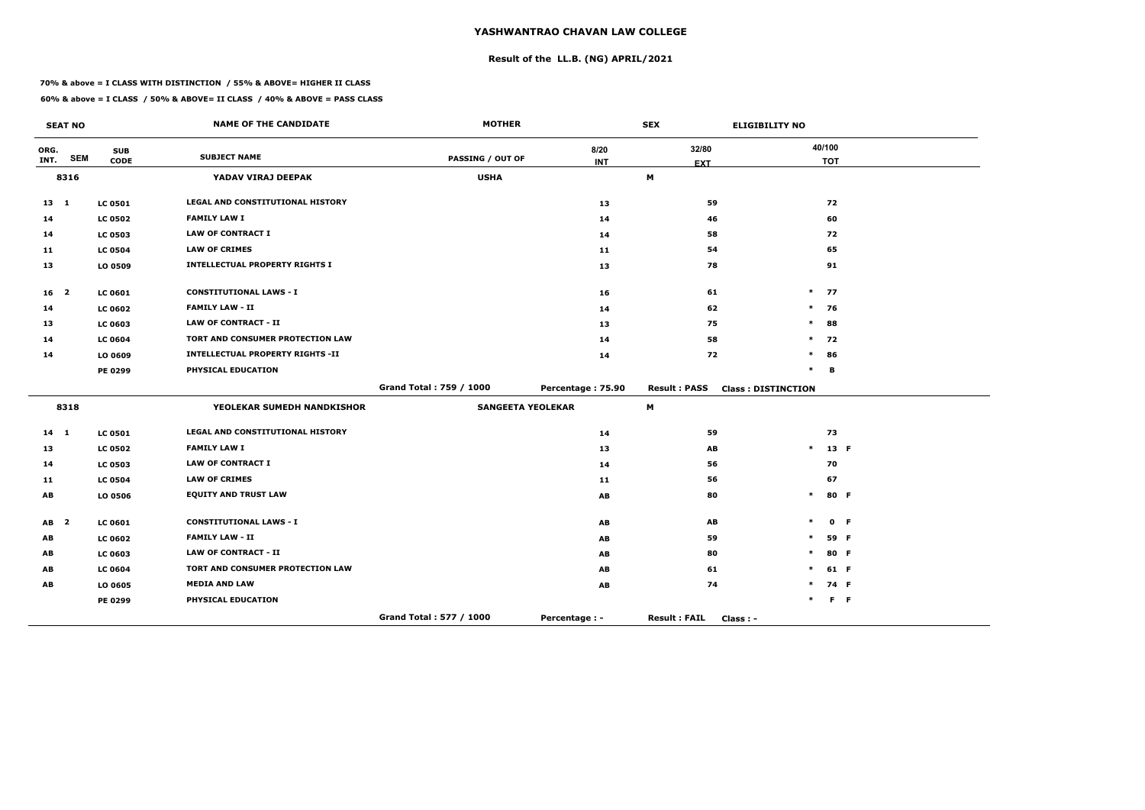# **Result of the LL.B. (NG) APRIL/2021**

#### **70% & above = I CLASS WITH DISTINCTION / 55% & ABOVE= HIGHER II CLASS**

| <b>SEAT NO</b>  |            |                | <b>NAME OF THE CANDIDATE</b>            | <b>MOTHER</b>            |                      | <b>SEX</b>                       | <b>ELIGIBILITY NO</b>     |         |  |
|-----------------|------------|----------------|-----------------------------------------|--------------------------|----------------------|----------------------------------|---------------------------|---------|--|
| ORG.            | <b>SEM</b> | <b>SUB</b>     | <b>SUBJECT NAME</b>                     |                          | 8/20                 | 32/80                            | 40/100                    |         |  |
| INT.            |            | <b>CODE</b>    |                                         | <b>PASSING / OUT OF</b>  | <b>INT</b>           | <b>EXT</b>                       | <b>TOT</b>                |         |  |
|                 | 8316       |                | YADAV VIRAJ DEEPAK                      | <b>USHA</b>              |                      | M                                |                           |         |  |
| $13 \quad 1$    |            | <b>LC 0501</b> | LEGAL AND CONSTITUTIONAL HISTORY        |                          | 13                   | 59                               | 72                        |         |  |
| 14              |            | <b>LC 0502</b> | <b>FAMILY LAW I</b>                     |                          | 14                   | 46                               | 60                        |         |  |
| 14              |            | <b>LC 0503</b> | <b>LAW OF CONTRACT I</b>                |                          | 14                   | 58                               | 72                        |         |  |
| 11              |            | <b>LC 0504</b> | <b>LAW OF CRIMES</b>                    |                          | 11                   | 54                               | 65                        |         |  |
| 13              |            | LO 0509        | <b>INTELLECTUAL PROPERTY RIGHTS I</b>   |                          | 13                   | 78                               | 91                        |         |  |
| 16 <sub>2</sub> |            | <b>LC 0601</b> | <b>CONSTITUTIONAL LAWS - I</b>          |                          | 16                   | 61                               | $*$ 77                    |         |  |
| 14              |            | <b>LC 0602</b> | <b>FAMILY LAW - II</b>                  |                          | 14                   | 62                               | $*$ 76                    |         |  |
| 13              |            | <b>LC 0603</b> | <b>LAW OF CONTRACT - II</b>             |                          | 13                   | 75                               | $\ast$<br>88              |         |  |
| 14              |            | <b>LC 0604</b> | TORT AND CONSUMER PROTECTION LAW        |                          | 14                   | 58                               | 72<br>$\ast$              |         |  |
| 14              |            | LO 0609        | <b>INTELLECTUAL PROPERTY RIGHTS -II</b> |                          | 14                   | 72                               | $\ast$<br>86              |         |  |
|                 |            | PE 0299        | PHYSICAL EDUCATION                      |                          |                      |                                  | $\ast$<br>B               |         |  |
|                 |            |                |                                         | Grand Total: 759 / 1000  | Percentage: 75.90    | <b>Result: PASS</b>              | <b>Class: DISTINCTION</b> |         |  |
|                 | 8318       |                | YEOLEKAR SUMEDH NANDKISHOR              | <b>SANGEETA YEOLEKAR</b> |                      | M                                |                           |         |  |
| $14 \quad 1$    |            | <b>LC 0501</b> | <b>LEGAL AND CONSTITUTIONAL HISTORY</b> |                          | 14                   | 59                               | 73                        |         |  |
| 13              |            | <b>LC 0502</b> | <b>FAMILY LAW I</b>                     |                          | 13                   | AB                               | $\ast$                    | 13 F    |  |
| 14              |            | <b>LC 0503</b> | <b>LAW OF CONTRACT I</b>                |                          | 14                   | 56                               | 70                        |         |  |
| 11              |            | <b>LC 0504</b> | <b>LAW OF CRIMES</b>                    |                          | 11                   | 56                               | 67                        |         |  |
| AB              |            | LO 0506        | <b>EQUITY AND TRUST LAW</b>             |                          | AB                   | 80                               | $\ast$                    | 80 F    |  |
| AB <sub>2</sub> |            | <b>LC 0601</b> | <b>CONSTITUTIONAL LAWS - I</b>          |                          | AB                   | AB                               | $\ast$                    | 0 F     |  |
| AB              |            | <b>LC 0602</b> | <b>FAMILY LAW - II</b>                  |                          | AB                   | 59                               | $\ast$                    | 59 F    |  |
| AB              |            | <b>LC 0603</b> | <b>LAW OF CONTRACT - II</b>             |                          | AB                   | 80                               | $\ast$                    | 80 F    |  |
| AB              |            | <b>LC 0604</b> | TORT AND CONSUMER PROTECTION LAW        |                          | AB                   | 61                               | $\ast$                    | 61 F    |  |
| AB              |            | LO 0605        | <b>MEDIA AND LAW</b>                    |                          | AB                   | 74                               | $\ast$                    | 74 F    |  |
|                 |            | PE 0299        | PHYSICAL EDUCATION                      |                          |                      |                                  | $\ast$                    | $F - F$ |  |
|                 |            |                |                                         | Grand Total: 577 / 1000  | <b>Percentage: -</b> | <b>Result: FAIL</b><br>Class : - |                           |         |  |